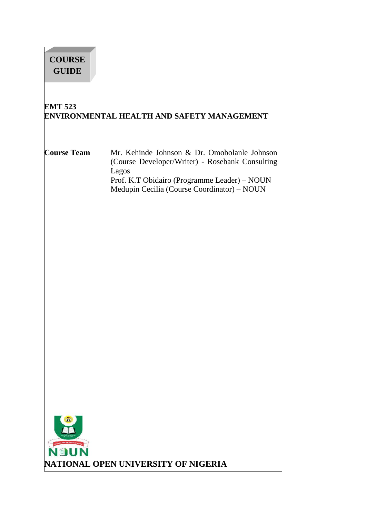# **COURSE GUIDE**

# **EMT 523 ENVIRONMENTAL HEALTH AND SAFETY MANAGEMENT**

### **Course Team** Mr. Kehinde Johnson & Dr. Omobolanle Johnson (Course Developer/Writer) - Rosebank Consulting Lagos Prof. K.T Obidairo (Programme Leader) – NOUN Medupin Cecilia (Course Coordinator) – NOUN

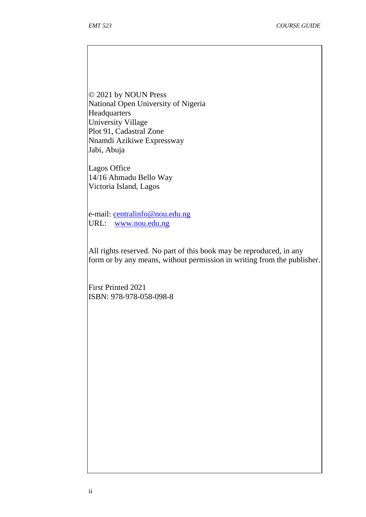© 2021 by NOUN Press National Open University of Nigeria Headquarters University Village Plot 91, Cadastral Zone Nnamdi Azikiwe Expressway Jabi, Abuja

Lagos Office 14/16 Ahmadu Bello Way Victoria Island, Lagos

e-mail: centralinfo@nou.edu.ng URL: www.nou.edu.ng

All rights reserved. No part of this book may be reproduced, in any form or by any means, without permission in writing from the publisher.

First Printed 2021 ISBN: 978-978-058-098-8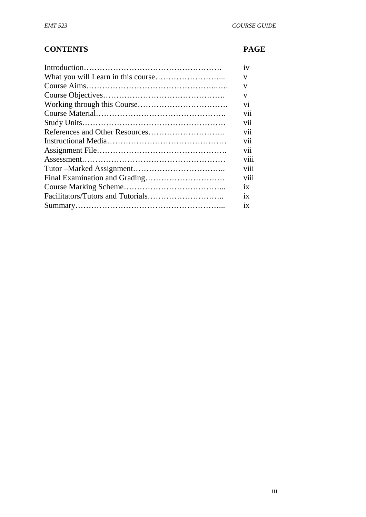# **CONTENTS PAGE**

| 1V               |
|------------------|
| V                |
| V                |
| V                |
| V1               |
| V11              |
| V11              |
| V11              |
| V11              |
| V11              |
| V111             |
| $\cdots$<br>V111 |
| $\cdots$<br>V111 |
| ix               |
| 1X               |
| 1X               |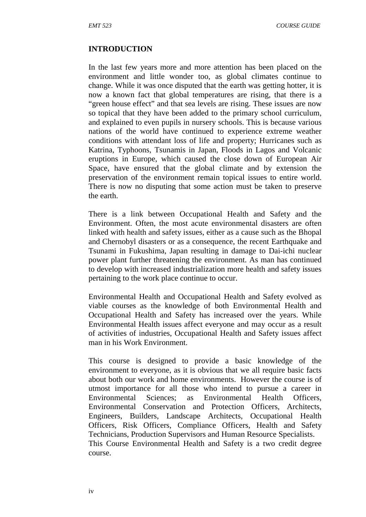#### **INTRODUCTION**

In the last few years more and more attention has been placed on the environment and little wonder too, as global climates continue to change. While it was once disputed that the earth was getting hotter, it is now a known fact that global temperatures are rising, that there is a "green house effect" and that sea levels are rising. These issues are now so topical that they have been added to the primary school curriculum, and explained to even pupils in nursery schools. This is because various nations of the world have continued to experience extreme weather conditions with attendant loss of life and property; Hurricanes such as Katrina, Typhoons, Tsunamis in Japan, Floods in Lagos and Volcanic eruptions in Europe, which caused the close down of European Air Space, have ensured that the global climate and by extension the preservation of the environment remain topical issues to entire world. There is now no disputing that some action must be taken to preserve the earth.

There is a link between Occupational Health and Safety and the Environment. Often, the most acute environmental disasters are often linked with health and safety issues, either as a cause such as the Bhopal and Chernobyl disasters or as a consequence, the recent Earthquake and Tsunami in Fukushima, Japan resulting in damage to Dai-ichi nuclear power plant further threatening the environment. As man has continued to develop with increased industrialization more health and safety issues pertaining to the work place continue to occur.

Environmental Health and Occupational Health and Safety evolved as viable courses as the knowledge of both Environmental Health and Occupational Health and Safety has increased over the years. While Environmental Health issues affect everyone and may occur as a result of activities of industries, Occupational Health and Safety issues affect man in his Work Environment.

This course is designed to provide a basic knowledge of the environment to everyone, as it is obvious that we all require basic facts about both our work and home environments. However the course is of utmost importance for all those who intend to pursue a career in Environmental Sciences; as Environmental Health Officers, Environmental Conservation and Protection Officers, Architects, Engineers, Builders, Landscape Architects, Occupational Health Officers, Risk Officers, Compliance Officers, Health and Safety Technicians, Production Supervisors and Human Resource Specialists. This Course Environmental Health and Safety is a two credit degree course.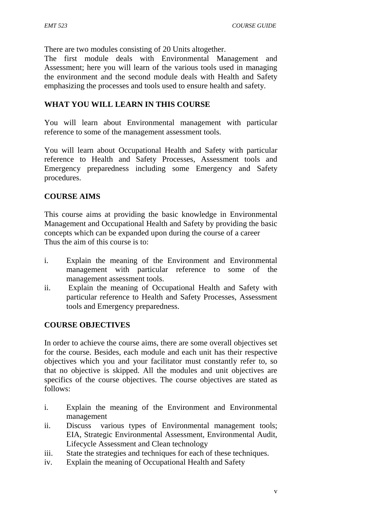There are two modules consisting of 20 Units altogether.

The first module deals with Environmental Management and Assessment; here you will learn of the various tools used in managing the environment and the second module deals with Health and Safety emphasizing the processes and tools used to ensure health and safety.

# **WHAT YOU WILL LEARN IN THIS COURSE**

You will learn about Environmental management with particular reference to some of the management assessment tools.

You will learn about Occupational Health and Safety with particular reference to Health and Safety Processes, Assessment tools and Emergency preparedness including some Emergency and Safety procedures.

### **COURSE AIMS**

This course aims at providing the basic knowledge in Environmental Management and Occupational Health and Safety by providing the basic concepts which can be expanded upon during the course of a career Thus the aim of this course is to:

- i. Explain the meaning of the Environment and Environmental management with particular reference to some of the management assessment tools.
- ii. Explain the meaning of Occupational Health and Safety with particular reference to Health and Safety Processes, Assessment tools and Emergency preparedness.

#### **COURSE OBJECTIVES**

In order to achieve the course aims, there are some overall objectives set for the course. Besides, each module and each unit has their respective objectives which you and your facilitator must constantly refer to, so that no objective is skipped. All the modules and unit objectives are specifics of the course objectives. The course objectives are stated as follows:

- i. Explain the meaning of the Environment and Environmental management
- ii. Discuss various types of Environmental management tools; EIA, Strategic Environmental Assessment, Environmental Audit, Lifecycle Assessment and Clean technology
- iii. State the strategies and techniques for each of these techniques.
- iv. Explain the meaning of Occupational Health and Safety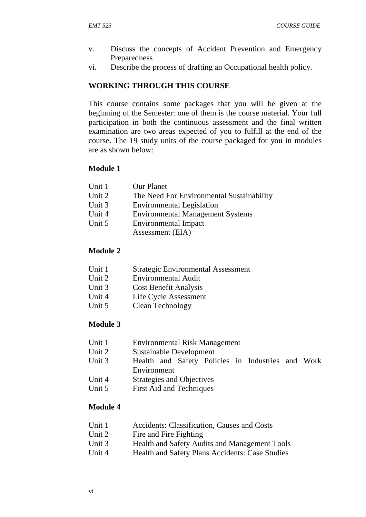- v. Discuss the concepts of Accident Prevention and Emergency Preparedness
- vi. Describe the process of drafting an Occupational health policy.

### **WORKING THROUGH THIS COURSE**

This course contains some packages that you will be given at the beginning of the Semester: one of them is the course material. Your full participation in both the continuous assessment and the final written examination are two areas expected of you to fulfill at the end of the course. The 19 study units of the course packaged for you in modules are as shown below:

#### **Module 1**

| Unit 1 | <b>Our Planet</b>                               |
|--------|-------------------------------------------------|
| Unit 2 | The Need For Environmental Sustainability       |
| Unit 3 | <b>Environmental Legislation</b>                |
| Unit 4 | <b>Environmental Management Systems</b>         |
| Unit 5 | <b>Environmental Impact</b><br>Assessment (EIA) |
|        |                                                 |

#### **Module 2**

- Unit 1 Strategic Environmental Assessment
- Unit 2 Environmental Audit
- Unit 3 Cost Benefit Analysis
- Unit 4 Life Cycle Assessment
- Unit 5 Clean Technology

#### **Module 3**

- Unit 1 Environmental Risk Management
- Unit 2 Sustainable Development
- Unit 3 Health and Safety Policies in Industries and Work Environment
- Unit 4 Strategies and Objectives
- Unit 5 First Aid and Techniques

#### **Module 4**

- Unit 1 Accidents: Classification, Causes and Costs
- Unit 2 Fire and Fire Fighting
- Unit 3 Health and Safety Audits and Management Tools
- Unit 4 Health and Safety Plans Accidents: Case Studies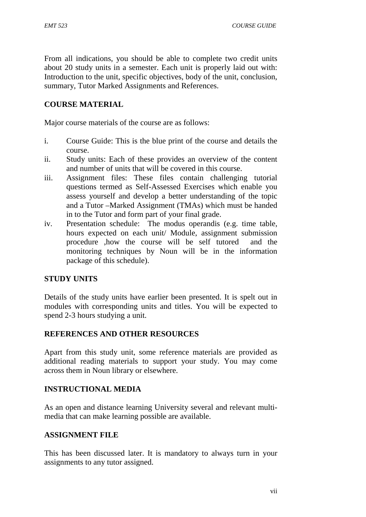From all indications, you should be able to complete two credit units about 20 study units in a semester. Each unit is properly laid out with: Introduction to the unit, specific objectives, body of the unit, conclusion, summary, Tutor Marked Assignments and References.

# **COURSE MATERIAL**

Major course materials of the course are as follows:

- i. Course Guide: This is the blue print of the course and details the course.
- ii. Study units: Each of these provides an overview of the content and number of units that will be covered in this course.
- iii. Assignment files: These files contain challenging tutorial questions termed as Self-Assessed Exercises which enable you assess yourself and develop a better understanding of the topic and a Tutor –Marked Assignment (TMAs) which must be handed in to the Tutor and form part of your final grade.
- iv. Presentation schedule: The modus operandis (e.g. time table, hours expected on each unit/ Module, assignment submission procedure ,how the course will be self tutored and the monitoring techniques by Noun will be in the information package of this schedule).

#### **STUDY UNITS**

Details of the study units have earlier been presented. It is spelt out in modules with corresponding units and titles. You will be expected to spend 2-3 hours studying a unit.

#### **REFERENCES AND OTHER RESOURCES**

Apart from this study unit, some reference materials are provided as additional reading materials to support your study. You may come across them in Noun library or elsewhere.

#### **INSTRUCTIONAL MEDIA**

As an open and distance learning University several and relevant multi media that can make learning possible are available.

#### **ASSIGNMENT FILE**

This has been discussed later. It is mandatory to always turn in your assignments to any tutor assigned.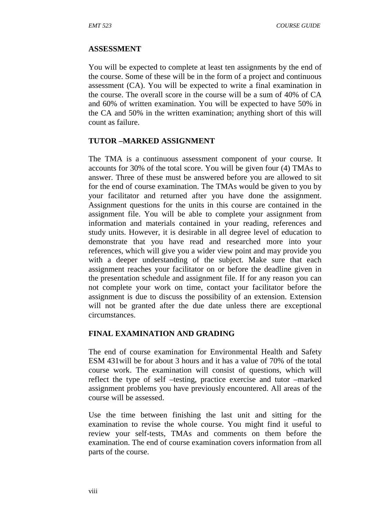#### **ASSESSMENT**

You will be expected to complete at least ten assignments by the end of the course. Some of these will be in the form of a project and continuous assessment (CA). You will be expected to write a final examination in the course. The overall score in the course will be a sum of 40% of CA and 60% of written examination. You will be expected to have 50% in the CA and 50% in the written examination; anything short of this will count as failure.

#### **TUTOR –MARKED ASSIGNMENT**

The TMA is a continuous assessment component of your course. It accounts for 30% of the total score. You will be given four (4) TMAs to answer. Three of these must be answered before you are allowed to sit for the end of course examination. The TMAs would be given to you by your facilitator and returned after you have done the assignment. Assignment questions for the units in this course are contained in the assignment file. You will be able to complete your assignment from information and materials contained in your reading, references and study units. However, it is desirable in all degree level of education to demonstrate that you have read and researched more into your references, which will give you a wider view point and may provide you with a deeper understanding of the subject. Make sure that each assignment reaches your facilitator on or before the deadline given in the presentation schedule and assignment file. If for any reason you can not complete your work on time, contact your facilitator before the assignment is due to discuss the possibility of an extension. Extension will not be granted after the due date unless there are exceptional circumstances.

#### **FINAL EXAMINATION AND GRADING**

The end of course examination for Environmental Health and Safety ESM 431will be for about 3 hours and it has a value of 70% of the total course work. The examination will consist of questions, which will reflect the type of self –testing, practice exercise and tutor –marked assignment problems you have previously encountered. All areas of the course will be assessed.

Use the time between finishing the last unit and sitting for the examination to revise the whole course. You might find it useful to review your self-tests, TMAs and comments on them before the examination. The end of course examination covers information from all parts of the course.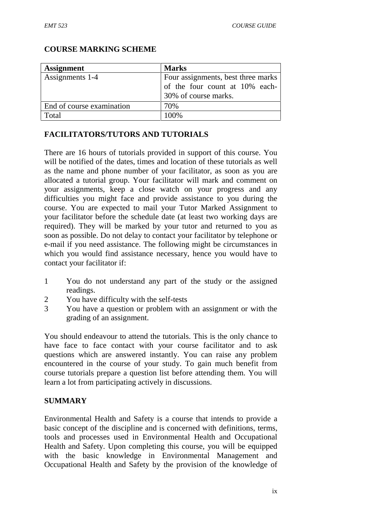| <b>Assignment</b>         | <b>Marks</b>                                                                                 |
|---------------------------|----------------------------------------------------------------------------------------------|
| Assignments 1-4           | Four assignments, best three marks<br>of the four count at 10% each-<br>30% of course marks. |
| End of course examination | 70%                                                                                          |
| Total                     | 100%                                                                                         |

#### **COURSE MARKING SCHEME**

#### **FACILITATORS/TUTORS AND TUTORIALS**

There are 16 hours of tutorials provided in support of this course. You will be notified of the dates, times and location of these tutorials as well as the name and phone number of your facilitator, as soon as you are allocated a tutorial group. Your facilitator will mark and comment on your assignments, keep a close watch on your progress and any difficulties you might face and provide assistance to you during the course. You are expected to mail your Tutor Marked Assignment to your facilitator before the schedule date (at least two working days are required). They will be marked by your tutor and returned to you as soon as possible. Do not delay to contact your facilitator by telephone or e-mail if you need assistance. The following might be circumstances in which you would find assistance necessary, hence you would have to contact your facilitator if:

- 1 You do not understand any part of the study or the assigned readings.
- 2 You have difficulty with the self-tests
- 3 You have a question or problem with an assignment or with the grading of an assignment.

You should endeavour to attend the tutorials. This is the only chance to have face to face contact with your course facilitator and to ask questions which are answered instantly. You can raise any problem encountered in the course of your study. To gain much benefit from course tutorials prepare a question list before attending them. You will learn a lot from participating actively in discussions.

#### **SUMMARY**

Environmental Health and Safety is a course that intends to provide a basic concept of the discipline and is concerned with definitions, terms, tools and processes used in Environmental Health and Occupational Health and Safety. Upon completing this course, you will be equipped with the basic knowledge in Environmental Management and Occupational Health and Safety by the provision of the knowledge of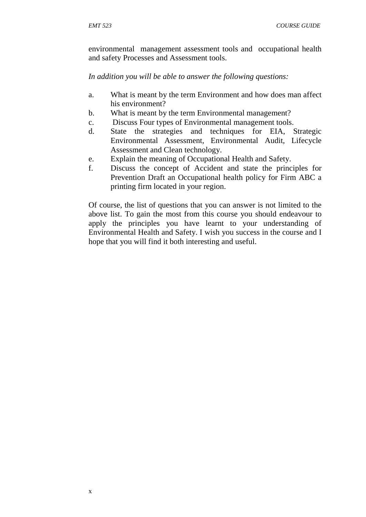environmental management assessment tools and occupational health and safety Processes and Assessment tools.

*In addition you will be able to answer the following questions:*

- a. What is meant by the term Environment and how does man affect his environment?
- b. What is meant by the term Environmental management?
- c. Discuss Four types of Environmental management tools.
- d. State the strategies and techniques for EIA, Strategic Environmental Assessment, Environmental Audit, Lifecycle Assessment and Clean technology.
- e. Explain the meaning of Occupational Health and Safety.
- f. Discuss the concept of Accident and state the principles for Prevention Draft an Occupational health policy for Firm ABC a printing firm located in your region.

Of course, the list of questions that you can answer is not limited to the above list. To gain the most from this course you should endeavour to apply the principles you have learnt to your understanding of Environmental Health and Safety. I wish you success in the course and I hope that you will find it both interesting and useful.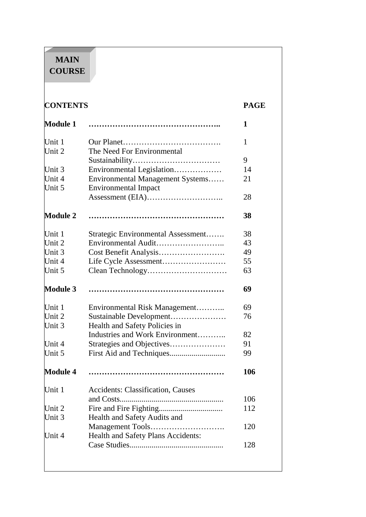# **MAIN COURSE**

| <b>CONTENTS</b> |                                          | <b>PAGE</b> |  |
|-----------------|------------------------------------------|-------------|--|
| <b>Module 1</b> |                                          | 1           |  |
| Unit 1          |                                          | 1           |  |
| Unit 2          | The Need For Environmental               |             |  |
|                 |                                          | 9           |  |
| Unit 3          | Environmental Legislation                | 14          |  |
| Unit 4          | Environmental Management Systems         | 21          |  |
| Unit 5          | <b>Environmental Impact</b>              |             |  |
|                 |                                          | 28          |  |
| <b>Module 2</b> |                                          | 38          |  |
| Unit 1          | Strategic Environmental Assessment       | 38          |  |
| Unit 2          | Environmental Audit                      | 43          |  |
| Unit 3          |                                          | 49          |  |
| Unit 4          |                                          | 55          |  |
| Unit 5          |                                          | 63          |  |
| <b>Module 3</b> |                                          | 69          |  |
| Unit 1          | Environmental Risk Management            | 69          |  |
| Unit 2          | Sustainable Development                  | 76          |  |
| Unit 3          | Health and Safety Policies in            |             |  |
|                 | Industries and Work Environment          | 82          |  |
| Unit 4          | Strategies and Objectives                | 91          |  |
| Unit 5          |                                          | 99          |  |
| <b>Module 4</b> |                                          | 106         |  |
| Unit 1          | <b>Accidents: Classification, Causes</b> |             |  |
|                 |                                          | 106         |  |
| Unit 2          |                                          | 112         |  |
| Unit 3          | Health and Safety Audits and             |             |  |
|                 | Management Tools                         | 120         |  |
| Unit 4          | Health and Safety Plans Accidents:       |             |  |
|                 |                                          | 128         |  |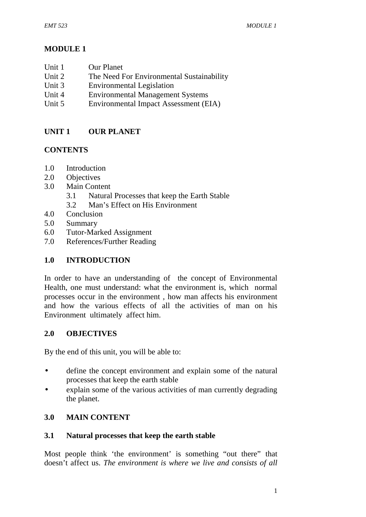# **MODULE 1**

- Unit 1 Our Planet
- Unit 2 The Need For Environmental Sustainability
- Unit 3 Environmental Legislation<br>
Unit 4 Environmental Management
- Environmental Management Systems
- Unit 5 Environmental Impact Assessment (EIA)

# **UNIT 1 OUR PLANET**

# **CONTENTS**

- 1.0 Introduction
- 2.0 Objectives
- 3.0 Main Content
	- 3.1 Natural Processes that keep the Earth Stable
	- 3.2 Man's Effect on His Environment
- 4.0 Conclusion
- 5.0 Summary
- 6.0 Tutor-Marked Assignment
- 7.0 References/Further Reading

# **1.0 INTRODUCTION**

In order to have an understanding of the concept of Environmental Health, one must understand: what the environment is, which normal processes occur in the environment , how man affects his environment and how the various effects of all the activities of man on his Environment ultimately affect him.

#### **2.0 OBJECTIVES**

By the end of this unit, you will be able to:

- define the concept environment and explain some of the natural processes that keep the earth stable
- explain some of the various activities of man currently degrading the planet.

# **3.0 MAIN CONTENT**

# **3.1 Natural processes that keep the earth stable**

Most people think 'the environment' is something "out there" that doesn't affect us. *The environment is where we live and consists of all*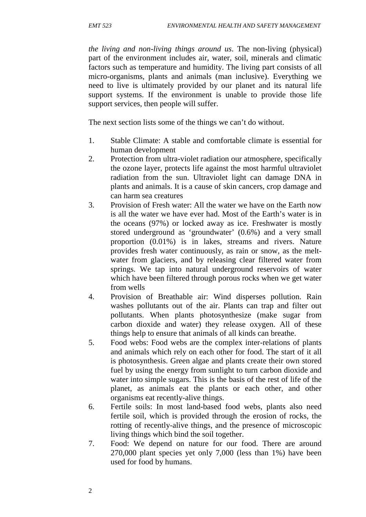*the living and non-living things around us*. The non-living (physical) part of the environment includes air, water, soil, minerals and climatic factors such as temperature and humidity. The living part consists of all micro-organisms, plants and animals (man inclusive). Everything we need to live is ultimately provided by our planet and its natural life support systems. If the environment is unable to provide those life support services, then people will suffer.

The next section lists some of the things we can't do without.

- 1. Stable Climate: A stable and comfortable climate is essential for human development
- 2. Protection from ultra-violet radiation our atmosphere, specifically the ozone layer, protects life against the most harmful ultraviolet radiation from the sun. Ultraviolet light can damage DNA in plants and animals. It is a cause of skin cancers, crop damage and can harm sea creatures
- 3. Provision of Fresh water: All the water we have on the Earth now is all the water we have ever had. Most of the Earth's water is in the oceans (97%) or locked away as ice. Freshwater is mostly stored underground as 'groundwater' (0.6%) and a very small proportion (0.01%) is in lakes, streams and rivers. Nature provides fresh water continuously, as rain or snow, as the melt water from glaciers, and by releasing clear filtered water from springs. We tap into natural underground reservoirs of water which have been filtered through porous rocks when we get water from wells
- 4. Provision of Breathable air: Wind disperses pollution. Rain washes pollutants out of the air. Plants can trap and filter out pollutants. When plants photosynthesize (make sugar from carbon dioxide and water) they release oxygen. All of these things help to ensure that animals of all kinds can breathe.
- 5. Food webs: Food webs are the complex inter-relations of plants and animals which rely on each other for food. The start of it all is photosynthesis. Green algae and plants create their own stored fuel by using the energy from sunlight to turn carbon dioxide and water into simple sugars. This is the basis of the rest of life of the planet, as animals eat the plants or each other, and other organisms eat recently-alive things.
- 6. Fertile soils: In most land-based food webs, plants also need fertile soil, which is provided through the erosion of rocks, the rotting of recently-alive things, and the presence of microscopic living things which bind the soil together.
- 7. Food: We depend on nature for our food. There are around 270,000 plant species yet only 7,000 (less than 1%) have been used for food by humans.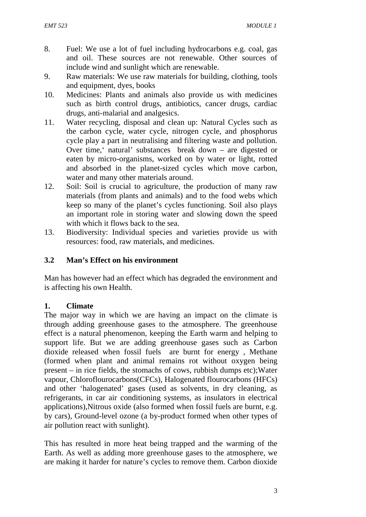- 8. Fuel: We use a lot of fuel including hydrocarbons e.g. coal, gas and oil. These sources are not renewable. Other sources of include wind and sunlight which are renewable.
- 9. Raw materials: We use raw materials for building, clothing, tools and equipment, dyes, books
- 10. Medicines: Plants and animals also provide us with medicines such as birth control drugs, antibiotics, cancer drugs, cardiac drugs, anti-malarial and analgesics.
- 11. Water recycling, disposal and clean up: Natural Cycles such as the carbon cycle, water cycle, nitrogen cycle, and phosphorus cycle play a part in neutralising and filtering waste and pollution. Over time,' natural' substances break down – are digested or eaten by micro-organisms, worked on by water or light, rotted and absorbed in the planet-sized cycles which move carbon, water and many other materials around.
- 12. Soil: Soil is crucial to agriculture, the production of many raw materials (from plants and animals) and to the food webs which keep so many of the planet's cycles functioning. Soil also plays an important role in storing water and slowing down the speed with which it flows back to the sea.
- 13. Biodiversity: Individual species and varieties provide us with resources: food, raw materials, and medicines.

# **3.2 Man's Effect on his environment**

Man has however had an effect which has degraded the environment and is affecting his own Health.

# **1. Climate**

The major way in which we are having an impact on the climate is through adding greenhouse gases to the atmosphere. The greenhouse effect is a natural phenomenon, keeping the Earth warm and helping to support life. But we are adding greenhouse gases such as Carbon dioxide released when fossil fuels are burnt for energy , Methane (formed when plant and animal remains rot without oxygen being present – in rice fields, the stomachs of cows, rubbish dumps etc);Water vapour, Chloroflourocarbons(CFCs), Halogenated flourocarbons (HFCs) and other 'halogenated' gases (used as solvents, in dry cleaning, as refrigerants, in car air conditioning systems, as insulators in electrical applications),Nitrous oxide (also formed when fossil fuels are burnt, e.g. by cars), Ground-level ozone (a by-product formed when other types of air pollution react with sunlight).

This has resulted in more heat being trapped and the warming of the Earth. As well as adding more greenhouse gases to the atmosphere, we are making it harder for nature's cycles to remove them. Carbon dioxide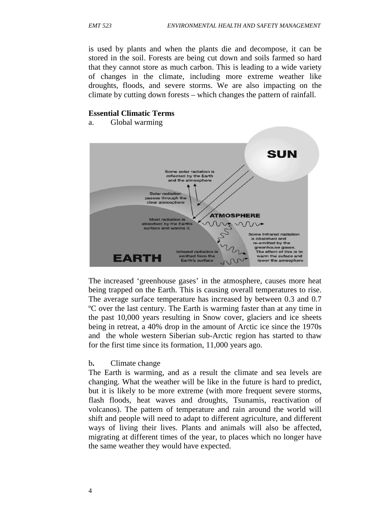is used by plants and when the plants die and decompose, it can be stored in the soil. Forests are being cut down and soils farmed so hard that they cannot store as much carbon. This is leading to a wide variety of changes in the climate, including more extreme weather like droughts, floods, and severe storms. We are also impacting on the climate by cutting down forests – which changes the pattern of rainfall.

#### **Essential Climatic Terms**

a. Global warming



The increased 'greenhouse gases' in the atmosphere, causes more heat being trapped on the Earth. This is causing overall temperatures to rise. The average surface temperature has increased by between 0.3 and 0.7 ºC over the last century. The Earth is warming faster than at any time in the past 10,000 years resulting in Snow cover, glaciers and ice sheets being in retreat, a 40% drop in the amount of Arctic ice since the 1970s and the whole western Siberian sub-Arctic region has started to thaw for the first time since its formation, 11,000 years ago.

#### b**.** Climate change

The Earth is warming, and as a result the climate and sea levels are changing. What the weather will be like in the future is hard to predict, but it is likely to be more extreme (with more frequent severe storms, flash floods, heat waves and droughts, Tsunamis, reactivation of volcanos). The pattern of temperature and rain around the world will shift and people will need to adapt to different agriculture, and different ways of living their lives. Plants and animals will also be affected, migrating at different times of the year, to places which no longer have the same weather they would have expected.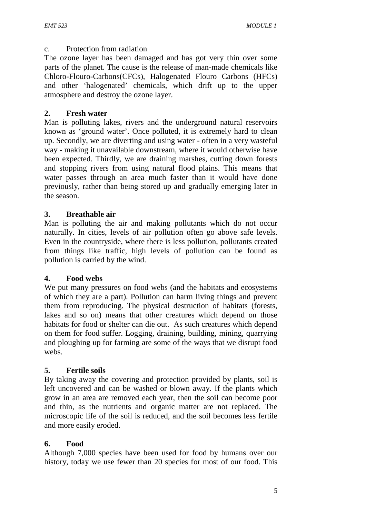#### c. Protection from radiation

The ozone layer has been damaged and has got very thin over some parts of the planet. The cause is the release of man-made chemicals like Chloro-Flouro-Carbons(CFCs), Halogenated Flouro Carbons (HFCs) and other 'halogenated' chemicals, which drift up to the upper atmosphere and destroy the ozone layer.

#### **2. Fresh water**

Man is polluting lakes, rivers and the underground natural reservoirs known as 'ground water'. Once polluted, it is extremely hard to clean up. Secondly, we are diverting and using water - often in a very wasteful way - making it unavailable downstream, where it would otherwise have been expected. Thirdly, we are draining marshes, cutting down forests and stopping rivers from using natural flood plains. This means that water passes through an area much faster than it would have done previously, rather than being stored up and gradually emerging later in the season.

# **3. Breathable air**

Man is polluting the air and making pollutants which do not occur naturally. In cities, levels of air pollution often go above safe levels. Even in the countryside, where there is less pollution, pollutants created from things like traffic, high levels of pollution can be found as pollution is carried by the wind.

#### **4. Food webs**

We put many pressures on food webs (and the habitats and ecosystems of which they are a part). Pollution can harm living things and prevent them from reproducing. The physical destruction of habitats (forests, lakes and so on) means that other creatures which depend on those habitats for food or shelter can die out. As such creatures which depend on them for food suffer. Logging, draining, building, mining, quarrying and ploughing up for farming are some of the ways that we disrupt food webs.

#### **5. Fertile soils**

By taking away the covering and protection provided by plants, soil is left uncovered and can be washed or blown away. If the plants which grow in an area are removed each year, then the soil can become poor and thin, as the nutrients and organic matter are not replaced. The microscopic life of the soil is reduced, and the soil becomes less fertile and more easily eroded.

#### **6. Food**

Although 7,000 species have been used for food by humans over our history, today we use fewer than 20 species for most of our food. This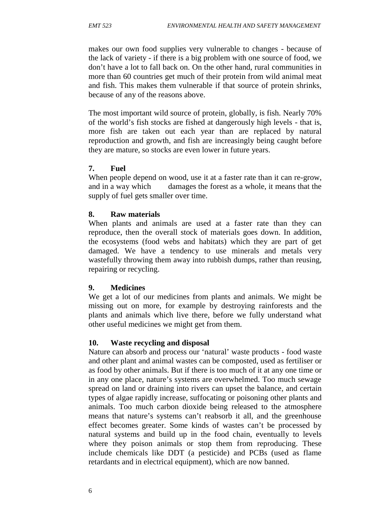makes our own food supplies very vulnerable to changes - because of the lack of variety - if there is a big problem with one source of food, we don't have a lot to fall back on. On the other hand, rural communities in more than 60 countries get much of their protein from wild animal meat and fish. This makes them vulnerable if that source of protein shrinks, because of any of the reasons above.

The most important wild source of protein, globally, is fish. Nearly 70% of the world's fish stocks are fished at dangerously high levels - that is, more fish are taken out each year than are replaced by natural reproduction and growth, and fish are increasingly being caught before they are mature, so stocks are even lower in future years.

### **7. Fuel**

When people depend on wood, use it at a faster rate than it can re-grow, and in a way which damages the forest as a whole, it means that the supply of fuel gets smaller over time.

### **8. Raw materials**

When plants and animals are used at a faster rate than they can reproduce, then the overall stock of materials goes down. In addition, the ecosystems (food webs and habitats) which they are part of get damaged. We have a tendency to use minerals and metals very wastefully throwing them away into rubbish dumps, rather than reusing, repairing or recycling.

#### **9. Medicines**

We get a lot of our medicines from plants and animals. We might be missing out on more, for example by destroying rainforests and the plants and animals which live there, before we fully understand what other useful medicines we might get from them.

#### **10. Waste recycling and disposal**

Nature can absorb and process our 'natural' waste products - food waste and other plant and animal wastes can be composted, used as fertiliser or as food by other animals. But if there is too much of it at any one time or in any one place, nature's systems are overwhelmed. Too much sewage spread on land or draining into rivers can upset the balance, and certain types of algae rapidly increase, suffocating or poisoning other plants and animals. Too much carbon dioxide being released to the atmosphere means that nature's systems can't reabsorb it all, and the greenhouse effect becomes greater. Some kinds of wastes can't be processed by natural systems and build up in the food chain, eventually to levels where they poison animals or stop them from reproducing. These include chemicals like DDT (a pesticide) and PCBs (used as flame retardants and in electrical equipment), which are now banned.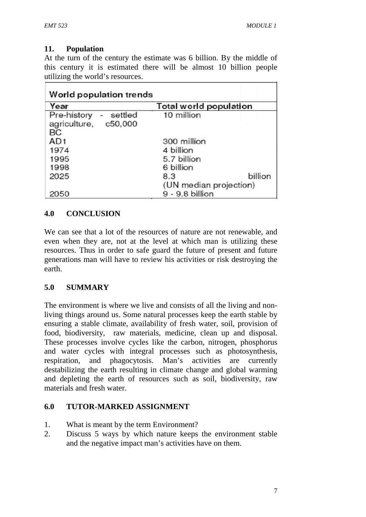# **11. Population**

At the turn of the century the estimate was 6 billion. By the middle of this century it is estimated there will be almost 10 billion people utilizing the world's resources.

| Year                                                                   | Total world population                   |  |  |
|------------------------------------------------------------------------|------------------------------------------|--|--|
| Pre-history<br>settled<br>$\blacksquare$<br>agriculture, c50,000<br>BC | 10 million                               |  |  |
| AD <sub>1</sub>                                                        | 300 million                              |  |  |
| 1974                                                                   | 4 billion                                |  |  |
| 1995                                                                   | 5.7 billion                              |  |  |
| 1998                                                                   | 6 billion                                |  |  |
| 2025                                                                   | billion<br>8.3<br>(UN median projection) |  |  |
| 2050                                                                   | 9 - 9.8 billion                          |  |  |

# **4.0 CONCLUSION**

We can see that a lot of the resources of nature are not renewable, and even when they are, not at the level at which man is utilizing these resources. Thus in order to safe guard the future of present and future generations man will have to review his activities or risk destroying the earth.

# **5.0 SUMMARY**

The environment is where we live and consists of all the living and nonliving things around us. Some natural processes keep the earth stable by ensuring a stable climate, availability of fresh water, soil, provision of food, biodiversity, raw materials, medicine, clean up and disposal. These processes involve cycles like the carbon, nitrogen, phosphorus and water cycles with integral processes such as photosynthesis, respiration, and phagocytosis. Man's activities are currently destabilizing the earth resulting in climate change and global warming and depleting the earth of resources such as soil, biodiversity, raw materials and fresh water.

# **6.0 TUTOR-MARKED ASSIGNMENT**

- 1. What is meant by the term Environment?
- 2. Discuss 5 ways by which nature keeps the environment stable and the negative impact man's activities have on them.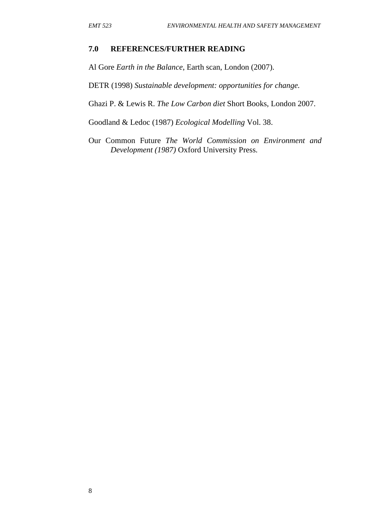#### **7.0 REFERENCES/FURTHER READING**

Al Gore *Earth in the Balance*, Earth scan, London (2007).

DETR (1998) *Sustainable development: opportunities for change.*

Ghazi P. & Lewis R. *The Low Carbon diet* Short Books, London 2007.

Goodland & Ledoc (1987) *Ecological Modelling* Vol. 38.

Our Common Future *The World Commission on Environment and Development (1987)* Oxford University Press.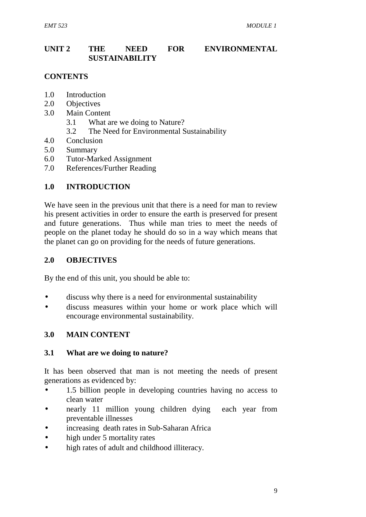### **UNIT 2 THE NEED FOR ENVIRONMENTAL SUSTAINABILITY**

# **CONTENTS**

- 1.0 Introduction
- 2.0 Objectives
- 3.0 Main Content
	- 3.1 What are we doing to Nature?
	- 3.2 The Need for Environmental Sustainability
- 4.0 Conclusion
- 5.0 Summary
- 6.0 Tutor-Marked Assignment
- 7.0 References/Further Reading

# **1.0 INTRODUCTION**

We have seen in the previous unit that there is a need for man to review his present activities in order to ensure the earth is preserved for present and future generations. Thus while man tries to meet the needs of people on the planet today he should do so in a way which means that the planet can go on providing for the needs of future generations.

#### **2.0 OBJECTIVES**

By the end of this unit, you should be able to:

- discuss why there is a need for environmental sustainability
- discuss measures within your home or work place which will encourage environmental sustainability.

#### **3.0 MAIN CONTENT**

#### **3.1 What are we doing to nature?**

It has been observed that man is not meeting the needs of present generations as evidenced by:

- 1.5 billion people in developing countries having no access to clean water
- nearly 11 million young children dying each year from preventable illnesses
- increasing death rates in Sub-Saharan Africa
- high under 5 mortality rates
- high rates of adult and childhood illiteracy.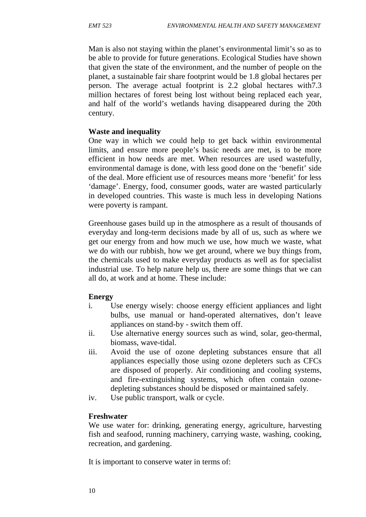Man is also not staying within the planet's environmental limit's so as to be able to provide for future generations. Ecological Studies have shown that given the state of the environment, and the number of people on the planet, a sustainable fair share footprint would be 1.8 global hectares per person. The average actual footprint is 2.2 global hectares with7.3 million hectares of forest being lost without being replaced each year, and half of the world's wetlands having disappeared during the 20th century.

#### **Waste and inequality**

One way in which we could help to get back within environmental limits, and ensure more people's basic needs are met, is to be more efficient in how needs are met. When resources are used wastefully, environmental damage is done, with less good done on the 'benefit' side of the deal. More efficient use of resources means more 'benefit' for less 'damage'. Energy, food, consumer goods, water are wasted particularly in developed countries. This waste is much less in developing Nations were poverty is rampant.

Greenhouse gases build up in the atmosphere as a result of thousands of everyday and long-term decisions made by all of us, such as where we get our energy from and how much we use, how much we waste, what we do with our rubbish, how we get around, where we buy things from, the chemicals used to make everyday products as well as for specialist industrial use. To help nature help us, there are some things that we can all do, at work and at home. These include:

#### **Energy**

- i. Use energy wisely: choose energy efficient appliances and light bulbs, use manual or hand-operated alternatives, don't leave appliances on stand-by - switch them off.
- ii. Use alternative energy sources such as wind, solar, geo-thermal, biomass, wave-tidal.
- iii. Avoid the use of ozone depleting substances ensure that all appliances especially those using ozone depleters such as CFCs are disposed of properly. Air conditioning and cooling systems, and fire-extinguishing systems, which often contain ozone depleting substances should be disposed or maintained safely.
- iv. Use public transport, walk or cycle.

#### **Freshwater**

We use water for: drinking, generating energy, agriculture, harvesting fish and seafood, running machinery, carrying waste, washing, cooking, recreation, and gardening.

It is important to conserve water in terms of: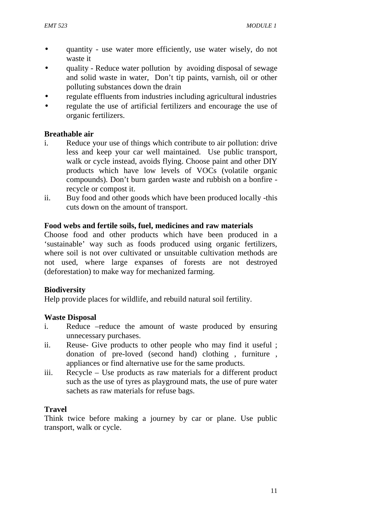- quantity use water more efficiently, use water wisely, do not waste it
- quality Reduce water pollution by avoiding disposal of sewage and solid waste in water, Don't tip paints, varnish, oil or other polluting substances down the drain
- regulate effluents from industries including agricultural industries
- regulate the use of artificial fertilizers and encourage the use of organic fertilizers.

#### **Breathable air**

- i. Reduce your use of things which contribute to air pollution: drive less and keep your car well maintained. Use public transport, walk or cycle instead, avoids flying. Choose paint and other DIY products which have low levels of VOCs (volatile organic compounds). Don't burn garden waste and rubbish on a bonfire recycle or compost it.
- ii. Buy food and other goods which have been produced locally -this cuts down on the amount of transport.

#### **Food webs and fertile soils, fuel, medicines and raw materials**

Choose food and other products which have been produced in a 'sustainable' way such as foods produced using organic fertilizers, where soil is not over cultivated or unsuitable cultivation methods are not used, where large expanses of forests are not destroyed (deforestation) to make way for mechanized farming.

#### **Biodiversity**

Help provide places for wildlife, and rebuild natural soil fertility.

#### **Waste Disposal**

- i. Reduce –reduce the amount of waste produced by ensuring unnecessary purchases.
- ii. Reuse- Give products to other people who may find it useful ; donation of pre-loved (second hand) clothing , furniture , appliances or find alternative use for the same products.
- iii. Recycle Use products as raw materials for a different product such as the use of tyres as playground mats, the use of pure water sachets as raw materials for refuse bags.

#### **Travel**

Think twice before making a journey by car or plane. Use public transport, walk or cycle.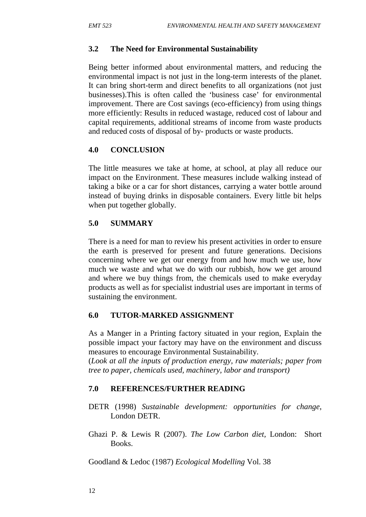#### **3.2 The Need for Environmental Sustainability**

Being better informed about environmental matters, and reducing the environmental impact is not just in the long-term interests of the planet. It can bring short-term and direct benefits to all organizations (not just businesses).This is often called the 'business case' for environmental improvement. There are Cost savings (eco-efficiency) from using things more efficiently: Results in reduced wastage, reduced cost of labour and capital requirements, additional streams of income from waste products and reduced costs of disposal of by- products or waste products.

### **4.0 CONCLUSION**

The little measures we take at home, at school, at play all reduce our impact on the Environment. These measures include walking instead of taking a bike or a car for short distances, carrying a water bottle around instead of buying drinks in disposable containers. Every little bit helps when put together globally.

### **5.0 SUMMARY**

There is a need for man to review his present activities in order to ensure the earth is preserved for present and future generations. Decisions concerning where we get our energy from and how much we use, how much we waste and what we do with our rubbish, how we get around and where we buy things from, the chemicals used to make everyday products as well as for specialist industrial uses are important in terms of sustaining the environment.

#### **6.0 TUTOR-MARKED ASSIGNMENT**

As a Manger in a Printing factory situated in your region, Explain the possible impact your factory may have on the environment and discuss measures to encourage Environmental Sustainability.

(*Look at all the inputs of production energy, raw materials; paper from tree to paper, chemicals used, machinery, labor and transport)*

#### **7.0 REFERENCES/FURTHER READING**

- DETR (1998) *Sustainable development: opportunities for change*, London DETR.
- Ghazi P. & Lewis R (2007). *The Low Carbon diet,* London: Short Books.

Goodland & Ledoc (1987) *Ecological Modelling* Vol. 38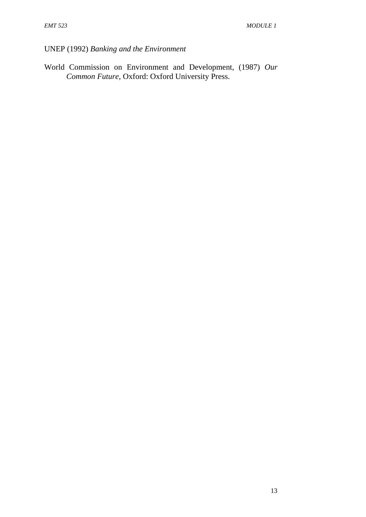UNEP (1992) *Banking and the Environment*

World Commission on Environment and Development, (1987) *Our Common Future*, Oxford: Oxford University Press.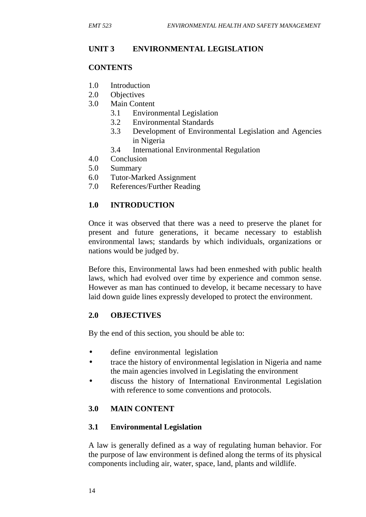# **UNIT 3 ENVIRONMENTAL LEGISLATION**

#### **CONTENTS**

- 1.0 Introduction
- 2.0 Objectives
- 3.0 Main Content
	- 3.1 Environmental Legislation
	- 3.2 Environmental Standards
	- 3.3 Development of Environmental Legislation and Agencies in Nigeria
	- 3.4 International Environmental Regulation
- 4.0 Conclusion
- 5.0 Summary
- 6.0 Tutor-Marked Assignment
- 7.0 References/Further Reading

# **1.0 INTRODUCTION**

Once it was observed that there was a need to preserve the planet for present and future generations, it became necessary to establish environmental laws; standards by which individuals, organizations or nations would be judged by.

Before this, Environmental laws had been enmeshed with public health laws, which had evolved over time by experience and common sense. However as man has continued to develop, it became necessary to have laid down guide lines expressly developed to protect the environment.

#### **2.0 OBJECTIVES**

By the end of this section, you should be able to:

- define environmental legislation
- trace the history of environmental legislation in Nigeria and name the main agencies involved in Legislating the environment
- discuss the history of International Environmental Legislation with reference to some conventions and protocols.

# **3.0 MAIN CONTENT**

#### **3.1 Environmental Legislation**

A law is generally defined as a way of regulating human behavior. For the purpose of law environment is defined along the terms of its physical components including air, water, space, land, plants and wildlife.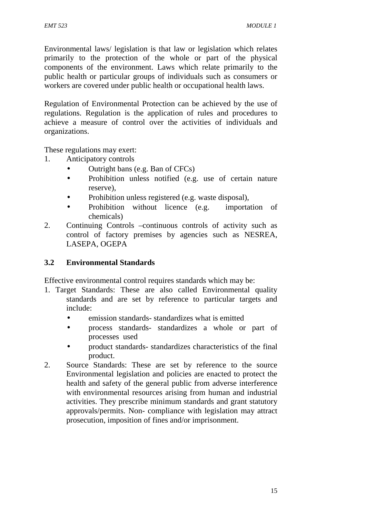Environmental laws/ legislation is that law or legislation which relates primarily to the protection of the whole or part of the physical components of the environment. Laws which relate primarily to the public health or particular groups of individuals such as consumers or workers are covered under public health or occupational health laws.

Regulation of Environmental Protection can be achieved by the use of regulations. Regulation is the application of rules and procedures to achieve a measure of control over the activities of individuals and organizations.

These regulations may exert:

- 1. Anticipatory controls
	- Outright bans (e.g. Ban of CFCs)
	- Prohibition unless notified (e.g. use of certain nature reserve),
	- Prohibition unless registered (e.g. waste disposal),
	- Prohibition without licence (e.g. importation of chemicals)
- 2. Continuing Controls –continuous controls of activity such as control of factory premises by agencies such as NESREA, LASEPA, OGEPA

# **3.2 Environmental Standards**

Effective environmental control requires standards which may be:

- 1. Target Standards: These are also called Environmental quality standards and are set by reference to particular targets and include:
	- emission standards- standardizes what is emitted
	- process standards- standardizes a whole or part of processes used
	- product standards- standardizes characteristics of the final product.
- 2. Source Standards: These are set by reference to the source Environmental legislation and policies are enacted to protect the health and safety of the general public from adverse interference with environmental resources arising from human and industrial activities. They prescribe minimum standards and grant statutory approvals/permits. Non- compliance with legislation may attract prosecution, imposition of fines and/or imprisonment.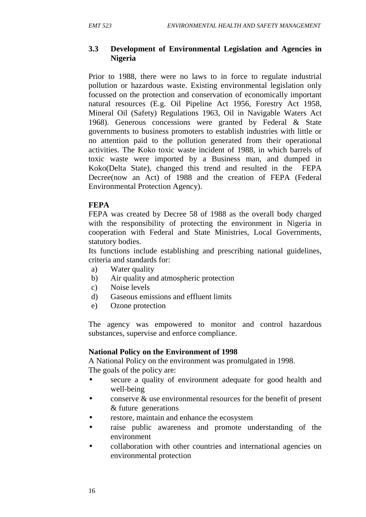#### **3.3 Development of Environmental Legislation and Agencies in Nigeria**

Prior to 1988, there were no laws to in force to regulate industrial pollution or hazardous waste. Existing environmental legislation only focussed on the protection and conservation of economically important natural resources (E.g. Oil Pipeline Act 1956, Forestry Act 1958, Mineral Oil (Safety) Regulations 1963, Oil in Navigable Waters Act 1968). Generous concessions were granted by Federal & State governments to business promoters to establish industries with little or no attention paid to the pollution generated from their operational activities. The Koko toxic waste incident of 1988, in which barrels of toxic waste were imported by a Business man, and dumped in Koko(Delta State), changed this trend and resulted in the FEPA Decree(now an Act) of 1988 and the creation of FEPA (Federal Environmental Protection Agency).

#### **FEPA**

FEPA was created by Decree 58 of 1988 as the overall body charged with the responsibility of protecting the environment in Nigeria in cooperation with Federal and State Ministries, Local Governments, statutory bodies.

Its functions include establishing and prescribing national guidelines, criteria and standards for:

- a) Water quality
- b) Air quality and atmospheric protection
- c) Noise levels
- d) Gaseous emissions and effluent limits
- e) Ozone protection

The agency was empowered to monitor and control hazardous substances, supervise and enforce compliance.

#### **National Policy on the Environment of 1998**

A National Policy on the environment was promulgated in 1998. The goals of the policy are:

- secure a quality of environment adequate for good health and well-being
- conserve & use environmental resources for the benefit of present & future generations
- restore, maintain and enhance the ecosystem
- raise public awareness and promote understanding of the environment
- collaboration with other countries and international agencies on environmental protection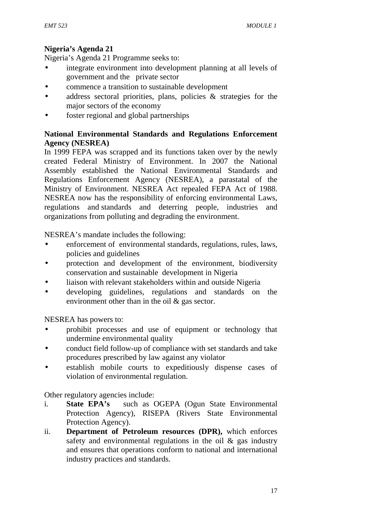# **Nigeria's Agenda 21**

Nigeria's Agenda 21 Programme seeks to:

- integrate environment into development planning at all levels of government and the private sector
- commence a transition to sustainable development
- address sectoral priorities, plans, policies & strategies for the major sectors of the economy
- foster regional and global partnerships

#### **National Environmental Standards and Regulations Enforcement Agency (NESREA)**

In 1999 FEPA was scrapped and its functions taken over by the newly created Federal Ministry of Environment. In 2007 the National Assembly established the National Environmental Standards and Regulations Enforcement Agency (NESREA), a parastatal of the Ministry of Environment. NESREA Act repealed FEPA Act of 1988. NESREA now has the responsibility of enforcing environmental Laws, regulations and standards and deterring people, industries and organizations from polluting and degrading the environment.

NESREA's mandate includes the following:

- enforcement of environmental standards, regulations, rules, laws, policies and guidelines
- protection and development of the environment, biodiversity conservation and sustainable development in Nigeria
- liaison with relevant stakeholders within and outside Nigeria
- developing guidelines, regulations and standards on the environment other than in the oil & gas sector.

NESREA has powers to:

- prohibit processes and use of equipment or technology that undermine environmental quality
- conduct field follow-up of compliance with set standards and take procedures prescribed by law against any violator
- establish mobile courts to expeditiously dispense cases of violation of environmental regulation.

Other regulatory agencies include:

- i. **State EPA's** such as OGEPA (Ogun State Environmental Protection Agency), RISEPA (Rivers State Environmental Protection Agency).
- ii. **Department of Petroleum resources (DPR),** which enforces safety and environmental regulations in the oil  $\&$  gas industry and ensures that operations conform to national and international industry practices and standards.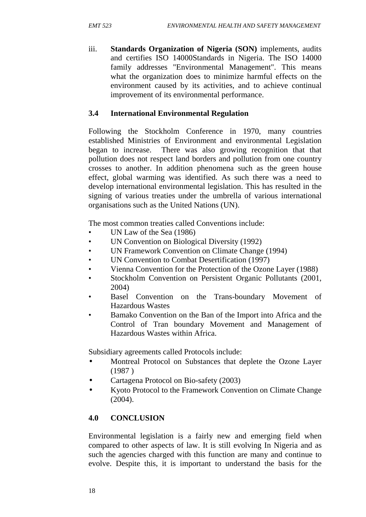iii. **Standards Organization of Nigeria (SON)** implements, audits and certifies ISO 14000Standards in Nigeria. The ISO 14000 family addresses "Environmental Management". This means what the organization does to minimize harmful effects on the environment caused by its activities, and to achieve continual improvement of its environmental performance.

### **3.4 International Environmental Regulation**

Following the Stockholm Conference in 1970, many countries established Ministries of Environment and environmental Legislation began to increase. There was also growing recognition that that pollution does not respect land borders and pollution from one country crosses to another. In addition phenomena such as the green house effect, global warming was identified. As such there was a need to develop international environmental legislation. This has resulted in the signing of various treaties under the umbrella of various international organisations such as the United Nations (UN).

The most common treaties called Conventions include:

- UN Law of the Sea (1986)
- UN Convention on Biological Diversity (1992)
- UN Framework Convention on Climate Change (1994)
- UN Convention to Combat Desertification (1997)
- Vienna Convention for the Protection of the Ozone Layer (1988)
- Stockholm Convention on Persistent Organic Pollutants (2001, 2004)
- Basel Convention on the Trans-boundary Movement of Hazardous Wastes
- Bamako Convention on the Ban of the Import into Africa and the Control of Tran boundary Movement and Management of Hazardous Wastes within Africa.

Subsidiary agreements called Protocols include:

- Montreal Protocol on Substances that deplete the Ozone Layer (1987 )
- Cartagena Protocol on Bio-safety (2003)
- Kyoto Protocol to the Framework Convention on Climate Change (2004).

# **4.0 CONCLUSION**

Environmental legislation is a fairly new and emerging field when compared to other aspects of law. It is still evolving In Nigeria and as such the agencies charged with this function are many and continue to evolve. Despite this, it is important to understand the basis for the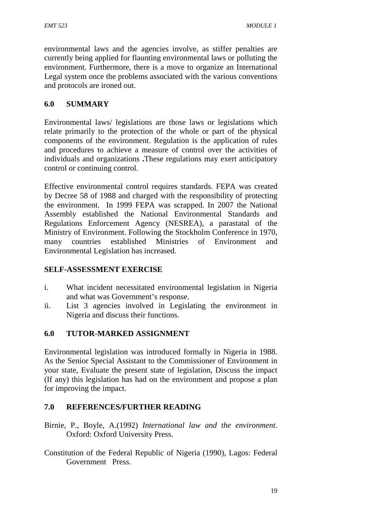environmental laws and the agencies involve, as stiffer penalties are currently being applied for flaunting environmental laws or polluting the environment. Furthermore, there is a move to organize an International Legal system once the problems associated with the various conventions and protocols are ironed out.

# **6.0 SUMMARY**

Environmental laws/ legislations are those laws or legislations which relate primarily to the protection of the whole or part of the physical components of the environment. Regulation is the application of rules and procedures to achieve a measure of control over the activities of individuals and organizations **.**These regulations may exert anticipatory control or continuing control.

Effective environmental control requires standards. FEPA was created by Decree 58 of 1988 and charged with the responsibility of protecting the environment. In 1999 FEPA was scrapped. In 2007 the National Assembly established the National Environmental Standards and Regulations Enforcement Agency (NESREA), a parastatal of the Ministry of Environment. Following the Stockholm Conference in 1970, many countries established Ministries of Environment and Environmental Legislation has increased.

#### **SELF-ASSESSMENT EXERCISE**

- i. What incident necessitated environmental legislation in Nigeria and what was Government's response.
- ii. List 3 agencies involved in Legislating the environment in Nigeria and discuss their functions.

# **6.0 TUTOR-MARKED ASSIGNMENT**

Environmental legislation was introduced formally in Nigeria in 1988. As the Senior Special Assistant to the Commissioner of Environment in your state, Evaluate the present state of legislation, Discuss the impact (If any) this legislation has had on the environment and propose a plan for improving the impact.

# **7.0 REFERENCES/FURTHER READING**

- Birnie, P., Boyle, A.(1992) *International law and the environment*. Oxford: Oxford University Press.
- Constitution of the Federal Republic of Nigeria (1990), Lagos: Federal Government Press.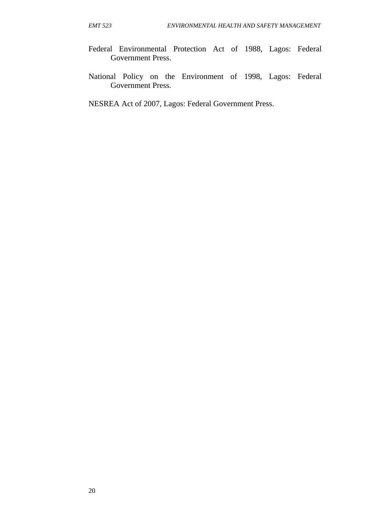- Federal Environmental Protection Act of 1988, Lagos: Federal Government Press.
- National Policy on the Environment of 1998, Lagos: Federal Government Press.

NESREA Act of 2007, Lagos: Federal Government Press.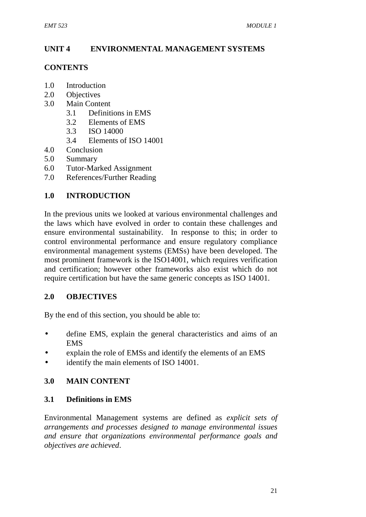# **UNIT 4 ENVIRONMENTAL MANAGEMENT SYSTEMS**

#### **CONTENTS**

- 1.0 Introduction
- 2.0 Objectives
- 3.0 Main Content
	- 3.1 Definitions in EMS
	- 3.2 Elements of EMS
	- 3.3 ISO 14000
	- 3.4 Elements of ISO 14001
- 4.0 Conclusion
- 5.0 Summary
- 6.0 Tutor-Marked Assignment
- 7.0 References/Further Reading

# **1.0 INTRODUCTION**

In the previous units we looked at various environmental challenges and the laws which have evolved in order to contain these challenges and ensure environmental sustainability. In response to this; in order to control environmental performance and ensure regulatory compliance environmental management systems (EMSs) have been developed. The most prominent framework is the ISO14001, which requires verification and certification; however other frameworks also exist which do not require certification but have the same generic concepts as ISO 14001.

#### **2.0 OBJECTIVES**

By the end of this section, you should be able to:

- define EMS, explain the general characteristics and aims of an EMS
- explain the role of EMSs and identify the elements of an EMS
- identify the main elements of ISO 14001.

# **3.0 MAIN CONTENT**

#### **3.1 Definitions in EMS**

Environmental Management systems are defined as *explicit sets of arrangements and processes designed to manage environmental issues and ensure that organizations environmental performance goals and objectives are achieved*.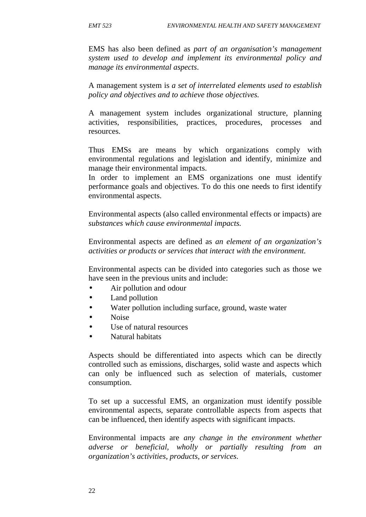EMS has also been defined as *part of an organisation's management system used to develop and implement its environmental policy and manage its environmental aspects*.

A management system is *a set of interrelated elements used to establish policy and objectives and to achieve those objectives.*

A management system includes organizational structure, planning activities, responsibilities, practices, procedures, processes and resources.

Thus EMSs are means by which organizations comply with environmental regulations and legislation and identify, minimize and manage their environmental impacts.

In order to implement an EMS organizations one must identify performance goals and objectives. To do this one needs to first identify environmental aspects.

Environmental aspects (also called environmental effects or impacts) are *substances which cause environmental impacts.*

Environmental aspects are defined as *an element of an organization's activities or products or services that interact with the environment.*

Environmental aspects can be divided into categories such as those we have seen in the previous units and include:

- Air pollution and odour
- Land pollution
- Water pollution including surface, ground, waste water
- Noise
- Use of natural resources
- Natural habitats

Aspects should be differentiated into aspects which can be directly controlled such as emissions, discharges, solid waste and aspects which can only be influenced such as selection of materials, customer consumption.

To set up a successful EMS, an organization must identify possible environmental aspects, separate controllable aspects from aspects that can be influenced, then identify aspects with significant impacts.

Environmental impacts are *any change in the environment whether adverse or beneficial, wholly or partially resulting from an organization's activities, products, or services.*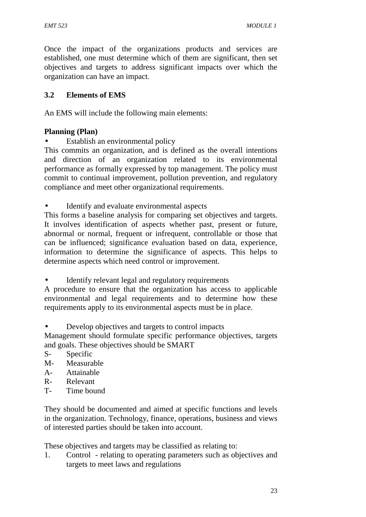Once the impact of the organizations products and services are established, one must determine which of them are significant, then set objectives and targets to address significant impacts over which the organization can have an impact.

#### **3.2 Elements of EMS**

An EMS will include the following main elements:

### **Planning (Plan)**

Establish an environmental policy

This commits an organization, and is defined as the overall intentions and direction of an organization related to its environmental performance as formally expressed by top management. The policy must commit to continual improvement, pollution prevention, and regulatory compliance and meet other organizational requirements.

Identify and evaluate environmental aspects

This forms a baseline analysis for comparing set objectives and targets. It involves identification of aspects whether past, present or future, abnormal or normal, frequent or infrequent, controllable or those that can be influenced; significance evaluation based on data, experience, information to determine the significance of aspects. This helps to determine aspects which need control or improvement.

Identify relevant legal and regulatory requirements

A procedure to ensure that the organization has access to applicable environmental and legal requirements and to determine how these requirements apply to its environmental aspects must be in place.

Develop objectives and targets to control impacts

Management should formulate specific performance objectives, targets and goals. These objectives should be SMART

- S- Specific
- M- Measurable
- A- Attainable
- R- Relevant
- T- Time bound

They should be documented and aimed at specific functions and levels in the organization. Technology, finance, operations, business and views of interested parties should be taken into account.

These objectives and targets may be classified as relating to:

1. Control - relating to operating parameters such as objectives and targets to meet laws and regulations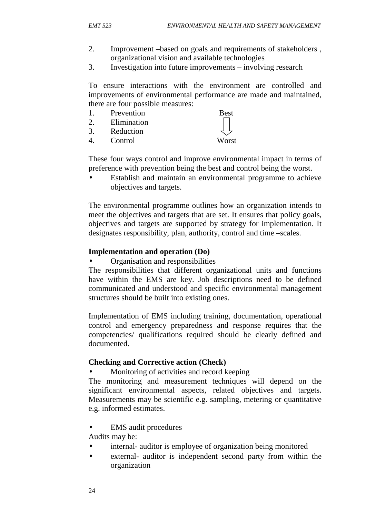- 2. Improvement –based on goals and requirements of stakeholders , organizational vision and available technologies
- 3. Investigation into future improvements involving research

To ensure interactions with the environment are controlled and improvements of environmental performance are made and maintained, there are four possible measures:

- 1. Prevention Best
- 2. Elimination
- 3. Reduction
- 4. Control Worst

These four ways control and improve environmental impact in terms of preference with prevention being the best and control being the worst.

 Establish and maintain an environmental programme to achieve objectives and targets.

The environmental programme outlines how an organization intends to meet the objectives and targets that are set. It ensures that policy goals, objectives and targets are supported by strategy for implementation. It designates responsibility, plan, authority, control and time –scales.

#### **Implementation and operation (Do)**

Organisation and responsibilities

The responsibilities that different organizational units and functions have within the EMS are key. Job descriptions need to be defined communicated and understood and specific environmental management structures should be built into existing ones.

Implementation of EMS including training, documentation, operational control and emergency preparedness and response requires that the competencies/ qualifications required should be clearly defined and documented.

#### **Checking and Corrective action (Check)**

Monitoring of activities and record keeping

The monitoring and measurement techniques will depend on the significant environmental aspects, related objectives and targets. Measurements may be scientific e.g. sampling, metering or quantitative e.g. informed estimates.

EMS audit procedures

Audits may be:

- internal- auditor is employee of organization being monitored
- external- auditor is independent second party from within the organization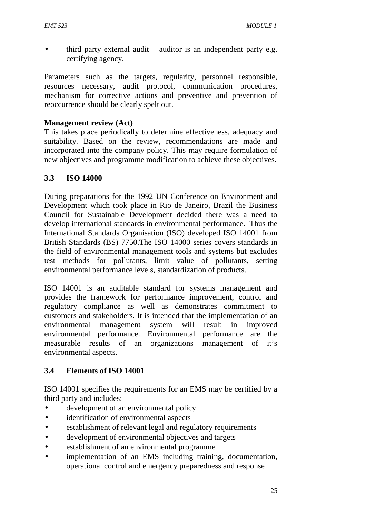third party external audit – auditor is an independent party e.g. certifying agency.

Parameters such as the targets, regularity, personnel responsible, resources necessary, audit protocol, communication procedures, mechanism for corrective actions and preventive and prevention of reoccurrence should be clearly spelt out.

#### **Management review (Act)**

This takes place periodically to determine effectiveness, adequacy and suitability. Based on the review, recommendations are made and incorporated into the company policy. This may require formulation of new objectives and programme modification to achieve these objectives.

### **3.3 ISO 14000**

During preparations for the 1992 UN Conference on Environment and Development which took place in Rio de Janeiro, Brazil the Business Council for Sustainable Development decided there was a need to develop international standards in environmental performance. Thus the International Standards Organisation (ISO) developed ISO 14001 from British Standards (BS) 7750.The ISO 14000 series covers standards in the field of environmental management tools and systems but excludes test methods for pollutants, limit value of pollutants, setting environmental performance levels, standardization of products.

ISO 14001 is an auditable standard for systems management and provides the framework for performance improvement, control and regulatory compliance as well as demonstrates commitment to customers and stakeholders. It is intended that the implementation of an environmental management system will result in improved environmental performance. Environmental performance are the measurable results of an organizations management of it's environmental aspects.

# **3.4 Elements of ISO 14001**

ISO 14001 specifies the requirements for an EMS may be certified by a third party and includes:

- development of an environmental policy
- identification of environmental aspects
- establishment of relevant legal and regulatory requirements
- development of environmental objectives and targets
- establishment of an environmental programme
- implementation of an EMS including training, documentation, operational control and emergency preparedness and response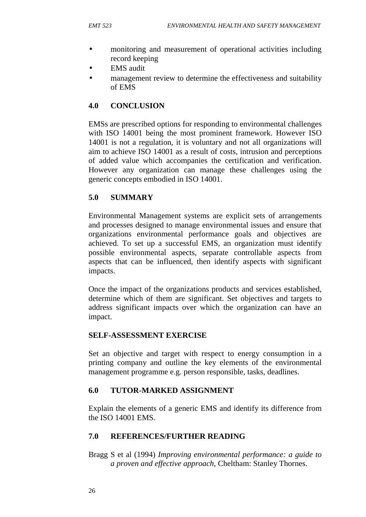- monitoring and measurement of operational activities including record keeping
- EMS audit
- management review to determine the effectiveness and suitability of EMS

### **4.0 CONCLUSION**

EMSs are prescribed options for responding to environmental challenges with ISO 14001 being the most prominent framework. However ISO 14001 is not a regulation, it is voluntary and not all organizations will aim to achieve ISO 14001 as a result of costs, intrusion and perceptions of added value which accompanies the certification and verification. However any organization can manage these challenges using the generic concepts embodied in ISO 14001.

### **5.0 SUMMARY**

Environmental Management systems are explicit sets of arrangements and processes designed to manage environmental issues and ensure that organizations environmental performance goals and objectives are achieved. To set up a successful EMS, an organization must identify possible environmental aspects, separate controllable aspects from aspects that can be influenced, then identify aspects with significant impacts.

Once the impact of the organizations products and services established, determine which of them are significant. Set objectives and targets to address significant impacts over which the organization can have an impact.

#### **SELF-ASSESSMENT EXERCISE**

Set an objective and target with respect to energy consumption in a printing company and outline the key elements of the environmental management programme e.g. person responsible, tasks, deadlines.

#### **6.0 TUTOR-MARKED ASSIGNMENT**

Explain the elements of a generic EMS and identify its difference from the ISO 14001 EMS.

#### **7.0 REFERENCES/FURTHER READING**

Bragg S et al (1994) *Improving environmental performance: a guide to a proven and effective approach*, Cheltham: Stanley Thornes.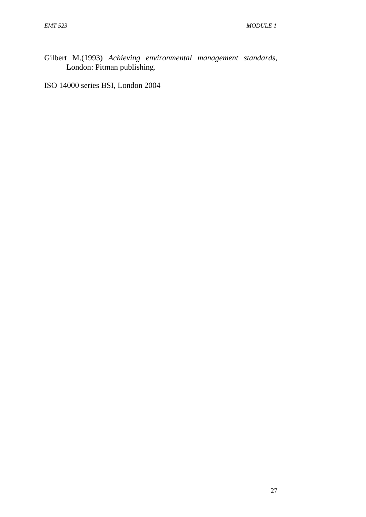Gilbert M.(1993) *Achieving environmental management standards*, London: Pitman publishing.

ISO 14000 series BSI, London 2004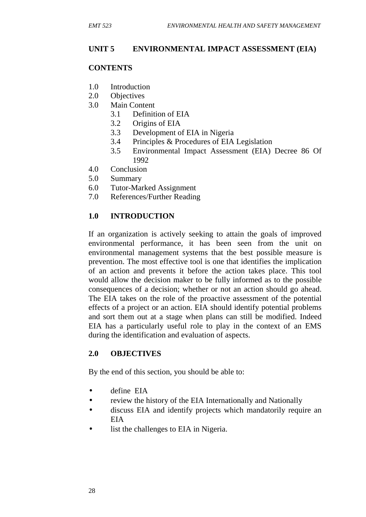### **UNIT 5 ENVIRONMENTAL IMPACT ASSESSMENT (EIA)**

#### **CONTENTS**

- 1.0 Introduction
- 2.0 Objectives
- 3.0 Main Content
	- 3.1 Definition of EIA
	- 3.2 Origins of EIA
	- 3.3 Development of EIA in Nigeria
	- 3.4 Principles & Procedures of EIA Legislation
	- 3.5 Environmental Impact Assessment (EIA) Decree 86 Of 1992
- 4.0 Conclusion
- 5.0 Summary
- 6.0 Tutor-Marked Assignment
- 7.0 References/Further Reading

### **1.0 INTRODUCTION**

If an organization is actively seeking to attain the goals of improved environmental performance, it has been seen from the unit on environmental management systems that the best possible measure is prevention. The most effective tool is one that identifies the implication of an action and prevents it before the action takes place. This tool would allow the decision maker to be fully informed as to the possible consequences of a decision; whether or not an action should go ahead. The EIA takes on the role of the proactive assessment of the potential effects of a project or an action. EIA should identify potential problems and sort them out at a stage when plans can still be modified. Indeed EIA has a particularly useful role to play in the context of an EMS during the identification and evaluation of aspects.

#### **2.0 OBJECTIVES**

By the end of this section, you should be able to:

- define EIA
- review the history of the EIA Internationally and Nationally
- discuss EIA and identify projects which mandatorily require an EIA
- list the challenges to EIA in Nigeria.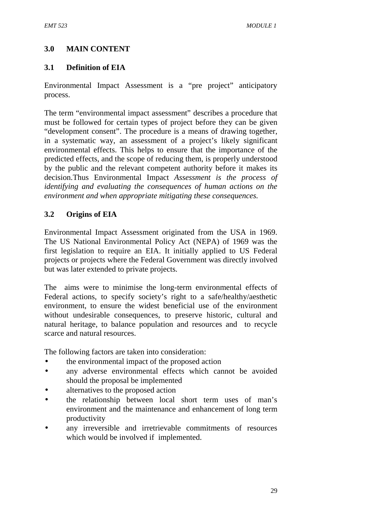## **3.0 MAIN CONTENT**

### **3.1 Definition of EIA**

Environmental Impact Assessment is a "pre project" anticipatory process.

The term "environmental impact assessment" describes a procedure that must be followed for certain types of project before they can be given "development consent". The procedure is a means of drawing together, in a systematic way, an assessment of a project's likely significant environmental effects. This helps to ensure that the importance of the predicted effects, and the scope of reducing them, is properly understood by the public and the relevant competent authority before it makes its decision.Thus Environmental Impact *Assessment is the process of identifying and evaluating the consequences of human actions on the environment and when appropriate mitigating these consequences.*

## **3.2 Origins of EIA**

Environmental Impact Assessment originated from the USA in 1969. The US National Environmental Policy Act (NEPA) of 1969 was the first legislation to require an EIA. It initially applied to US Federal projects or projects where the Federal Government was directly involved but was later extended to private projects.

The aims were to minimise the long-term environmental effects of Federal actions, to specify society's right to a safe/healthy/aesthetic environment, to ensure the widest beneficial use of the environment without undesirable consequences, to preserve historic, cultural and natural heritage, to balance population and resources and to recycle scarce and natural resources.

The following factors are taken into consideration:

- the environmental impact of the proposed action
- any adverse environmental effects which cannot be avoided should the proposal be implemented
- alternatives to the proposed action
- the relationship between local short term uses of man's environment and the maintenance and enhancement of long term productivity
- any irreversible and irretrievable commitments of resources which would be involved if implemented.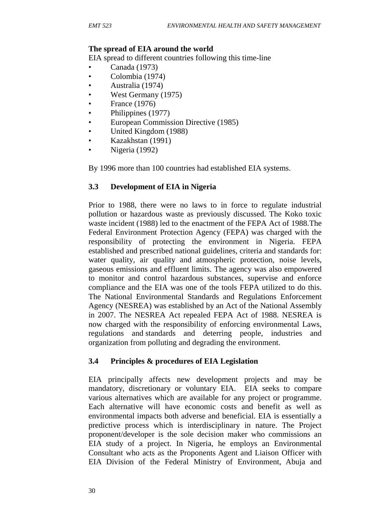#### **The spread of EIA around the world**

EIA spread to different countries following this time-line

- Canada (1973)
- Colombia (1974)
- Australia (1974)
- West Germany (1975)
- France (1976)
- Philippines (1977)
- European Commission Directive (1985)
- United Kingdom (1988)
- Kazakhstan (1991)
- Nigeria (1992)

By 1996 more than 100 countries had established EIA systems.

### **3.3 Development of EIA in Nigeria**

Prior to 1988, there were no laws to in force to regulate industrial pollution or hazardous waste as previously discussed. The Koko toxic waste incident (1988) led to the enactment of the FEPA Act of 1988.The Federal Environment Protection Agency (FEPA) was charged with the responsibility of protecting the environment in Nigeria. FEPA established and prescribed national guidelines, criteria and standards for: water quality, air quality and atmospheric protection, noise levels, gaseous emissions and effluent limits. The agency was also empowered to monitor and control hazardous substances, supervise and enforce compliance and the EIA was one of the tools FEPA utilized to do this. The National Environmental Standards and Regulations Enforcement Agency (NESREA) was established by an Act of the National Assembly in 2007. The NESREA Act repealed FEPA Act of 1988. NESREA is now charged with the responsibility of enforcing environmental Laws, regulations and standards and deterring people, industries and organization from polluting and degrading the environment.

## **3.4 Principles & procedures of EIA Legislation**

EIA principally affects new development projects and may be mandatory, discretionary or voluntary EIA. EIA seeks to compare various alternatives which are available for any project or programme. Each alternative will have economic costs and benefit as well as environmental impacts both adverse and beneficial. EIA is essentially a predictive process which is interdisciplinary in nature. The Project proponent/developer is the sole decision maker who commissions an EIA study of a project. In Nigeria, he employs an Environmental Consultant who acts as the Proponents Agent and Liaison Officer with EIA Division of the Federal Ministry of Environment, Abuja and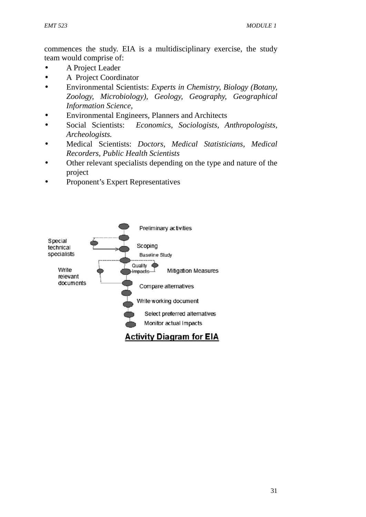commences the study. EIA is a multidisciplinary exercise, the study team would comprise of:

- A Project Leader
- A Project Coordinator
- Environmental Scientists: *Experts in Chemistry, Biology (Botany, Zoology, Microbiology), Geology, Geography, Geographical Information Science,*
- Environmental Engineers, Planners and Architects
- Social Scientists: *Economics, Sociologists, Anthropologists, Archeologists.*
- Medical Scientists: *Doctors, Medical Statisticians, Medical Recorders, Public Health Scientists*
- Other relevant specialists depending on the type and nature of the project
- Proponent's Expert Representatives

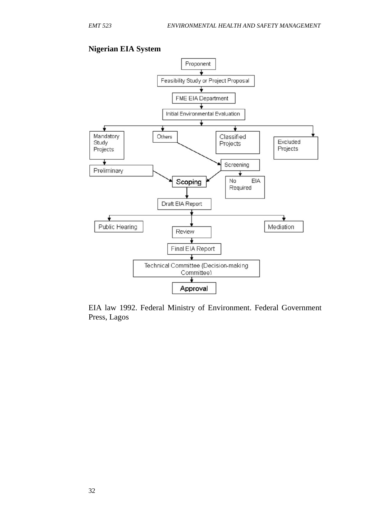#### **Nigerian EIA System**



EIA law 1992. Federal Ministry of Environment. Federal Government Press, Lagos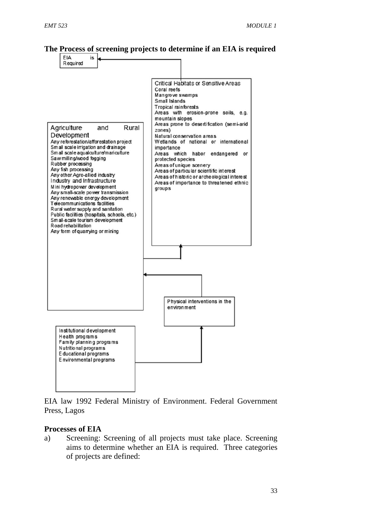### **The Process of screening projects to determine if an EIA is required**



EIA law 1992 Federal Ministry of Environment. Federal Government Press, Lagos

#### **Processes of EIA**

a) Screening: Screening of all projects must take place. Screening aims to determine whether an EIA is required. Three categories of projects are defined: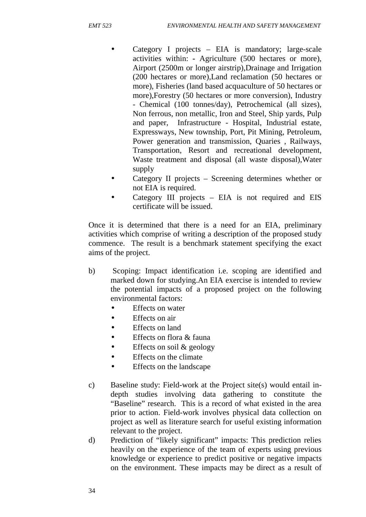- Category I projects EIA is mandatory; large-scale activities within: **-** Agriculture (500 hectares or more), Airport (2500m or longer airstrip),Drainage and Irrigation (200 hectares or more),Land reclamation (50 hectares or more), Fisheries (land based acquaculture of 50 hectares or more),Forestry (50 hectares or more conversion), Industry - Chemical (100 tonnes/day), Petrochemical (all sizes), Non ferrous, non metallic, Iron and Steel, Ship yards, Pulp and paper, Infrastructure - Hospital, Industrial estate, Expressways, New township, Port, Pit Mining, Petroleum, Power generation and transmission, Quaries , Railways, Transportation, Resort and recreational development, Waste treatment and disposal (all waste disposal),Water supply
- Category II projects Screening determines whether or not EIA is required.
- Category III projects EIA is not required and EIS certificate will be issued.

Once it is determined that there is a need for an EIA, preliminary activities which comprise of writing a description of the proposed study commence. The result is a benchmark statement specifying the exact aims of the project.

- b) Scoping: Impact identification i.e. scoping are identified and marked down for studying.An EIA exercise is intended to review the potential impacts of a proposed project on the following environmental factors:
	- Effects on water
	- Effects on air
	- Effects on land
	- Effects on flora & fauna
	- $\bullet$  Effects on soil & geology
	- Effects on the climate
	- Effects on the landscape
- c) Baseline study: Field-work at the Project site(s) would entail in depth studies involving data gathering to constitute the "Baseline" research. This is a record of what existed in the area prior to action. Field-work involves physical data collection on project as well as literature search for useful existing information relevant to the project.
- d) Prediction of "likely significant" impacts: This prediction relies heavily on the experience of the team of experts using previous knowledge or experience to predict positive or negative impacts on the environment. These impacts may be direct as a result of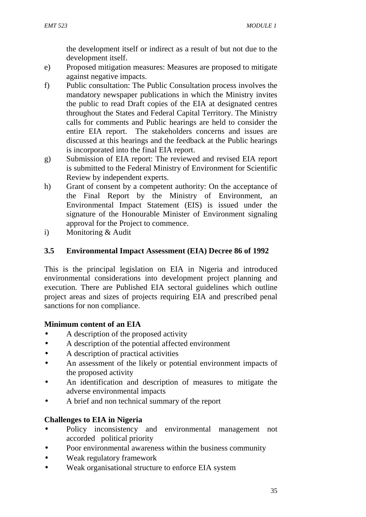the development itself or indirect as a result of but not due to the development itself.

- e) Proposed mitigation measures: Measures are proposed to mitigate against negative impacts.
- f) Public consultation: The Public Consultation process involves the mandatory newspaper publications in which the Ministry invites the public to read Draft copies of the EIA at designated centres throughout the States and Federal Capital Territory. The Ministry calls for comments and Public hearings are held to consider the entire EIA report. The stakeholders concerns and issues are discussed at this hearings and the feedback at the Public hearings is incorporated into the final EIA report.
- g) Submission of EIA report: The reviewed and revised EIA report is submitted to the Federal Ministry of Environment for Scientific Review by independent experts.
- h) Grant of consent by a competent authority: On the acceptance of the Final Report by the Ministry of Environment, an Environmental Impact Statement (EIS) is issued under the signature of the Honourable Minister of Environment signaling approval for the Project to commence.
- i) Monitoring & Audit

## **3.5 Environmental Impact Assessment (EIA) Decree 86 of 1992**

This is the principal legislation on EIA in Nigeria and introduced environmental considerations into development project planning and execution. There are Published EIA sectoral guidelines which outline project areas and sizes of projects requiring EIA and prescribed penal sanctions for non compliance.

## **Minimum content of an EIA**

- A description of the proposed activity
- A description of the potential affected environment
- A description of practical activities
- An assessment of the likely or potential environment impacts of the proposed activity
- An identification and description of measures to mitigate the adverse environmental impacts
- A brief and non technical summary of the report

## **Challenges to EIA in Nigeria**

- Policy inconsistency and environmental management not accorded political priority
- Poor environmental awareness within the business community
- Weak regulatory framework
- Weak organisational structure to enforce EIA system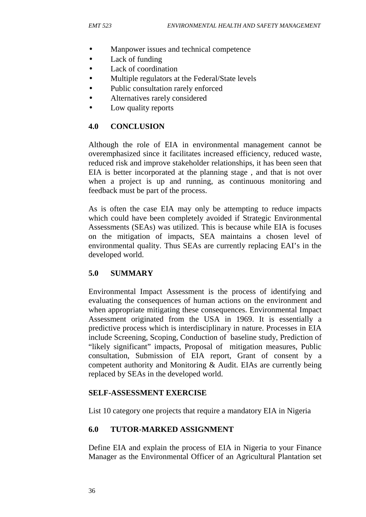- Manpower issues and technical competence
- Lack of funding
- Lack of coordination
- Multiple regulators at the Federal/State levels
- Public consultation rarely enforced
- Alternatives rarely considered
- Low quality reports

### **4.0 CONCLUSION**

Although the role of EIA in environmental management cannot be overemphasized since it facilitates increased efficiency, reduced waste, reduced risk and improve stakeholder relationships, it has been seen that EIA is better incorporated at the planning stage , and that is not over when a project is up and running, as continuous monitoring and feedback must be part of the process.

As is often the case EIA may only be attempting to reduce impacts which could have been completely avoided if Strategic Environmental Assessments (SEAs) was utilized. This is because while EIA is focuses on the mitigation of impacts, SEA maintains a chosen level of environmental quality. Thus SEAs are currently replacing EAI's in the developed world.

## **5.0 SUMMARY**

Environmental Impact Assessment is the process of identifying and evaluating the consequences of human actions on the environment and when appropriate mitigating these consequences. Environmental Impact Assessment originated from the USA in 1969. It is essentially a predictive process which is interdisciplinary in nature. Processes in EIA include Screening, Scoping, Conduction of baseline study, Prediction of "likely significant" impacts, Proposal of mitigation measures, Public consultation, Submission of EIA report, Grant of consent by a competent authority and Monitoring & Audit. EIAs are currently being replaced by SEAs in the developed world.

#### **SELF-ASSESSMENT EXERCISE**

List 10 category one projects that require a mandatory EIA in Nigeria

#### **6.0 TUTOR-MARKED ASSIGNMENT**

Define EIA and explain the process of EIA in Nigeria to your Finance Manager as the Environmental Officer of an Agricultural Plantation set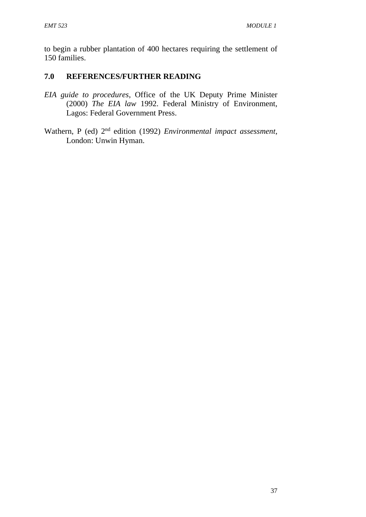to begin a rubber plantation of 400 hectares requiring the settlement of 150 families.

## **7.0 REFERENCES/FURTHER READING**

- *EIA guide to procedures*, Office of the UK Deputy Prime Minister (2000) *The EIA law* 1992. Federal Ministry of Environment, Lagos: Federal Government Press.
- Wathern, P (ed) 2nd edition (1992) *Environmental impact assessment*, London: Unwin Hyman.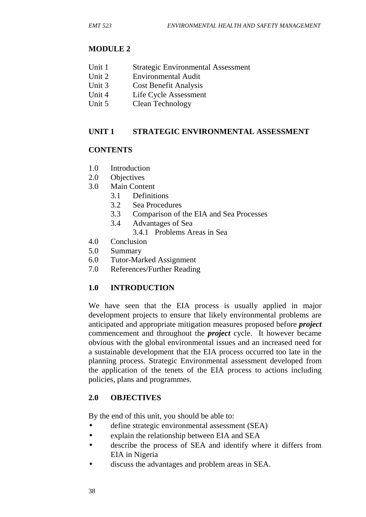# **MODULE 2**

- Unit 1 Strategic Environmental Assessment
- Unit 2 Environmental Audit
- Unit 3 Cost Benefit Analysis
- Unit 4 Life Cycle Assessment
- Unit 5 Clean Technology

# **UNIT 1 STRATEGIC ENVIRONMENTAL ASSESSMENT**

# **CONTENTS**

- 1.0 Introduction
- 2.0 Objectives
- 3.0 Main Content
	- 3.1 Definitions
	- 3.2 Sea Procedures
	- 3.3 Comparison of the EIA and Sea Processes
	- 3.4 Advantages of Sea
		- 3.4.1 Problems Areas in Sea
- 4.0 Conclusion
- 5.0 Summary
- 6.0 Tutor-Marked Assignment
- 7.0 References/Further Reading

# **1.0 INTRODUCTION**

We have seen that the EIA process is usually applied in major development projects to ensure that likely environmental problems are anticipated and appropriate mitigation measures proposed before *project* commencement and throughout the *project* cycle. It however became obvious with the global environmental issues and an increased need for a sustainable development that the EIA process occurred too late in the planning process. Strategic Environmental assessment developed from the application of the tenets of the EIA process to actions including policies, plans and programmes.

## **2.0 OBJECTIVES**

By the end of this unit, you should be able to:

- define strategic environmental assessment (SEA)
- explain the relationship between EIA and SEA
- describe the process of SEA and identify where it differs from EIA in Nigeria
- discuss the advantages and problem areas in SEA.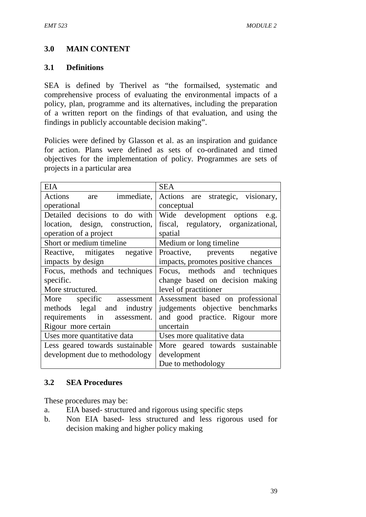## **3.0 MAIN CONTENT**

#### **3.1 Definitions**

SEA is defined by Therivel as "the formailsed, systematic and comprehensive process of evaluating the environmental impacts of a policy, plan, programme and its alternatives, including the preparation of a written report on the findings of that evaluation, and using the findings in publicly accountable decision making".

Policies were defined by Glasson et al. as an inspiration and guidance for action. Plans were defined as sets of co-ordinated and timed objectives for the implementation of policy. Programmes are sets of projects in a particular area

| <b>EIA</b>                      | <b>SEA</b>                          |  |  |
|---------------------------------|-------------------------------------|--|--|
| Actions are<br>immediate,       | Actions are strategic, visionary,   |  |  |
| operational                     | conceptual                          |  |  |
| Detailed decisions to do with   | Wide development options e.g.       |  |  |
| location, design, construction, | fiscal, regulatory, organizational, |  |  |
| operation of a project          | spatial                             |  |  |
| Short or medium timeline        | Medium or long timeline             |  |  |
| Reactive, mitigates negative    | Proactive, prevents negative        |  |  |
| impacts by design               | impacts, promotes positive chances  |  |  |
| Focus, methods and techniques   | Focus, methods and techniques       |  |  |
| specific.                       | change based on decision making     |  |  |
| More structured.                | level of practitioner               |  |  |
| More specific assessment        | Assessment based on professional    |  |  |
| methods legal and industry      | judgements objective benchmarks     |  |  |
| requirements in assessment.     | and good practice. Rigour more      |  |  |
| Rigour more certain             | uncertain                           |  |  |
| Uses more quantitative data     | Uses more qualitative data          |  |  |
| Less geared towards sustainable | More geared towards sustainable     |  |  |
| development due to methodology  | development                         |  |  |
|                                 | Due to methodology                  |  |  |

#### **3.2 SEA Procedures**

These procedures may be:

- a. EIA based- structured and rigorous using specific steps
- b. Non EIA based- less structured and less rigorous used for decision making and higher policy making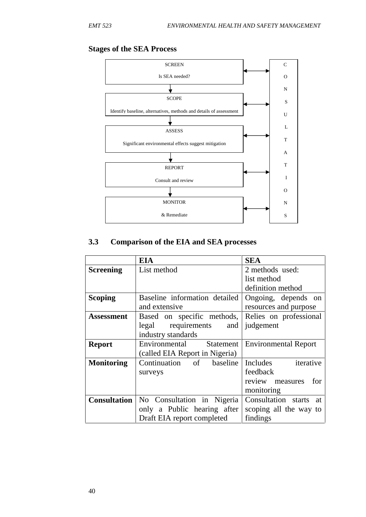#### **Stages of the SEA Process**



# **3.3 Comparison of the EIA and SEA processes**

|                   | <b>EIA</b>                                       | <b>SEA</b>                  |  |
|-------------------|--------------------------------------------------|-----------------------------|--|
| <b>Screening</b>  | List method                                      | 2 methods used:             |  |
|                   |                                                  | list method                 |  |
|                   |                                                  | definition method           |  |
| <b>Scoping</b>    | Baseline information detailed                    | Ongoing, depends on         |  |
|                   | and extensive                                    | resources and purpose       |  |
| <b>Assessment</b> | Based on specific methods,                       | Relies on professional      |  |
|                   | legal<br>requirements<br>and                     | judgement                   |  |
|                   | industry standards                               |                             |  |
| <b>Report</b>     | Environmental Statement                          | <b>Environmental Report</b> |  |
|                   | (called EIA Report in Nigeria)                   |                             |  |
| <b>Monitoring</b> | Continuation of baseline                         | iterative<br>Includes       |  |
|                   | surveys                                          | feedback                    |  |
|                   |                                                  | review measures for         |  |
|                   |                                                  | monitoring                  |  |
|                   | <b>Consultation</b>   No Consultation in Nigeria | Consultation starts at      |  |
|                   | only a Public hearing after                      | scoping all the way to      |  |
|                   | Draft EIA report completed                       | findings                    |  |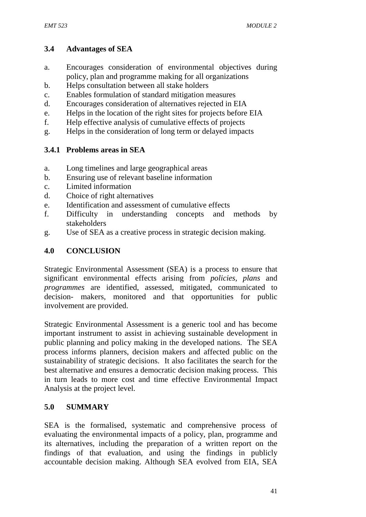### **3.4 Advantages of SEA**

- a. Encourages consideration of environmental objectives during policy, plan and programme making for all organizations
- b. Helps consultation between all stake holders
- c. Enables formulation of standard mitigation measures
- d. Encourages consideration of alternatives rejected in EIA
- e. Helps in the location of the right sites for projects before EIA
- f. Help effective analysis of cumulative effects of projects
- g. Helps in the consideration of long term or delayed impacts

## **3.4.1 Problems areas in SEA**

- a. Long timelines and large geographical areas
- b. Ensuring use of relevant baseline information
- c. Limited information
- d. Choice of right alternatives
- e. Identification and assessment of cumulative effects
- f. Difficulty in understanding concepts and methods by stakeholders
- g. Use of SEA as a creative process in strategic decision making.

## **4.0 CONCLUSION**

Strategic Environmental Assessment (SEA) is a process to ensure that significant environmental effects arising from *policies, plans* and *programmes* are identified, assessed, mitigated, communicated to decision- makers, monitored and that opportunities for public involvement are provided.

Strategic Environmental Assessment is a generic tool and has become important instrument to assist in achieving sustainable development in public planning and policy making in the developed nations. The SEA process informs planners, decision makers and affected public on the sustainability of strategic decisions. It also facilitates the search for the best alternative and ensures a democratic decision making process. This in turn leads to more cost and time effective Environmental Impact Analysis at the project level.

## **5.0 SUMMARY**

SEA is the formalised, systematic and comprehensive process of evaluating the environmental impacts of a policy, plan, programme and its alternatives, including the preparation of a written report on the findings of that evaluation, and using the findings in publicly accountable decision making. Although SEA evolved from EIA, SEA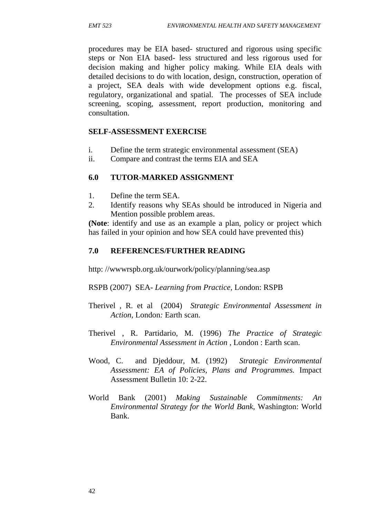procedures may be EIA based- structured and rigorous using specific steps or Non EIA based- less structured and less rigorous used for decision making and higher policy making. While EIA deals with detailed decisions to do with location, design, construction, operation of a project, SEA deals with wide development options e.g. fiscal, regulatory, organizational and spatial. The processes of SEA include screening, scoping, assessment, report production, monitoring and consultation.

#### **SELF-ASSESSMENT EXERCISE**

- i. Define the term strategic environmental assessment (SEA)
- ii. Compare and contrast the terms EIA and SEA

#### **6.0 TUTOR-MARKED ASSIGNMENT**

- 1. Define the term SEA.
- 2. Identify reasons why SEAs should be introduced in Nigeria and Mention possible problem areas.

**(Note**: identify and use as an example a plan, policy or project which has failed in your opinion and how SEA could have prevented this)

#### **7.0 REFERENCES/FURTHER READING**

http: //wwwrspb.org.uk/ourwork/policy/planning/sea.asp

RSPB (2007) SEA- *Learning from Practice,* London: RSPB

- Therivel , R. et al (2004) *Strategic Environmental Assessment in Action,* London*:* Earth scan.
- Therivel , R. Partidario, M. (1996) *The Practice of Strategic Environmental Assessment in Action* , London : Earth scan.
- Wood, C. and Djeddour, M. (1992) *Strategic Environmental Assessment: EA of Policies, Plans and Programmes.* Impact Assessment Bulletin 10: 2-22.
- World Bank (2001) *Making Sustainable Commitments: An Environmental Strategy for the World Bank,* Washington: World Bank.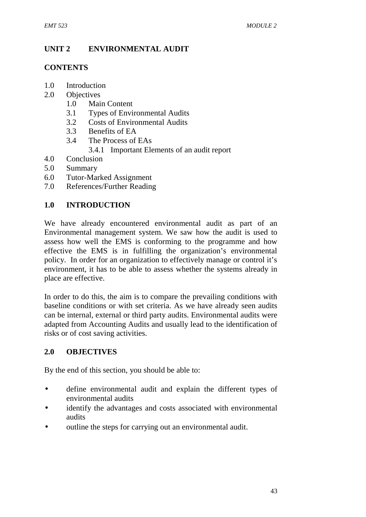# **UNIT 2 ENVIRONMENTAL AUDIT**

#### **CONTENTS**

- 1.0 Introduction
- 2.0 Objectives
	- 1.0 Main Content
	- 3.1 Types of Environmental Audits
	- 3.2 Costs of Environmental Audits
	- 3.3 Benefits of EA
	- 3.4 The Process of EAs
		- 3.4.1 Important Elements of an audit report
- 4.0 Conclusion
- 5.0 Summary
- 6.0 Tutor-Marked Assignment
- 7.0 References/Further Reading

## **1.0 INTRODUCTION**

We have already encountered environmental audit as part of an Environmental management system. We saw how the audit is used to assess how well the EMS is conforming to the programme and how effective the EMS is in fulfilling the organization's environmental policy. In order for an organization to effectively manage or control it's environment, it has to be able to assess whether the systems already in place are effective.

In order to do this, the aim is to compare the prevailing conditions with baseline conditions or with set criteria. As we have already seen audits can be internal, external or third party audits. Environmental audits were adapted from Accounting Audits and usually lead to the identification of risks or of cost saving activities.

## **2.0 OBJECTIVES**

By the end of this section, you should be able to:

- define environmental audit and explain the different types of environmental audits
- identify the advantages and costs associated with environmental audits
- outline the steps for carrying out an environmental audit.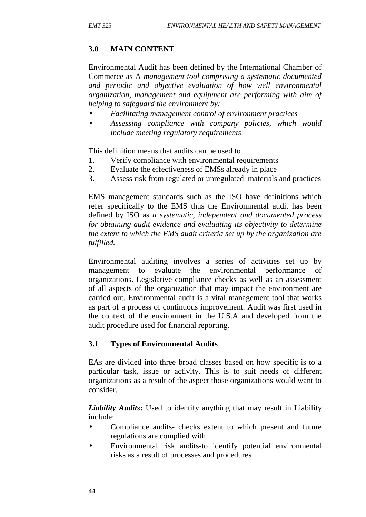## **3.0 MAIN CONTENT**

Environmental Audit has been defined by the International Chamber of Commerce as A *management tool comprising a systematic documented and periodic and objective evaluation of how well environmental organization, management and equipment are performing with aim of helping to safeguard the environment by:*

- *Facilitating management control of environment practices*
- *Assessing compliance with company policies, which would include meeting regulatory requirements*

This definition means that audits can be used to

- 1. Verify compliance with environmental requirements
- 2. Evaluate the effectiveness of EMSs already in place
- 3. Assess risk from regulated or unregulated materials and practices

EMS management standards such as the ISO have definitions which refer specifically to the EMS thus the Environmental audit has been defined by ISO as *a systematic, independent and documented process for obtaining audit evidence and evaluating its objectivity to determine the extent to which the EMS audit criteria set up by the organization are fulfilled.*

Environmental auditing involves a series of activities set up by management to evaluate the environmental performance of organizations. Legislative compliance checks as well as an assessment of all aspects of the organization that may impact the environment are carried out. Environmental audit is a vital management tool that works as part of a process of continuous improvement. Audit was first used in the context of the environment in the U.S.A and developed from the audit procedure used for financial reporting.

## **3.1 Types of Environmental Audits**

EAs are divided into three broad classes based on how specific is to a particular task, issue or activity. This is to suit needs of different organizations as a result of the aspect those organizations would want to consider.

*Liability Audits***:** Used to identify anything that may result in Liability include:

- Compliance audits- checks extent to which present and future regulations are complied with
- Environmental risk audits-to identify potential environmental risks as a result of processes and procedures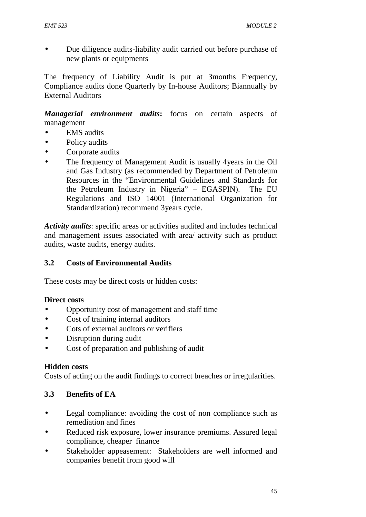Due diligence audits-liability audit carried out before purchase of new plants or equipments

The frequency of Liability Audit is put at 3months Frequency, Compliance audits done Quarterly by In-house Auditors; Biannually by External Auditors

*Managerial environment audits***:** focus on certain aspects of management

- EMS audits
- Policy audits
- Corporate audits
- The frequency of Management Audit is usually 4years in the Oil and Gas Industry (as recommended by Department of Petroleum Resources in the "Environmental Guidelines and Standards for the Petroleum Industry in Nigeria" – EGASPIN). The EU Regulations and ISO 14001 (International Organization for Standardization) recommend 3years cycle.

*Activity audits*: specific areas or activities audited and includes technical and management issues associated with area/ activity such as product audits, waste audits, energy audits.

#### **3.2 Costs of Environmental Audits**

These costs may be direct costs or hidden costs:

#### **Direct costs**

- Opportunity cost of management and staff time
- Cost of training internal auditors
- Cots of external auditors or verifiers
- Disruption during audit
- Cost of preparation and publishing of audit

#### **Hidden costs**

Costs of acting on the audit findings to correct breaches or irregularities.

#### **3.3 Benefits of EA**

- Legal compliance: avoiding the cost of non compliance such as remediation and fines
- Reduced risk exposure, lower insurance premiums. Assured legal compliance, cheaper finance
- Stakeholder appeasement: Stakeholders are well informed and companies benefit from good will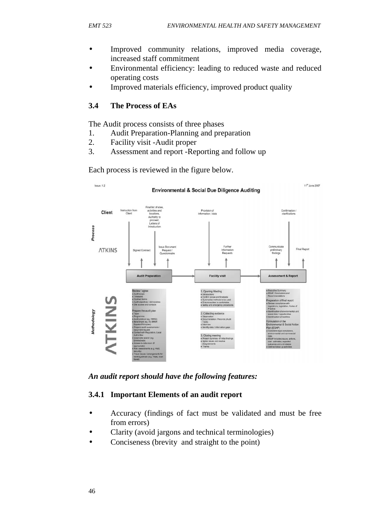- Improved community relations, improved media coverage, increased staff commitment
- Environmental efficiency: leading to reduced waste and reduced operating costs
- Improved materials efficiency, improved product quality

### **3.4 The Process of EAs**

The Audit process consists of three phases

- 1. Audit Preparation-Planning and preparation
- 2. Facility visit -Audit proper
- 3. Assessment and report -Reporting and follow up

Each process is reviewed in the figure below.



*An audit report should have the following features:*

#### **3.4.1 Important Elements of an audit report**

- Accuracy (findings of fact must be validated and must be free from errors)
- Clarity (avoid jargons and technical terminologies)
- Conciseness (brevity and straight to the point)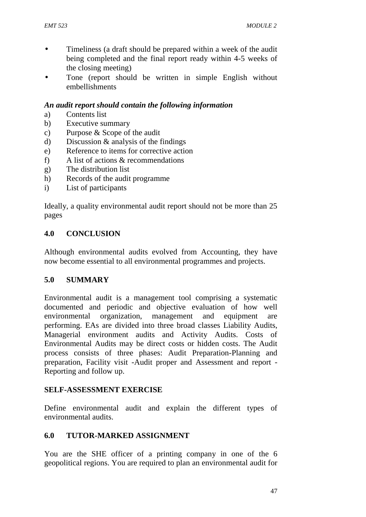- Timeliness (a draft should be prepared within a week of the audit being completed and the final report ready within 4-5 weeks of the closing meeting)
- Tone (report should be written in simple English without embellishments

#### *An audit report should contain the following information*

- a) Contents list
- b) Executive summary
- c) Purpose & Scope of the audit
- d) Discussion & analysis of the findings
- e) Reference to items for corrective action
- f) A list of actions & recommendations
- g) The distribution list
- h) Records of the audit programme
- i) List of participants

Ideally, a quality environmental audit report should not be more than 25 pages

#### **4.0 CONCLUSION**

Although environmental audits evolved from Accounting, they have now become essential to all environmental programmes and projects.

#### **5.0 SUMMARY**

Environmental audit is a management tool comprising a systematic documented and periodic and objective evaluation of how well environmental organization, management and equipment are performing. EAs are divided into three broad classes Liability Audits, Managerial environment audits and Activity Audits. Costs of Environmental Audits may be direct costs or hidden costs. The Audit process consists of three phases: Audit Preparation-Planning and preparation, Facility visit -Audit proper and Assessment and report - Reporting and follow up.

#### **SELF-ASSESSMENT EXERCISE**

Define environmental audit and explain the different types of environmental audits.

#### **6.0 TUTOR-MARKED ASSIGNMENT**

You are the SHE officer of a printing company in one of the 6 geopolitical regions. You are required to plan an environmental audit for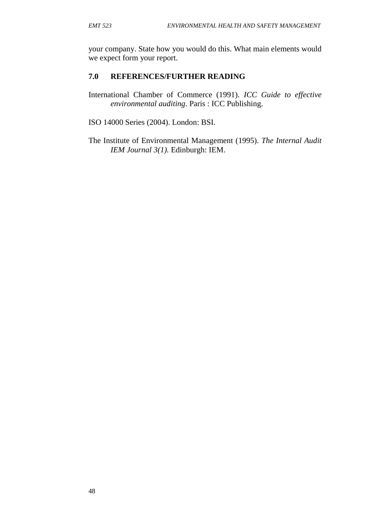your company. State how you would do this. What main elements would we expect form your report.

#### **7.0 REFERENCES/FURTHER READING**

- International Chamber of Commerce (1991). *ICC Guide to effective environmental auditing*. Paris : ICC Publishing.
- ISO 14000 Series (2004). London: BSI.
- The Institute of Environmental Management (1995). *The Internal Audit IEM Journal 3(1).* Edinburgh: IEM.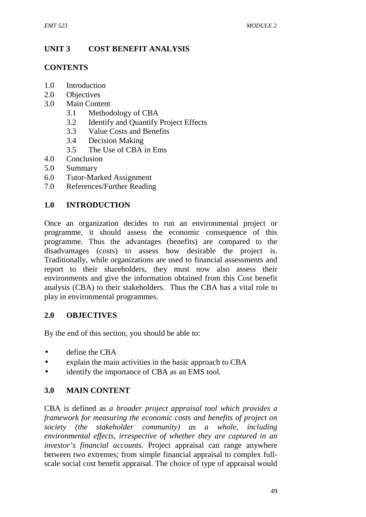# **UNIT 3 COST BENEFIT ANALYSIS**

#### **CONTENTS**

- 1.0 Introduction
- 2.0 Objectives
- 3.0 Main Content
	- 3.1 Methodology of CBA
	- 3.2 Identify and Quantify Project Effects
	- 3.3 Value Costs and Benefits
	- 3.4 Decision Making
	- 3.5 The Use of CBA in Ems
- 4.0 Conclusion
- 5.0 Summary
- 6.0 Tutor-Marked Assignment
- 7.0 References/Further Reading

## **1.0 INTRODUCTION**

Once an organization decides to run an environmental project or programme, it should assess the economic consequence of this programme. Thus the advantages (benefits) are compared to the disadvantages (costs) to assess how desirable the project is. Traditionally, while organizations are used to financial assessments and report to their shareholders, they must now also assess their environments and give the information obtained from this Cost benefit analysis (CBA) to their stakeholders. Thus the CBA has a vital role to play in environmental programmes.

#### **2.0 OBJECTIVES**

By the end of this section, you should be able to:

- define the CBA
- explain the main activities in the basic approach to CBA
- identify the importance of CBA as an EMS tool.

## **3.0 MAIN CONTENT**

CBA is defined as *a broader project appraisal tool which provides a framework for measuring the economic costs and benefits of project on society (the stakeholder community) as a whole, including environmental effects, irrespective of whether they are captured in an investor's financial accounts.* Project appraisal can range anywhere between two extremes; from simple financial appraisal to complex full scale social cost benefit appraisal. The choice of type of appraisal would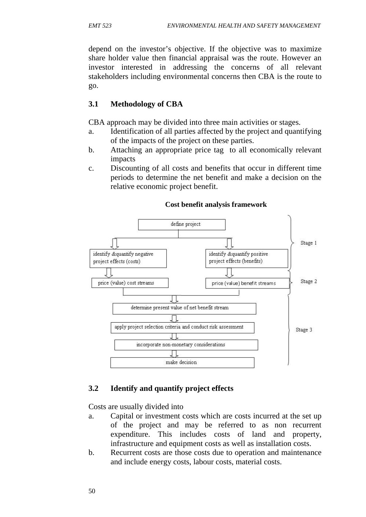depend on the investor's objective. If the objective was to maximize share holder value then financial appraisal was the route. However an investor interested in addressing the concerns of all relevant stakeholders including environmental concerns then CBA is the route to go.

### **3.1 Methodology of CBA**

CBA approach may be divided into three main activities or stages.

- a. Identification of all parties affected by the project and quantifying of the impacts of the project on these parties.
- b. Attaching an appropriate price tag to all economically relevant impacts
- c. Discounting of all costs and benefits that occur in different time periods to determine the net benefit and make a decision on the relative economic project benefit.



#### **Cost benefit analysis framework**

#### **3.2 Identify and quantify project effects**

Costs are usually divided into

- a. Capital or investment costs which are costs incurred at the set up of the project and may be referred to as non recurrent expenditure. This includes costs of land and property, infrastructure and equipment costs as well as installation costs.
- b. Recurrent costs are those costs due to operation and maintenance and include energy costs, labour costs, material costs.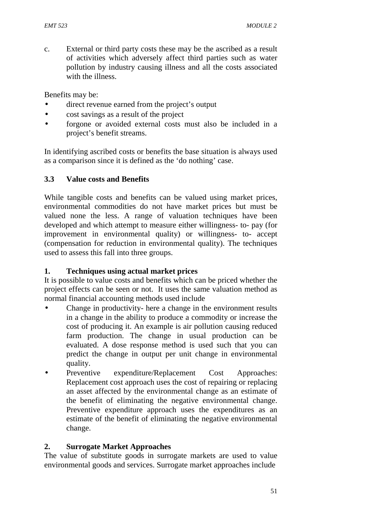c. External or third party costs these may be the ascribed as a result of activities which adversely affect third parties such as water pollution by industry causing illness and all the costs associated with the illness.

Benefits may be:

- direct revenue earned from the project's output
- cost savings as a result of the project
- forgone or avoided external costs must also be included in a project's benefit streams.

In identifying ascribed costs or benefits the base situation is always used as a comparison since it is defined as the 'do nothing' case.

### **3.3 Value costs and Benefits**

While tangible costs and benefits can be valued using market prices, environmental commodities do not have market prices but must be valued none the less. A range of valuation techniques have been developed and which attempt to measure either willingness- to- pay (for improvement in environmental quality) or willingness- to- accept (compensation for reduction in environmental quality). The techniques used to assess this fall into three groups.

#### **1. Techniques using actual market prices**

It is possible to value costs and benefits which can be priced whether the project effects can be seen or not. It uses the same valuation method as normal financial accounting methods used include

- Change in productivity- here a change in the environment results in a change in the ability to produce a commodity or increase the cost of producing it. An example is air pollution causing reduced farm production. The change in usual production can be evaluated. A dose response method is used such that you can predict the change in output per unit change in environmental quality.
- Preventive expenditure/Replacement Cost Approaches: Replacement cost approach uses the cost of repairing or replacing an asset affected by the environmental change as an estimate of the benefit of eliminating the negative environmental change. Preventive expenditure approach uses the expenditures as an estimate of the benefit of eliminating the negative environmental change.

#### **2. Surrogate Market Approaches**

The value of substitute goods in surrogate markets are used to value environmental goods and services. Surrogate market approaches include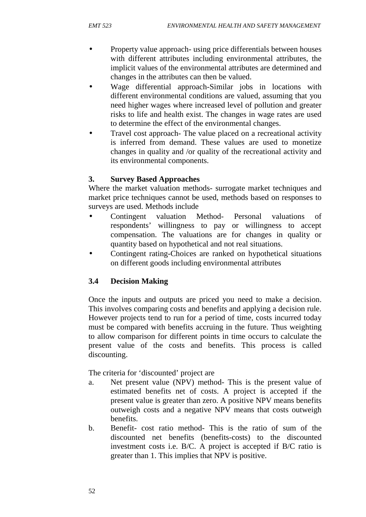- Property value approach- using price differentials between houses with different attributes including environmental attributes, the implicit values of the environmental attributes are determined and changes in the attributes can then be valued.
- Wage differential approach-Similar jobs in locations with different environmental conditions are valued, assuming that you need higher wages where increased level of pollution and greater risks to life and health exist. The changes in wage rates are used to determine the effect of the environmental changes.
- Travel cost approach- The value placed on a recreational activity is inferred from demand. These values are used to monetize changes in quality and /or quality of the recreational activity and its environmental components.

### **3. Survey Based Approaches**

Where the market valuation methods- surrogate market techniques and market price techniques cannot be used, methods based on responses to surveys are used. Methods include

- Contingent valuation Method- Personal valuations of respondents' willingness to pay or willingness to accept compensation. The valuations are for changes in quality or quantity based on hypothetical and not real situations.
- Contingent rating-Choices are ranked on hypothetical situations on different goods including environmental attributes

## **3.4 Decision Making**

Once the inputs and outputs are priced you need to make a decision. This involves comparing costs and benefits and applying a decision rule. However projects tend to run for a period of time, costs incurred today must be compared with benefits accruing in the future. Thus weighting to allow comparison for different points in time occurs to calculate the present value of the costs and benefits. This process is called discounting.

The criteria for 'discounted' project are

- a. Net present value (NPV) method- This is the present value of estimated benefits net of costs. A project is accepted if the present value is greater than zero. A positive NPV means benefits outweigh costs and a negative NPV means that costs outweigh benefits.
- b. Benefit- cost ratio method- This is the ratio of sum of the discounted net benefits (benefits-costs) to the discounted investment costs i.e. B/C. A project is accepted if B/C ratio is greater than 1. This implies that NPV is positive.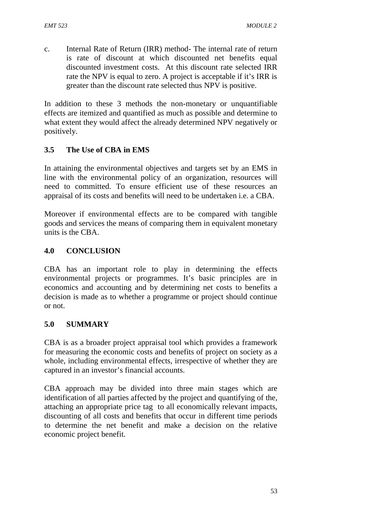c. Internal Rate of Return (IRR) method- The internal rate of return is rate of discount at which discounted net benefits equal discounted investment costs. At this discount rate selected IRR rate the NPV is equal to zero. A project is acceptable if it's IRR is greater than the discount rate selected thus NPV is positive.

In addition to these 3 methods the non-monetary or unquantifiable effects are itemized and quantified as much as possible and determine to what extent they would affect the already determined NPV negatively or positively.

## **3.5 The Use of CBA in EMS**

In attaining the environmental objectives and targets set by an EMS in line with the environmental policy of an organization, resources will need to committed. To ensure efficient use of these resources an appraisal of its costs and benefits will need to be undertaken i.e. a CBA.

Moreover if environmental effects are to be compared with tangible goods and services the means of comparing them in equivalent monetary units is the CBA.

#### **4.0 CONCLUSION**

CBA has an important role to play in determining the effects environmental projects or programmes. It's basic principles are in economics and accounting and by determining net costs to benefits a decision is made as to whether a programme or project should continue or not.

#### **5.0 SUMMARY**

CBA is as a broader project appraisal tool which provides a framework for measuring the economic costs and benefits of project on society as a whole, including environmental effects, irrespective of whether they are captured in an investor's financial accounts.

CBA approach may be divided into three main stages which are identification of all parties affected by the project and quantifying of the, attaching an appropriate price tag to all economically relevant impacts, discounting of all costs and benefits that occur in different time periods to determine the net benefit and make a decision on the relative economic project benefit.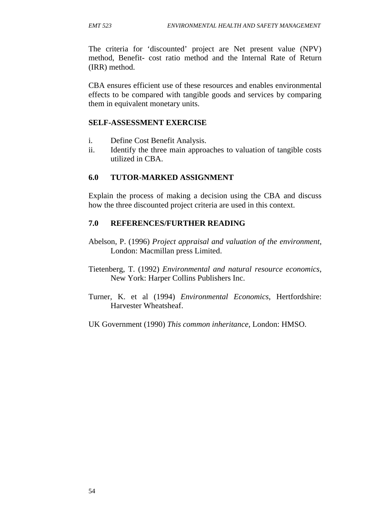The criteria for 'discounted' project are Net present value (NPV) method, Benefit- cost ratio method and the Internal Rate of Return (IRR) method.

CBA ensures efficient use of these resources and enables environmental effects to be compared with tangible goods and services by comparing them in equivalent monetary units.

#### **SELF-ASSESSMENT EXERCISE**

- i. Define Cost Benefit Analysis.
- ii. Identify the three main approaches to valuation of tangible costs utilized in CBA.

#### **6.0 TUTOR-MARKED ASSIGNMENT**

Explain the process of making a decision using the CBA and discuss how the three discounted project criteria are used in this context.

#### **7.0 REFERENCES/FURTHER READING**

- Abelson, P. (1996) *Project appraisal and valuation of the environment*, London: Macmillan press Limited.
- Tietenberg, T. (1992) *Environmental and natural resource economics*, New York: Harper Collins Publishers Inc.
- Turner, K. et al (1994) *Environmental Economics*, Hertfordshire: Harvester Wheatsheaf.
- UK Government (1990) *This common inheritance*, London: HMSO.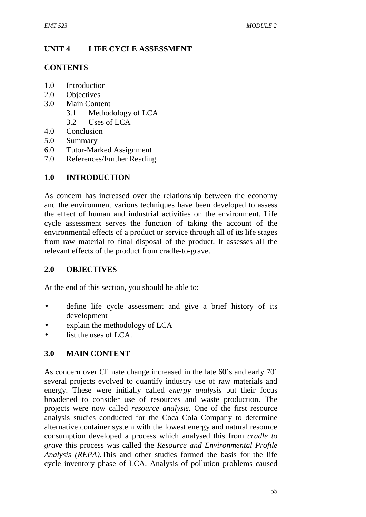# **UNIT 4 LIFE CYCLE ASSESSMENT**

#### **CONTENTS**

- 1.0 Introduction
- 2.0 Objectives
- 3.0 Main Content
	- 3.1 Methodology of LCA
	- 3.2 Uses of LCA
- 4.0 Conclusion
- 5.0 Summary
- 6.0 Tutor-Marked Assignment
- 7.0 References/Further Reading

## **1.0 INTRODUCTION**

As concern has increased over the relationship between the economy and the environment various techniques have been developed to assess the effect of human and industrial activities on the environment. Life cycle assessment serves the function of taking the account of the environmental effects of a product or service through all of its life stages from raw material to final disposal of the product. It assesses all the relevant effects of the product from cradle-to-grave.

## **2.0 OBJECTIVES**

At the end of this section, you should be able to:

- define life cycle assessment and give a brief history of its development
- explain the methodology of LCA
- list the uses of LCA.

## **3.0 MAIN CONTENT**

As concern over Climate change increased in the late 60's and early 70' several projects evolved to quantify industry use of raw materials and energy. These were initially called *energy analysis* but their focus broadened to consider use of resources and waste production. The projects were now called *resource analysis.* One of the first resource analysis studies conducted for the Coca Cola Company to determine alternative container system with the lowest energy and natural resource consumption developed a process which analysed this from *cradle to grave* this process was called the *Resource and Environmental Profile Analysis (REPA).*This and other studies formed the basis for the life cycle inventory phase of LCA. Analysis of pollution problems caused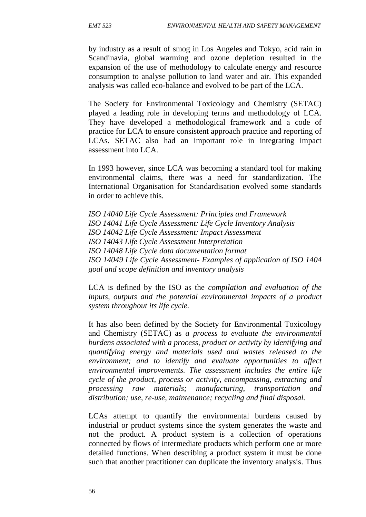by industry as a result of smog in Los Angeles and Tokyo, acid rain in Scandinavia, global warming and ozone depletion resulted in the expansion of the use of methodology to calculate energy and resource consumption to analyse pollution to land water and air. This expanded analysis was called eco-balance and evolved to be part of the LCA.

The Society for Environmental Toxicology and Chemistry (SETAC) played a leading role in developing terms and methodology of LCA. They have developed a methodological framework and a code of practice for LCA to ensure consistent approach practice and reporting of LCAs. SETAC also had an important role in integrating impact assessment into LCA.

In 1993 however, since LCA was becoming a standard tool for making environmental claims, there was a need for standardization. The International Organisation for Standardisation evolved some standards in order to achieve this.

*ISO 14040 Life Cycle Assessment: Principles and Framework ISO 14041 Life Cycle Assessment: Life Cycle Inventory Analysis ISO 14042 Life Cycle Assessment: Impact Assessment ISO 14043 Life Cycle Assessment Interpretation ISO 14048 Life Cycle data documentation format ISO 14049 Life Cycle Assessment- Examples of application of ISO 1404 goal and scope definition and inventory analysis*

LCA is defined by the ISO as the *compilation and evaluation of the inputs, outputs and the potential environmental impacts of a product system throughout its life cycle.*

It has also been defined by the Society for Environmental Toxicology and Chemistry (SETAC) as *a process to evaluate the environmental burdens associated with a process, product or activity by identifying and quantifying energy and materials used and wastes released to the environment; and to identify and evaluate opportunities to affect environmental improvements. The assessment includes the entire life cycle of the product, process or activity, encompassing, extracting and processing raw materials; manufacturing, transportation and distribution; use, re-use, maintenance; recycling and final disposal.*

LCAs attempt to quantify the environmental burdens caused by industrial or product systems since the system generates the waste and not the product. A product system is a collection of operations connected by flows of intermediate products which perform one or more detailed functions. When describing a product system it must be done such that another practitioner can duplicate the inventory analysis. Thus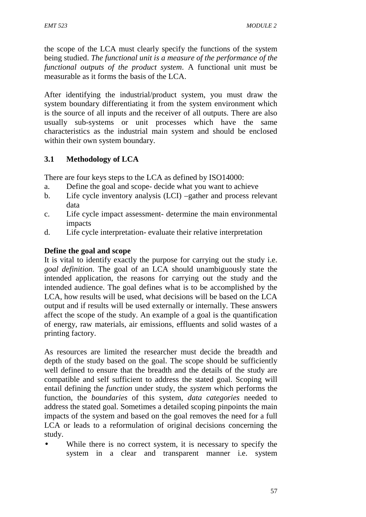the scope of the LCA must clearly specify the functions of the system being studied. *The functional unit is a measure of the performance of the functional outputs of the product system*. A functional unit must be measurable as it forms the basis of the LCA.

After identifying the industrial/product system, you must draw the system boundary differentiating it from the system environment which is the source of all inputs and the receiver of all outputs. There are also usually sub-systems or unit processes which have the same characteristics as the industrial main system and should be enclosed within their own system boundary.

### **3.1 Methodology of LCA**

There are four keys steps to the LCA as defined by ISO14000:

- a. Define the goal and scope- decide what you want to achieve
- b. Life cycle inventory analysis (LCI) –gather and process relevant data
- c. Life cycle impact assessment- determine the main environmental impacts
- d. Life cycle interpretation- evaluate their relative interpretation

#### **Define the goal and scope**

It is vital to identify exactly the purpose for carrying out the study i.e. *goal definition*. The goal of an LCA should unambiguously state the intended application, the reasons for carrying out the study and the intended audience. The goal defines what is to be accomplished by the LCA, how results will be used, what decisions will be based on the LCA output and if results will be used externally or internally. These answers affect the scope of the study. An example of a goal is the quantification of energy, raw materials, air emissions, effluents and solid wastes of a printing factory.

As resources are limited the researcher must decide the breadth and depth of the study based on the goal. The scope should be sufficiently well defined to ensure that the breadth and the details of the study are compatible and self sufficient to address the stated goal. Scoping will entail defining the *function* under study, the *system* which performs the function, the *boundaries* of this system, *data categories* needed to address the stated goal. Sometimes a detailed scoping pinpoints the main impacts of the system and based on the goal removes the need for a full LCA or leads to a reformulation of original decisions concerning the study.

 While there is no correct system, it is necessary to specify the system in a clear and transparent manner i.e. system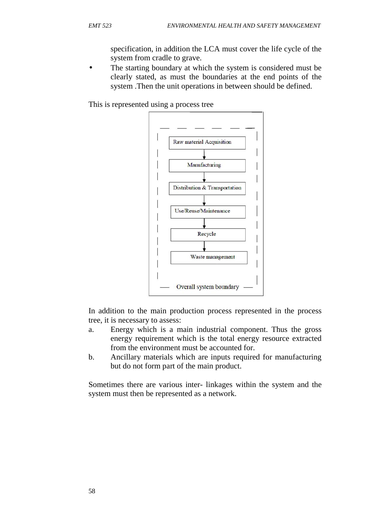specification, in addition the LCA must cover the life cycle of the system from cradle to grave.

 The starting boundary at which the system is considered must be clearly stated, as must the boundaries at the end points of the system .Then the unit operations in between should be defined.

This is represented using a process tree



In addition to the main production process represented in the process tree, it is necessary to assess:

- a. Energy which is a main industrial component. Thus the gross energy requirement which is the total energy resource extracted from the environment must be accounted for.
- b. Ancillary materials which are inputs required for manufacturing but do not form part of the main product.

Sometimes there are various inter- linkages within the system and the system must then be represented as a network.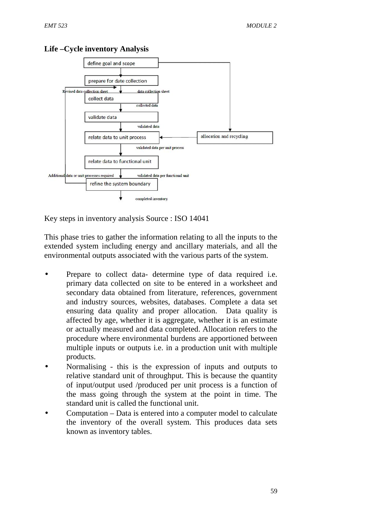

**Life –Cycle inventory Analysis**

Key steps in inventory analysis Source : ISO 14041

This phase tries to gather the information relating to all the inputs to the extended system including energy and ancillary materials, and all the environmental outputs associated with the various parts of the system.

- Prepare to collect data- determine type of data required i.e. primary data collected on site to be entered in a worksheet and secondary data obtained from literature, references, government and industry sources, websites, databases. Complete a data set ensuring data quality and proper allocation. Data quality is affected by age, whether it is aggregate, whether it is an estimate or actually measured and data completed. Allocation refers to the procedure where environmental burdens are apportioned between multiple inputs or outputs i.e. in a production unit with multiple products.
- Normalising this is the expression of inputs and outputs to relative standard unit of throughput. This is because the quantity of input/output used /produced per unit process is a function of the mass going through the system at the point in time. The standard unit is called the functional unit.
- Computation Data is entered into a computer model to calculate the inventory of the overall system. This produces data sets known as inventory tables.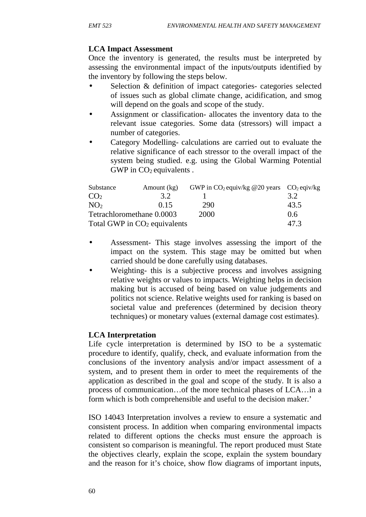#### **LCA Impact Assessment**

Once the inventory is generated, the results must be interpreted by assessing the environmental impact of the inputs/outputs identified by the inventory by following the steps below.

- Selection & definition of impact categories- categories selected of issues such as global climate change, acidification, and smog will depend on the goals and scope of the study.
- Assignment or classification- allocates the inventory data to the relevant issue categories. Some data (stressors) will impact a number of categories.
- Category Modelling- calculations are carried out to evaluate the relative significance of each stressor to the overall impact of the system being studied. e.g. using the Global Warming Potential GWP in  $CO<sub>2</sub>$  equivalents.

| Substance                      | Amount (kg) |      | GWP in $CO_2$ equiv/kg @20 years $CO_2$ eqiv/kg |      |  |
|--------------------------------|-------------|------|-------------------------------------------------|------|--|
| CO <sub>2</sub>                | 3.2         |      |                                                 | 3.2  |  |
| NO <sub>2</sub>                | (115        | 290  |                                                 | 43.5 |  |
| Tetrachloromethane 0.0003      |             | 2000 |                                                 | 0.6  |  |
| Total GWP in $CO2$ equivalents |             |      |                                                 | 47.3 |  |

- Assessment- This stage involves assessing the import of the impact on the system. This stage may be omitted but when carried should be done carefully using databases.
- Weighting- this is a subjective process and involves assigning relative weights or values to impacts. Weighting helps in decision making but is accused of being based on value judgements and politics not science. Relative weights used for ranking is based on societal value and preferences (determined by decision theory techniques) or monetary values (external damage cost estimates).

#### **LCA Interpretation**

Life cycle interpretation is determined by ISO to be a systematic procedure to identify, qualify, check, and evaluate information from the conclusions of the inventory analysis and/or impact assessment of a system, and to present them in order to meet the requirements of the application as described in the goal and scope of the study. It is also a process of communication…of the more technical phases of LCA…in a form which is both comprehensible and useful to the decision maker.'

ISO 14043 Interpretation involves a review to ensure a systematic and consistent process. In addition when comparing environmental impacts related to different options the checks must ensure the approach is consistent so comparison is meaningful. The report produced must State the objectives clearly, explain the scope, explain the system boundary and the reason for it's choice, show flow diagrams of important inputs,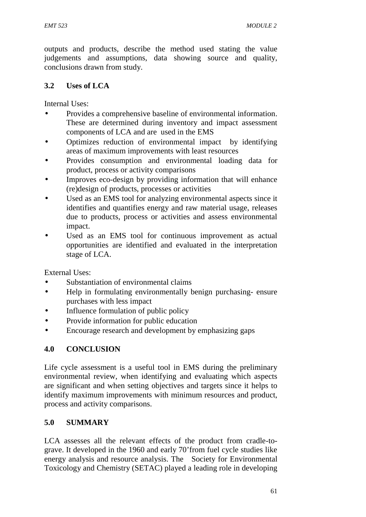outputs and products, describe the method used stating the value judgements and assumptions, data showing source and quality, conclusions drawn from study.

### **3.2 Uses of LCA**

Internal Uses:

- Provides a comprehensive baseline of environmental information. These are determined during inventory and impact assessment components of LCA and are used in the EMS
- Optimizes reduction of environmental impact by identifying areas of maximum improvements with least resources
- Provides consumption and environmental loading data for product, process or activity comparisons
- Improves eco-design by providing information that will enhance (re)design of products, processes or activities
- Used as an EMS tool for analyzing environmental aspects since it identifies and quantifies energy and raw material usage, releases due to products, process or activities and assess environmental impact.
- Used as an EMS tool for continuous improvement as actual opportunities are identified and evaluated in the interpretation stage of LCA.

External Uses:

- Substantiation of environmental claims
- Help in formulating environmentally benign purchasing- ensure purchases with less impact
- Influence formulation of public policy
- Provide information for public education
- Encourage research and development by emphasizing gaps

## **4.0 CONCLUSION**

Life cycle assessment is a useful tool in EMS during the preliminary environmental review, when identifying and evaluating which aspects are significant and when setting objectives and targets since it helps to identify maximum improvements with minimum resources and product, process and activity comparisons.

#### **5.0 SUMMARY**

LCA assesses all the relevant effects of the product from cradle-to grave. It developed in the 1960 and early 70'from fuel cycle studies like energy analysis and resource analysis. The Society for Environmental Toxicology and Chemistry (SETAC) played a leading role in developing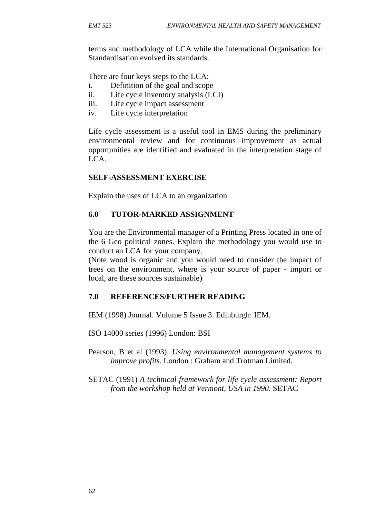terms and methodology of LCA while the International Organisation for Standardisation evolved its standards.

There are four keys steps to the LCA:

- i. Definition of the goal and scope
- ii. Life cycle inventory analysis (LCI)
- iii. Life cycle impact assessment
- iv. Life cycle interpretation

Life cycle assessment is a useful tool in EMS during the preliminary environmental review and for continuous improvement as actual opportunities are identified and evaluated in the interpretation stage of  $LCA$ .

#### **SELF-ASSESSMENT EXERCISE**

Explain the uses of LCA to an organization

#### **6.0 TUTOR-MARKED ASSIGNMENT**

You are the Environmental manager of a Printing Press located in one of the 6 Geo political zones. Explain the methodology you would use to conduct an LCA for your company.

(Note wood is organic and you would need to consider the impact of trees on the environment, where is your source of paper - import or local, are these sources sustainable)

### **7.0 REFERENCES/FURTHER READING**

IEM (1998) Journal. Volume 5 Issue 3. Edinburgh: IEM.

ISO 14000 series (1996) London: BSI

Pearson, B et al (1993). *Using environmental management systems to improve profits*. London : Graham and Trotman Limited.

SETAC (1991) *A technical framework for life cycle assessment: Report from the workshop held at Vermont, USA in 1990*. SETAC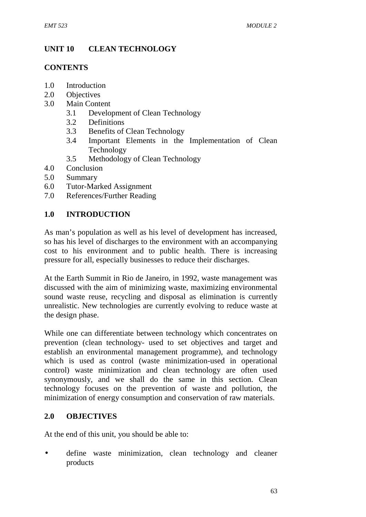# **UNIT 10 CLEAN TECHNOLOGY**

### **CONTENTS**

- 1.0 Introduction
- 2.0 Objectives
- 3.0 Main Content
	- 3.1 Development of Clean Technology
	- 3.2 Definitions
	- 3.3 Benefits of Clean Technology
	- 3.4 Important Elements in the Implementation of Clean Technology
	- 3.5 Methodology of Clean Technology
- 4.0 Conclusion
- 5.0 Summary
- 6.0 Tutor-Marked Assignment
- 7.0 References/Further Reading

#### **1.0 INTRODUCTION**

As man's population as well as his level of development has increased, so has his level of discharges to the environment with an accompanying cost to his environment and to public health. There is increasing pressure for all, especially businesses to reduce their discharges.

At the Earth Summit in Rio de Janeiro, in 1992, waste management was discussed with the aim of minimizing waste, maximizing environmental sound waste reuse, recycling and disposal as elimination is currently unrealistic. New technologies are currently evolving to reduce waste at the design phase.

While one can differentiate between technology which concentrates on prevention (clean technology- used to set objectives and target and establish an environmental management programme), and technology which is used as control (waste minimization-used in operational control) waste minimization and clean technology are often used synonymously, and we shall do the same in this section. Clean technology focuses on the prevention of waste and pollution, the minimization of energy consumption and conservation of raw materials.

### **2.0 OBJECTIVES**

At the end of this unit, you should be able to:

 define waste minimization, clean technology and cleaner products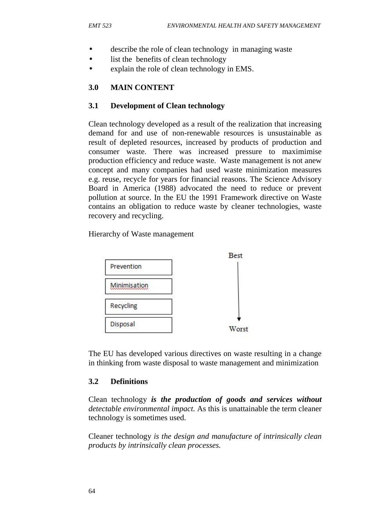- describe the role of clean technology in managing waste
- list the benefits of clean technology
- explain the role of clean technology in EMS.

#### **3.0 MAIN CONTENT**

#### **3.1 Development of Clean technology**

Clean technology developed as a result of the realization that increasing demand for and use of non-renewable resources is unsustainable as result of depleted resources, increased by products of production and consumer waste. There was increased pressure to maximimise production efficiency and reduce waste. Waste management is not anew concept and many companies had used waste minimization measures e.g. reuse, recycle for years for financial reasons. The Science Advisory Board in America (1988) advocated the need to reduce or prevent pollution at source. In the EU the 1991 Framework directive on Waste contains an obligation to reduce waste by cleaner technologies, waste recovery and recycling.

Hierarchy of Waste management



The EU has developed various directives on waste resulting in a change in thinking from waste disposal to waste management and minimization

### **3.2 Definitions**

Clean technology *is the production of goods and services without detectable environmental impact.* As this is unattainable the term cleaner technology is sometimes used.

Cleaner technology *is the design and manufacture of intrinsically clean products by intrinsically clean processes.*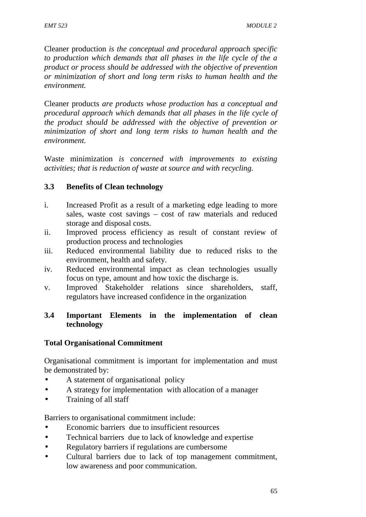Cleaner production *is the conceptual and procedural approach specific to production which demands that all phases in the life cycle of the a product or process should be addressed with the objective of prevention or minimization of short and long term risks to human health and the environment.*

Cleaner products *are products whose production has a conceptual and procedural approach which demands that all phases in the life cycle of the product should be addressed with the objective of prevention or minimization of short and long term risks to human health and the environment.*

Waste minimization *is concerned with improvements to existing activities; that is reduction of waste at source and with recycling.*

## **3.3 Benefits of Clean technology**

- i. Increased Profit as a result of a marketing edge leading to more sales, waste cost savings – cost of raw materials and reduced storage and disposal costs.
- ii. Improved process efficiency as result of constant review of production process and technologies
- iii. Reduced environmental liability due to reduced risks to the environment, health and safety.
- iv. Reduced environmental impact as clean technologies usually focus on type, amount and how toxic the discharge is.
- v. Improved Stakeholder relations since shareholders, staff, regulators have increased confidence in the organization

### **3.4 Important Elements in the implementation of clean technology**

## **Total Organisational Commitment**

Organisational commitment is important for implementation and must be demonstrated by:

- A statement of organisational policy
- A strategy for implementation with allocation of a manager
- Training of all staff

Barriers to organisational commitment include:

- Economic barriers due to insufficient resources
- Technical barriers due to lack of knowledge and expertise
- Regulatory barriers if regulations are cumbersome
- Cultural barriers due to lack of top management commitment, low awareness and poor communication.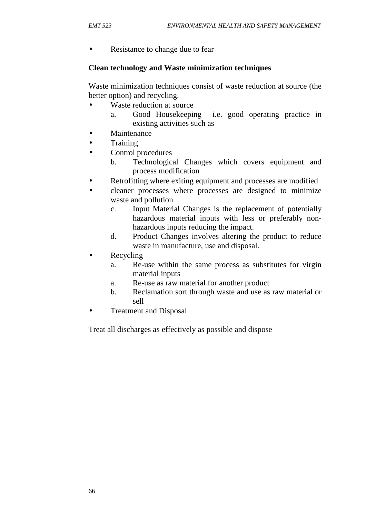• Resistance to change due to fear

#### **Clean technology and Waste minimization techniques**

Waste minimization techniques consist of waste reduction at source (the better option) and recycling.

- Waste reduction at source
	- a. Good Housekeeping i.e. good operating practice in existing activities such as
- Maintenance
- **Training**
- Control procedures
	- b. Technological Changes which covers equipment and process modification
- Retrofitting where exiting equipment and processes are modified
- cleaner processes where processes are designed to minimize waste and pollution
	- c. Input Material Changes is the replacement of potentially hazardous material inputs with less or preferably non hazardous inputs reducing the impact.
	- d. Product Changes involves altering the product to reduce waste in manufacture, use and disposal.
- Recycling
	- a. Re-use within the same process as substitutes for virgin material inputs
	- a. Re-use as raw material for another product
	- b. Reclamation sort through waste and use as raw material or sell
- Treatment and Disposal

Treat all discharges as effectively as possible and dispose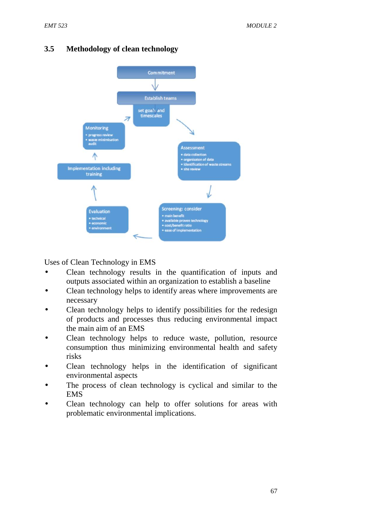

## **3.5 Methodology of clean technology**

Uses of Clean Technology in EMS

- Clean technology results in the quantification of inputs and outputs associated within an organization to establish a baseline
- Clean technology helps to identify areas where improvements are necessary
- Clean technology helps to identify possibilities for the redesign of products and processes thus reducing environmental impact the main aim of an EMS
- Clean technology helps to reduce waste, pollution, resource consumption thus minimizing environmental health and safety risks
- Clean technology helps in the identification of significant environmental aspects
- The process of clean technology is cyclical and similar to the EMS
- Clean technology can help to offer solutions for areas with problematic environmental implications.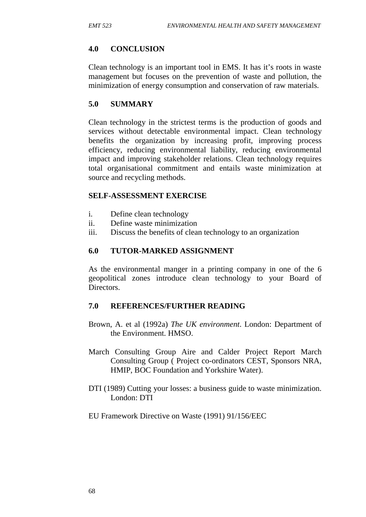## **4.0 CONCLUSION**

Clean technology is an important tool in EMS. It has it's roots in waste management but focuses on the prevention of waste and pollution, the minimization of energy consumption and conservation of raw materials.

## **5.0 SUMMARY**

Clean technology in the strictest terms is the production of goods and services without detectable environmental impact. Clean technology benefits the organization by increasing profit, improving process efficiency, reducing environmental liability, reducing environmental impact and improving stakeholder relations. Clean technology requires total organisational commitment and entails waste minimization at source and recycling methods.

### **SELF-ASSESSMENT EXERCISE**

- i. Define clean technology
- ii. Define waste minimization
- iii. Discuss the benefits of clean technology to an organization

### **6.0 TUTOR-MARKED ASSIGNMENT**

As the environmental manger in a printing company in one of the 6 geopolitical zones introduce clean technology to your Board of Directors.

### **7.0 REFERENCES/FURTHER READING**

- Brown, A. et al (1992a) *The UK environment*. London: Department of the Environment. HMSO.
- March Consulting Group Aire and Calder Project Report March Consulting Group ( Project co-ordinators CEST, Sponsors NRA, HMIP, BOC Foundation and Yorkshire Water).
- DTI (1989) Cutting your losses: a business guide to waste minimization. London: DTI
- EU Framework Directive on Waste (1991) 91/156/EEC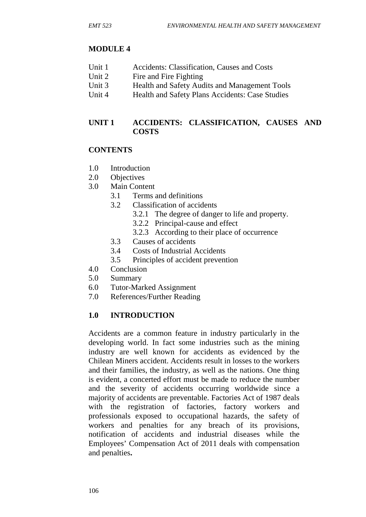## **MODULE 4**

- Unit 1 Accidents: Classification, Causes and Costs
- Unit 2 Fire and Fire Fighting
- Unit 3 Health and Safety Audits and Management Tools
- Unit 4 Health and Safety Plans Accidents: Case Studies

## **UNIT 1 ACCIDENTS: CLASSIFICATION, CAUSES AND COSTS**

## **CONTENTS**

- 1.0 Introduction
- 2.0 Objectives
- 3.0 Main Content
	- 3.1 Terms and definitions
	- 3.2 Classification of accidents
		- 3.2.1 The degree of danger to life and property.
		- 3.2.2 Principal-cause and effect
		- 3.2.3 According to their place of occurrence
	- 3.3 Causes of accidents
	- 3.4 Costs of Industrial Accidents
	- 3.5 Principles of accident prevention
- 4.0 Conclusion
- 5.0 Summary
- 6.0 Tutor-Marked Assignment
- 7.0 References/Further Reading

## **1.0 INTRODUCTION**

Accidents are a common feature in industry particularly in the developing world. In fact some industries such as the mining industry are well known for accidents as evidenced by the Chilean Miners accident. Accidents result in losses to the workers and their families, the industry, as well as the nations. One thing is evident, a concerted effort must be made to reduce the number and the severity of accidents occurring worldwide since a majority of accidents are preventable. Factories Act of 1987 deals with the registration of factories, factory workers and professionals exposed to occupational hazards, the safety of workers and penalties for any breach of its provisions, notification of accidents and industrial diseases while the Employees' Compensation Act of 2011 deals with compensation and penalties**.**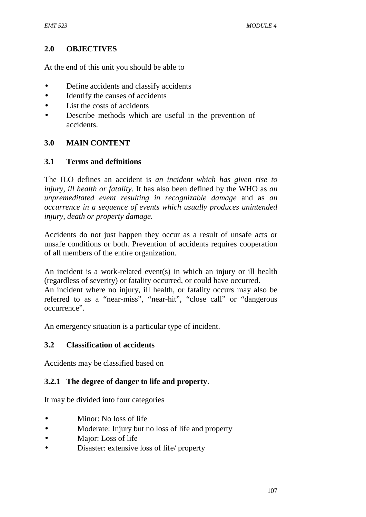### **2.0 OBJECTIVES**

At the end of this unit you should be able to

- Define accidents and classify accidents
- Identify the causes of accidents
- List the costs of accidents
- Describe methods which are useful in the prevention of accidents.

## **3.0 MAIN CONTENT**

### **3.1 Terms and definitions**

The ILO defines an accident is *an incident which has given rise to injury, ill health or fatality*. It has also been defined by the WHO as *an unpremeditated event resulting in recognizable damage* and as *an occurrence in a sequence of events which usually produces unintended injury, death or property damage.*

Accidents do not just happen they occur as a result of unsafe acts or unsafe conditions or both. Prevention of accidents requires cooperation of all members of the entire organization.

An incident is a work-related event(s) in which an injury or ill health (regardless of severity) or fatality occurred, or could have occurred. An incident where no injury, ill health, or fatality occurs may also be referred to as a "near-miss", "near-hit", "close call" or "dangerous occurrence".

An emergency situation is a particular type of incident.

### **3.2 Classification of accidents**

Accidents may be classified based on

### **3.2.1 The degree of danger to life and property**.

It may be divided into four categories

- Minor: No loss of life
- Moderate: Injury but no loss of life and property
- Major: Loss of life
- Disaster: extensive loss of life/ property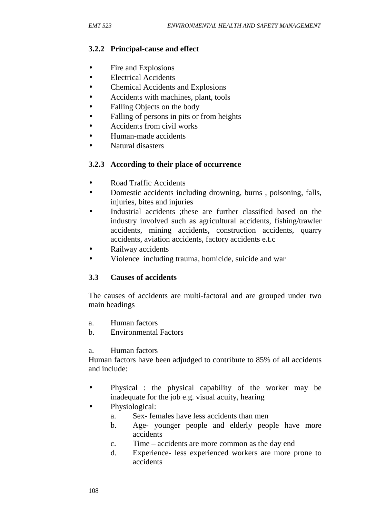## **3.2.2 Principal-cause and effect**

- Fire and Explosions
- Electrical Accidents
- Chemical Accidents and Explosions
- Accidents with machines, plant, tools
- Falling Objects on the body
- Falling of persons in pits or from heights
- Accidents from civil works
- Human-made accidents
- Natural disasters

## **3.2.3 According to their place of occurrence**

- Road Traffic Accidents
- Domestic accidents including drowning, burns , poisoning, falls, injuries, bites and injuries
- Industrial accidents ;these are further classified based on the industry involved such as agricultural accidents, fishing/trawler accidents, mining accidents, construction accidents, quarry accidents, aviation accidents, factory accidents e.t.c
- Railway accidents
- Violence including trauma, homicide, suicide and war

### **3.3 Causes of accidents**

The causes of accidents are multi-factoral and are grouped under two main headings

- a. Human factors
- b. Environmental Factors

#### a. Human factors

Human factors have been adjudged to contribute to 85% of all accidents and include:

- Physical : the physical capability of the worker may be inadequate for the job e.g. visual acuity, hearing
- Physiological:
	- a. Sex- females have less accidents than men
	- b. Age- younger people and elderly people have more accidents
	- c. Time accidents are more common as the day end
	- d. Experience- less experienced workers are more prone to accidents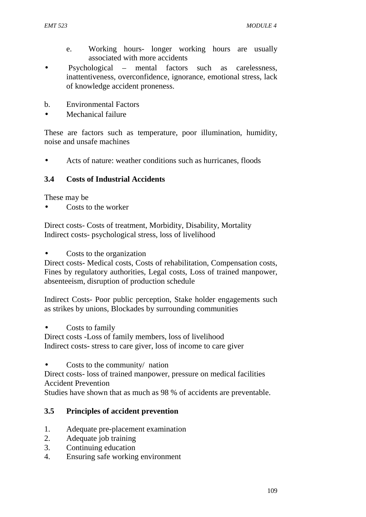- e. Working hours- longer working hours are usually associated with more accidents
- Psychological mental factors such as carelessness, inattentiveness, overconfidence, ignorance, emotional stress, lack of knowledge accident proneness.
- b. Environmental Factors
- Mechanical failure

These are factors such as temperature, poor illumination, humidity, noise and unsafe machines

Acts of nature: weather conditions such as hurricanes, floods

## **3.4 Costs of Industrial Accidents**

These may be

Costs to the worker

Direct costs- Costs of treatment, Morbidity, Disability, Mortality Indirect costs- psychological stress, loss of livelihood

• Costs to the organization

Direct costs- Medical costs, Costs of rehabilitation, Compensation costs, Fines by regulatory authorities, Legal costs, Loss of trained manpower, absenteeism, disruption of production schedule

Indirect Costs- Poor public perception, Stake holder engagements such as strikes by unions, Blockades by surrounding communities

Costs to family

Direct costs -Loss of family members, loss of livelihood Indirect costs- stress to care giver, loss of income to care giver

• Costs to the community/ nation

Direct costs- loss of trained manpower, pressure on medical facilities Accident Prevention

Studies have shown that as much as 98 % of accidents are preventable.

## **3.5 Principles of accident prevention**

- 1. Adequate pre-placement examination
- 2. Adequate job training
- 3. Continuing education
- 4. Ensuring safe working environment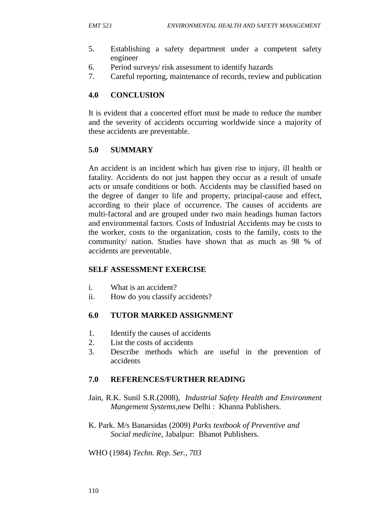- 5. Establishing a safety department under a competent safety engineer
- 6. Period surveys/ risk assessment to identify hazards
- 7. Careful reporting, maintenance of records, review and publication

### **4.0 CONCLUSION**

It is evident that a concerted effort must be made to reduce the number and the severity of accidents occurring worldwide since a majority of these accidents are preventable.

## **5.0 SUMMARY**

An accident is an incident which has given rise to injury, ill health or fatality. Accidents do not just happen they occur as a result of unsafe acts or unsafe conditions or both. Accidents may be classified based on the degree of danger to life and property, principal-cause and effect, according to their place of occurrence. The causes of accidents are multi-factoral and are grouped under two main headings human factors and environmental factors. Costs of Industrial Accidents may be costs to the worker, costs to the organization, costs to the family, costs to the community/ nation. Studies have shown that as much as 98 % of accidents are preventable.

#### **SELF ASSESSMENT EXERCISE**

- i. What is an accident?
- ii. How do you classify accidents?

### **6.0 TUTOR MARKED ASSIGNMENT**

- 1. Identify the causes of accidents
- 2. List the costs of accidents
- 3. Describe methods which are useful in the prevention of accidents

### **7.0 REFERENCES/FURTHER READING**

- Jain, R.K. Sunil S.R.(2008), *Industrial Safety Health and Environment Mangement Systems,*new Delhi : Khanna Publishers.
- K. Park. M/s Banarsidas (2009) *Parks textbook of Preventive and Social medicine,* Jabalpur: Bhanot Publishers.

#### WHO (1984) *Techn. Rep. Ser., 703*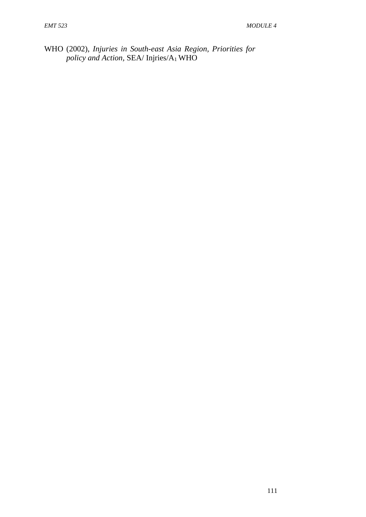WHO (2002), *Injuries in South-east Asia Region, Priorities for policy and Action,* SEA/ Injries/A<sup>1</sup> WHO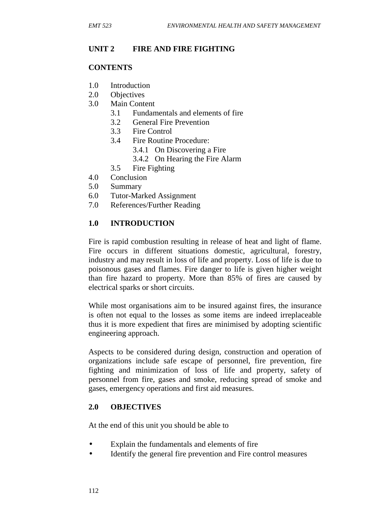### **UNIT 2 FIRE AND FIRE FIGHTING**

#### **CONTENTS**

- 1.0 Introduction
- 2.0 Objectives
- 3.0 Main Content
	- 3.1 Fundamentals and elements of fire
	- 3.2 General Fire Prevention
	- 3.3 Fire Control
	- 3.4 Fire Routine Procedure:
		- 3.4.1 On Discovering a Fire
		- 3.4.2 On Hearing the Fire Alarm
	- 3.5 Fire Fighting
- 4.0 Conclusion
- 5.0 Summary
- 6.0 Tutor-Marked Assignment
- 7.0 References/Further Reading

#### **1.0 INTRODUCTION**

Fire is rapid combustion resulting in release of heat and light of flame. Fire occurs in different situations domestic, agricultural, forestry, industry and may result in loss of life and property. Loss of life is due to poisonous gases and flames. Fire danger to life is given higher weight than fire hazard to property. More than 85% of fires are caused by electrical sparks or short circuits.

While most organisations aim to be insured against fires, the insurance is often not equal to the losses as some items are indeed irreplaceable thus it is more expedient that fires are minimised by adopting scientific engineering approach.

Aspects to be considered during design, construction and operation of organizations include safe escape of personnel, fire prevention, fire fighting and minimization of loss of life and property, safety of personnel from fire, gases and smoke, reducing spread of smoke and gases, emergency operations and first aid measures.

#### **2.0 OBJECTIVES**

At the end of this unit you should be able to

- Explain the fundamentals and elements of fire
- Identify the general fire prevention and Fire control measures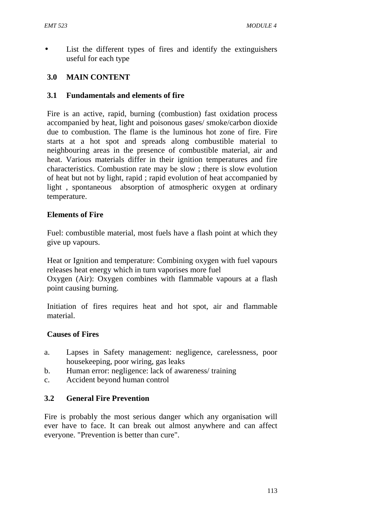List the different types of fires and identify the extinguishers useful for each type

## **3.0 MAIN CONTENT**

#### **3.1 Fundamentals and elements of fire**

Fire is an active, rapid, burning (combustion) fast oxidation process accompanied by heat, light and poisonous gases/ smoke/carbon dioxide due to combustion. The flame is the luminous hot zone of fire. Fire starts at a hot spot and spreads along combustible material to neighbouring areas in the presence of combustible material, air and heat. Various materials differ in their ignition temperatures and fire characteristics. Combustion rate may be slow ; there is slow evolution of heat but not by light, rapid ; rapid evolution of heat accompanied by light , spontaneous absorption of atmospheric oxygen at ordinary temperature.

#### **Elements of Fire**

Fuel: combustible material, most fuels have a flash point at which they give up vapours.

Heat or Ignition and temperature: Combining oxygen with fuel vapours releases heat energy which in turn vaporises more fuel Oxygen (Air): Oxygen combines with flammable vapours at a flash point causing burning.

Initiation of fires requires heat and hot spot, air and flammable material.

#### **Causes of Fires**

- a. Lapses in Safety management: negligence, carelessness, poor housekeeping, poor wiring, gas leaks
- b. Human error: negligence: lack of awareness/ training
- c. Accident beyond human control

### **3.2 General Fire Prevention**

Fire is probably the most serious danger which any organisation will ever have to face. It can break out almost anywhere and can affect everyone. "Prevention is better than cure".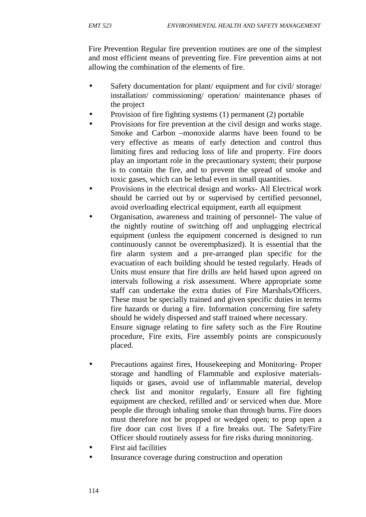Fire Prevention Regular fire prevention routines are one of the simplest and most efficient means of preventing fire. Fire prevention aims at not allowing the combination of the elements of fire.

- Safety documentation for plant/ equipment and for civil/ storage/ installation/ commissioning/ operation/ maintenance phases of the project
- Provision of fire fighting systems (1) permanent (2) portable
- Provisions for fire prevention at the civil design and works stage. Smoke and Carbon –monoxide alarms have been found to be very effective as means of early detection and control thus limiting fires and reducing loss of life and property. Fire doors play an important role in the precautionary system; their purpose is to contain the fire, and to prevent the spread of smoke and toxic gases, which can be lethal even in small quantities.
- Provisions in the electrical design and works- All Electrical work should be carried out by or supervised by certified personnel, avoid overloading electrical equipment, earth all equipment
- Organisation, awareness and training of personnel- The value of the nightly routine of switching off and unplugging electrical equipment (unless the equipment concerned is designed to run continuously cannot be overemphasized). It is essential that the fire alarm system and a pre-arranged plan specific for the evacuation of each building should be tested regularly. Heads of Units must ensure that fire drills are held based upon agreed on intervals following a risk assessment. Where appropriate some staff can undertake the extra duties of Fire Marshals/Officers. These must be specially trained and given specific duties in terms fire hazards or during a fire. Information concerning fire safety should be widely dispersed and staff trained where necessary. Ensure signage relating to fire safety such as the Fire Routine procedure, Fire exits, Fire assembly points are conspicuously placed.
- Precautions against fires, Housekeeping and Monitoring- Proper storage and handling of Flammable and explosive materialsliquids or gases, avoid use of inflammable material, develop check list and monitor regularly, Ensure all fire fighting equipment are checked, refilled and/ or serviced when due. More people die through inhaling smoke than through burns. Fire doors must therefore not be propped or wedged open; to prop open a fire door can cost lives if a fire breaks out. The Safety/Fire Officer should routinely assess for fire risks during monitoring.
- First aid facilities
- Insurance coverage during construction and operation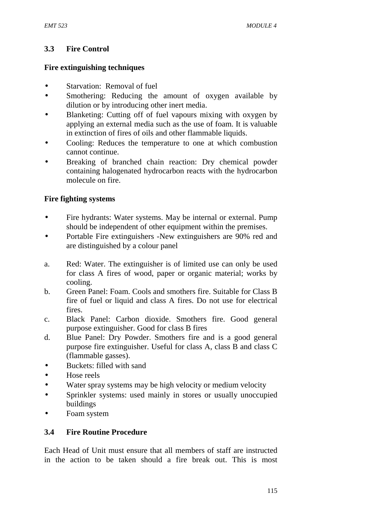## **3.3 Fire Control**

### **Fire extinguishing techniques**

- Starvation: Removal of fuel
- Smothering: Reducing the amount of oxygen available by dilution or by introducing other inert media.
- Blanketing: Cutting off of fuel vapours mixing with oxygen by applying an external media such as the use of foam. It is valuable in extinction of fires of oils and other flammable liquids.
- Cooling: Reduces the temperature to one at which combustion cannot continue.
- Breaking of branched chain reaction: Dry chemical powder containing halogenated hydrocarbon reacts with the hydrocarbon molecule on fire.

## **Fire fighting systems**

- Fire hydrants: Water systems. May be internal or external. Pump should be independent of other equipment within the premises.
- Portable Fire extinguishers -New extinguishers are 90% red and are distinguished by a colour panel
- a. Red: Water. The extinguisher is of limited use can only be used for class A fires of wood, paper or organic material; works by cooling.
- b. Green Panel: Foam. Cools and smothers fire. Suitable for Class B fire of fuel or liquid and class A fires. Do not use for electrical fires.
- c. Black Panel: Carbon dioxide. Smothers fire. Good general purpose extinguisher. Good for class B fires
- d. Blue Panel: Dry Powder. Smothers fire and is a good general purpose fire extinguisher. Useful for class A, class B and class C (flammable gasses).
- Buckets: filled with sand
- Hose reels
- Water spray systems may be high velocity or medium velocity
- Sprinkler systems: used mainly in stores or usually unoccupied buildings
- Foam system

### **3.4 Fire Routine Procedure**

Each Head of Unit must ensure that all members of staff are instructed in the action to be taken should a fire break out. This is most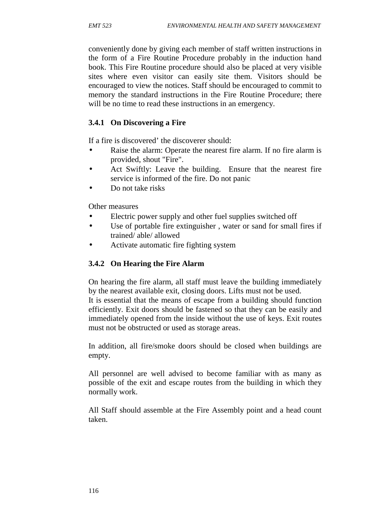conveniently done by giving each member of staff written instructions in the form of a Fire Routine Procedure probably in the induction hand book. This Fire Routine procedure should also be placed at very visible sites where even visitor can easily site them. Visitors should be encouraged to view the notices. Staff should be encouraged to commit to memory the standard instructions in the Fire Routine Procedure; there will be no time to read these instructions in an emergency.

### **3.4.1 On Discovering a Fire**

If a fire is discovered' the discoverer should:

- Raise the alarm: Operate the nearest fire alarm. If no fire alarm is provided, shout "Fire".
- Act Swiftly: Leave the building. Ensure that the nearest fire service is informed of the fire. Do not panic
- Do not take risks

Other measures

- Electric power supply and other fuel supplies switched off
- Use of portable fire extinguisher , water or sand for small fires if trained/ able/ allowed
- Activate automatic fire fighting system

### **3.4.2 On Hearing the Fire Alarm**

On hearing the fire alarm, all staff must leave the building immediately by the nearest available exit, closing doors. Lifts must not be used. It is essential that the means of escape from a building should function efficiently. Exit doors should be fastened so that they can be easily and immediately opened from the inside without the use of keys. Exit routes must not be obstructed or used as storage areas.

In addition, all fire/smoke doors should be closed when buildings are empty.

All personnel are well advised to become familiar with as many as possible of the exit and escape routes from the building in which they normally work.

All Staff should assemble at the Fire Assembly point and a head count taken.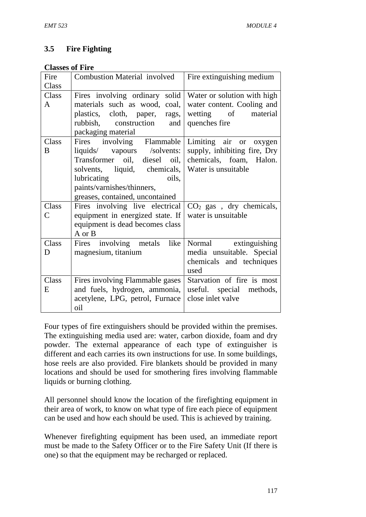## **3.5 Fire Fighting**

#### **Classes of Fire**

| Fire  | <b>Combustion Material involved</b>    | Fire extinguishing medium        |
|-------|----------------------------------------|----------------------------------|
| Class |                                        |                                  |
| Class | Fires involving ordinary solid         | Water or solution with high      |
| A     | materials such as wood, coal,          | water content. Cooling and       |
|       | plastics, cloth, paper, rags,          | wetting of<br>material           |
|       | rubbish, construction<br>and           | quenches fire                    |
|       | packaging material                     |                                  |
| Class | Fires involving Flammable              | Limiting air or oxygen           |
| B     | liquids/ vapours /solvents:            | supply, inhibiting fire, Dry     |
|       | Transformer oil, diesel oil,           | chemicals, foam, Halon.          |
|       | solvents,<br>liquid, chemicals,        | Water is unsuitable              |
|       | lubricating<br>oils,                   |                                  |
|       | paints/varnishes/thinners,             |                                  |
|       | greases, contained, uncontained        |                                  |
| Class | Fires involving live electrical        | $CO2$ gas, dry chemicals,        |
| Ċ     | equipment in energized state. If       | water is unsuitable              |
|       | equipment is dead becomes class        |                                  |
|       | A or B                                 |                                  |
| Class | Fires involving metals<br>like         | Normal extinguishing             |
| D     | magnesium, titanium                    | media unsuitable. Special        |
|       |                                        | chemicals and techniques<br>used |
| Class |                                        | Starvation of fire is most       |
|       | Fires involving Flammable gases        |                                  |
| E     | and fuels, hydrogen, ammonia,          | useful. special methods,         |
|       | acetylene, LPG, petrol, Furnace<br>oil | close inlet valve                |
|       |                                        |                                  |

Four types of fire extinguishers should be provided within the premises. The extinguishing media used are: water, carbon dioxide, foam and dry powder. The external appearance of each type of extinguisher is different and each carries its own instructions for use. In some buildings, hose reels are also provided. Fire blankets should be provided in many locations and should be used for smothering fires involving flammable liquids or burning clothing.

All personnel should know the location of the firefighting equipment in their area of work, to know on what type of fire each piece of equipment can be used and how each should be used. This is achieved by training.

Whenever firefighting equipment has been used, an immediate report must be made to the Safety Officer or to the Fire Safety Unit (If there is one) so that the equipment may be recharged or replaced.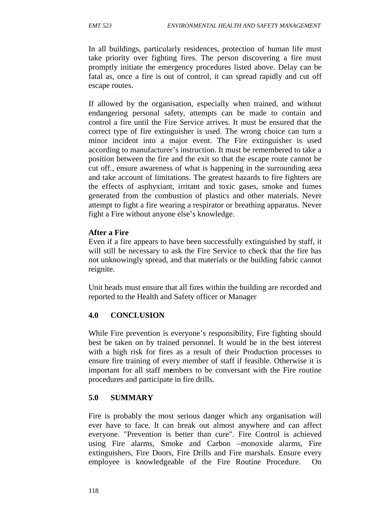In all buildings, particularly residences, protection of human life must take priority over fighting fires. The person discovering a fire must promptly initiate the emergency procedures listed above. Delay can be fatal as, once a fire is out of control, it can spread rapidly and cut off escape routes.

If allowed by the organisation, especially when trained, and without endangering personal safety, attempts can be made to contain and control a fire until the Fire Service arrives. It must be ensured that the correct type of fire extinguisher is used. The wrong choice can turn a minor incident into a major event. The Fire extinguisher is used according to manufacturer's instruction. It must be remembered to take a position between the fire and the exit so that the escape route cannot be cut off., ensure awareness of what is happening in the surrounding area and take account of limitations. The greatest hazards to fire fighters are the effects of asphyxiant, irritant and toxic gases, smoke and fumes generated from the combustion of plastics and other materials. Never attempt to fight a fire wearing a respirator or breathing apparatus. Never fight a Fire without anyone else's knowledge.

#### **After a Fire**

Even if a fire appears to have been successfully extinguished by staff, it will still be necessary to ask the Fire Service to check that the fire has not unknowingly spread, and that materials or the building fabric cannot reignite.

Unit heads must ensure that all fires within the building are recorded and reported to the Health and Safety officer or Manager

### **4.0 CONCLUSION**

While Fire prevention is everyone's responsibility, Fire fighting should best be taken on by trained personnel. It would be in the best interest with a high risk for fires as a result of their Production processes to ensure fire training of every member of staff if feasible. Otherwise it is important for all staff m**e**mbers to be conversant with the Fire routine procedures and participate in fire drills.

### **5.0 SUMMARY**

Fire is probably the most serious danger which any organisation will ever have to face. It can break out almost anywhere and can affect everyone. "Prevention is better than cure". Fire Control is achieved using Fire alarms, Smoke and Carbon –monoxide alarms, Fire extinguishers, Fire Doors, Fire Drills and Fire marshals. Ensure every employee is knowledgeable of the Fire Routine Procedure. On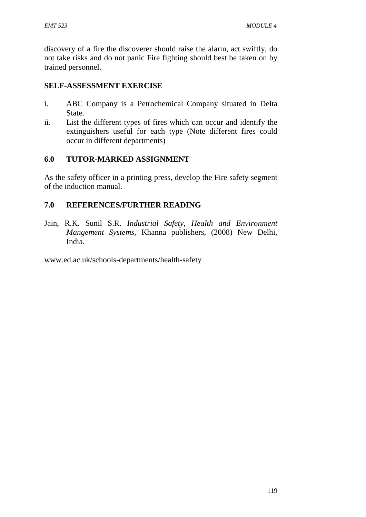discovery of a fire the discoverer should raise the alarm, act swiftly, do not take risks and do not panic Fire fighting should best be taken on by trained personnel.

### **SELF-ASSESSMENT EXERCISE**

- i. ABC Company is a Petrochemical Company situated in Delta State.
- ii. List the different types of fires which can occur and identify the extinguishers useful for each type (Note different fires could occur in different departments)

### **6.0 TUTOR-MARKED ASSIGNMENT**

As the safety officer in a printing press, develop the Fire safety segment of the induction manual.

## **7.0 REFERENCES/FURTHER READING**

Jain, R.K. Sunil S.R. *Industrial Safety, Health and Environment Mangement Systems,* Khanna publishers, (2008) New Delhi, India.

www.ed.ac.uk/schools-departments/health-safety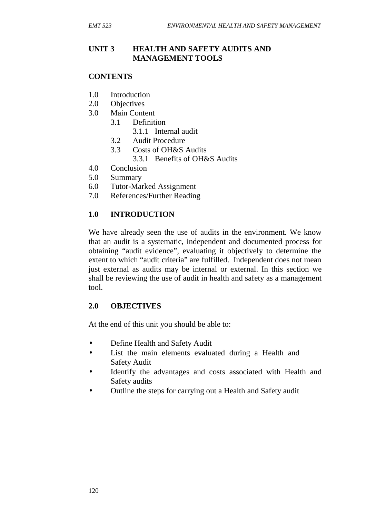### **UNIT 3 HEALTH AND SAFETY AUDITS AND MANAGEMENT TOOLS**

#### **CONTENTS**

- 1.0 Introduction
- 2.0 Objectives
- 3.0 Main Content
	- 3.1 Definition
		- 3.1.1 Internal audit
	- 3.2 Audit Procedure
	- 3.3 Costs of OH&S Audits
		- 3.3.1 Benefits of OH&S Audits
- 4.0 Conclusion
- 5.0 Summary
- 6.0 Tutor-Marked Assignment
- 7.0 References/Further Reading

#### **1.0 INTRODUCTION**

We have already seen the use of audits in the environment. We know that an audit is a systematic, independent and documented process for obtaining "audit evidence", evaluating it objectively to determine the extent to which "audit criteria" are fulfilled. Independent does not mean just external as audits may be internal or external. In this section we shall be reviewing the use of audit in health and safety as a management tool.

#### **2.0 OBJECTIVES**

At the end of this unit you should be able to:

- Define Health and Safety Audit
- List the main elements evaluated during a Health and Safety Audit
- Identify the advantages and costs associated with Health and Safety audits
- Outline the steps for carrying out a Health and Safety audit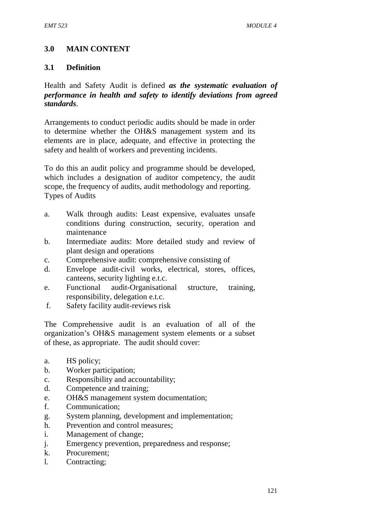## **3.0 MAIN CONTENT**

#### **3.1 Definition**

Health and Safety Audit is defined *as the systematic evaluation of performance in health and safety to identify deviations from agreed standards*.

Arrangements to conduct periodic audits should be made in order to determine whether the OH&S management system and its elements are in place, adequate, and effective in protecting the safety and health of workers and preventing incidents.

To do this an audit policy and programme should be developed, which includes a designation of auditor competency, the audit scope, the frequency of audits, audit methodology and reporting. Types of Audits

- a. Walk through audits: Least expensive, evaluates unsafe conditions during construction, security, operation and maintenance
- b. Intermediate audits: More detailed study and review of plant design and operations
- c. Comprehensive audit: comprehensive consisting of
- d. Envelope audit-civil works, electrical, stores, offices, canteens, security lighting e.t.c.
- e. Functional audit-Organisational structure, training, responsibility, delegation e.t.c.
- f. Safety facility audit-reviews risk

The Comprehensive audit is an evaluation of all of the organization's OH&S management system elements or a subset of these, as appropriate. The audit should cover:

- a. HS policy;
- b. Worker participation;
- c. Responsibility and accountability;
- d. Competence and training;
- e. OH&S management system documentation;
- f. Communication;
- g. System planning, development and implementation;
- h. Prevention and control measures;
- i. Management of change;
- j. Emergency prevention, preparedness and response;
- k. Procurement;
- l. Contracting;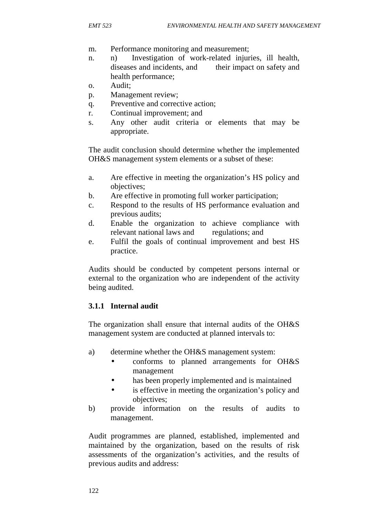- m. Performance monitoring and measurement;
- n. n) Investigation of work-related injuries, ill health, diseases and incidents, and their impact on safety and health performance;
- o. Audit;
- p. Management review;
- q. Preventive and corrective action;
- r. Continual improvement; and
- s. Any other audit criteria or elements that may be appropriate.

The audit conclusion should determine whether the implemented OH&S management system elements or a subset of these:

- a. Are effective in meeting the organization's HS policy and objectives;
- b. Are effective in promoting full worker participation;
- c. Respond to the results of HS performance evaluation and previous audits;
- d. Enable the organization to achieve compliance with relevant national laws and regulations; and
- e. Fulfil the goals of continual improvement and best HS practice.

Audits should be conducted by competent persons internal or external to the organization who are independent of the activity being audited.

### **3.1.1 Internal audit**

The organization shall ensure that internal audits of the OH&S management system are conducted at planned intervals to:

- a) determine whether the OH&S management system:
	- conforms to planned arrangements for OH&S management
	- has been properly implemented and is maintained
	- is effective in meeting the organization's policy and objectives;
- b) provide information on the results of audits to management.

Audit programmes are planned, established, implemented and maintained by the organization, based on the results of risk assessments of the organization's activities, and the results of previous audits and address: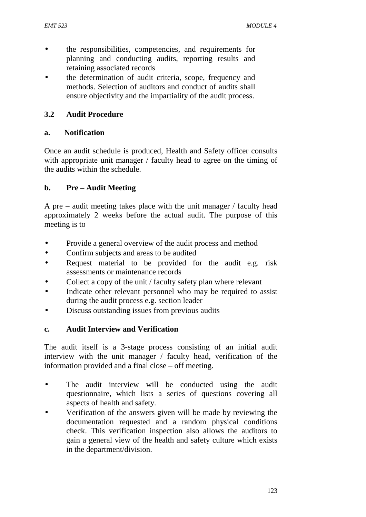- the responsibilities, competencies, and requirements for planning and conducting audits, reporting results and retaining associated records
- the determination of audit criteria, scope, frequency and methods. Selection of auditors and conduct of audits shall ensure objectivity and the impartiality of the audit process.

## **3.2 Audit Procedure**

### **a. Notification**

Once an audit schedule is produced, Health and Safety officer consults with appropriate unit manager / faculty head to agree on the timing of the audits within the schedule.

## **b. Pre – Audit Meeting**

A pre – audit meeting takes place with the unit manager / faculty head approximately 2 weeks before the actual audit. The purpose of this meeting is to

- Provide a general overview of the audit process and method
- Confirm subjects and areas to be audited
- Request material to be provided for the audit e.g. risk assessments or maintenance records
- Collect a copy of the unit / faculty safety plan where relevant
- Indicate other relevant personnel who may be required to assist during the audit process e.g. section leader
- Discuss outstanding issues from previous audits

### **c. Audit Interview and Verification**

The audit itself is a 3-stage process consisting of an initial audit interview with the unit manager / faculty head, verification of the information provided and a final close – off meeting.

- The audit interview will be conducted using the audit questionnaire, which lists a series of questions covering all aspects of health and safety.
- Verification of the answers given will be made by reviewing the documentation requested and a random physical conditions check. This verification inspection also allows the auditors to gain a general view of the health and safety culture which exists in the department/division.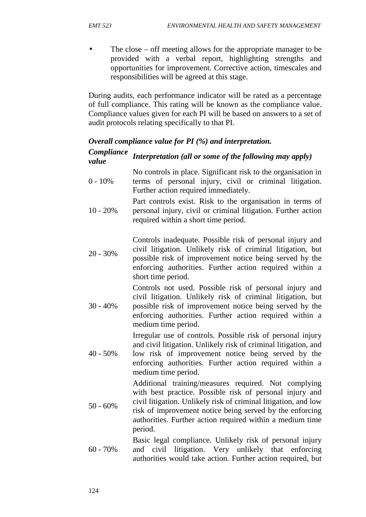• The close – off meeting allows for the appropriate manager to be provided with a verbal report, highlighting strengths and opportunities for improvement. Corrective action, timescales and responsibilities will be agreed at this stage.

During audits, each performance indicator will be rated as a percentage of full compliance. This rating will be known as the compliance value. Compliance values given for each PI will be based on answers to a set of audit protocols relating specifically to that PI.

#### *Overall compliance value for PI (%) and interpretation.*

| Compliance<br>value | Interpretation (all or some of the following may apply)                                                                                                                                                                                                                                                                 |
|---------------------|-------------------------------------------------------------------------------------------------------------------------------------------------------------------------------------------------------------------------------------------------------------------------------------------------------------------------|
| $0 - 10\%$          | No controls in place. Significant risk to the organisation in<br>terms of personal injury, civil or criminal litigation.<br>Further action required immediately.                                                                                                                                                        |
| $10 - 20%$          | Part controls exist. Risk to the organisation in terms of<br>personal injury, civil or criminal litigation. Further action<br>required within a short time period.                                                                                                                                                      |
| $20 - 30\%$         | Controls inadequate. Possible risk of personal injury and<br>civil litigation. Unlikely risk of criminal litigation, but<br>possible risk of improvement notice being served by the<br>enforcing authorities. Further action required within a<br>short time period.                                                    |
| $30 - 40%$          | Controls not used. Possible risk of personal injury and<br>civil litigation. Unlikely risk of criminal litigation, but<br>possible risk of improvement notice being served by the<br>enforcing authorities. Further action required within a<br>medium time period.                                                     |
| $40 - 50\%$         | Irregular use of controls. Possible risk of personal injury<br>and civil litigation. Unlikely risk of criminal litigation, and<br>low risk of improvement notice being served by the<br>enforcing authorities. Further action required within a<br>medium time period.                                                  |
| $50 - 60\%$         | Additional training/measures required. Not complying<br>with best practice. Possible risk of personal injury and<br>civil litigation. Unlikely risk of criminal litigation, and low<br>risk of improvement notice being served by the enforcing<br>authorities. Further action required within a medium time<br>period. |
| $60 - 70%$          | Basic legal compliance. Unlikely risk of personal injury<br>litigation. Very unlikely that<br>enforcing<br>civil<br>and<br>authorities would take action. Further action required, but                                                                                                                                  |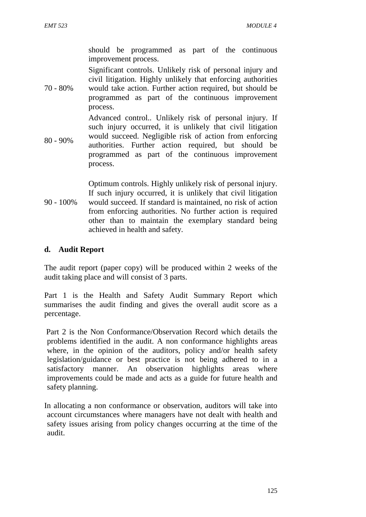should be programmed as part of the continuous improvement process.

Significant controls. Unlikely risk of personal injury and civil litigation. Highly unlikely that enforcing authorities

70 - 80% would take action. Further action required, but should be programmed as part of the continuous improvement process.

80 - 90% Advanced control.. Unlikely risk of personal injury. If such injury occurred, it is unlikely that civil litigation would succeed. Negligible risk of action from enforcing authorities. Further action required, but should be programmed as part of the continuous improvement process.

90 - 100% would succeed. If standard is maintained, no risk of action Optimum controls. Highly unlikely risk of personal injury. If such injury occurred, it is unlikely that civil litigation from enforcing authorities. No further action is required other than to maintain the exemplary standard being achieved in health and safety.

## **d. Audit Report**

The audit report (paper copy) will be produced within 2 weeks of the audit taking place and will consist of 3 parts.

Part 1 is the Health and Safety Audit Summary Report which summarises the audit finding and gives the overall audit score as a percentage.

Part 2 is the Non Conformance/Observation Record which details the problems identified in the audit. A non conformance highlights areas where, in the opinion of the auditors, policy and/or health safety legislation/guidance or best practice is not being adhered to in a satisfactory manner. An observation highlights areas where improvements could be made and acts as a guide for future health and safety planning.

In allocating a non conformance or observation, auditors will take into account circumstances where managers have not dealt with health and safety issues arising from policy changes occurring at the time of the audit.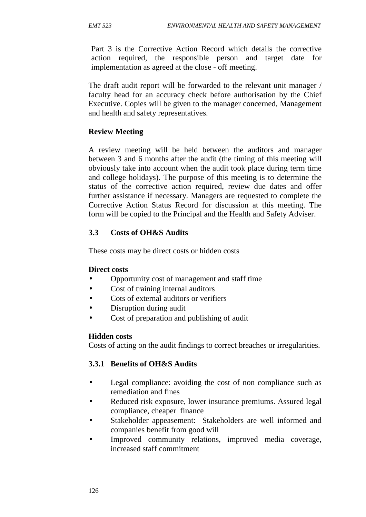Part 3 is the Corrective Action Record which details the corrective action required, the responsible person and target date for implementation as agreed at the close - off meeting.

The draft audit report will be forwarded to the relevant unit manager / faculty head for an accuracy check before authorisation by the Chief Executive. Copies will be given to the manager concerned, Management and health and safety representatives.

## **Review Meeting**

A review meeting will be held between the auditors and manager between 3 and 6 months after the audit (the timing of this meeting will obviously take into account when the audit took place during term time and college holidays). The purpose of this meeting is to determine the status of the corrective action required, review due dates and offer further assistance if necessary. Managers are requested to complete the Corrective Action Status Record for discussion at this meeting. The form will be copied to the Principal and the Health and Safety Adviser.

## **3.3 Costs of OH&S Audits**

These costs may be direct costs or hidden costs

### **Direct costs**

- Opportunity cost of management and staff time
- Cost of training internal auditors
- Cots of external auditors or verifiers
- Disruption during audit
- Cost of preparation and publishing of audit

### **Hidden costs**

Costs of acting on the audit findings to correct breaches or irregularities.

### **3.3.1 Benefits of OH&S Audits**

- Legal compliance: avoiding the cost of non compliance such as remediation and fines
- Reduced risk exposure, lower insurance premiums. Assured legal compliance, cheaper finance
- Stakeholder appeasement: Stakeholders are well informed and companies benefit from good will
- Improved community relations, improved media coverage, increased staff commitment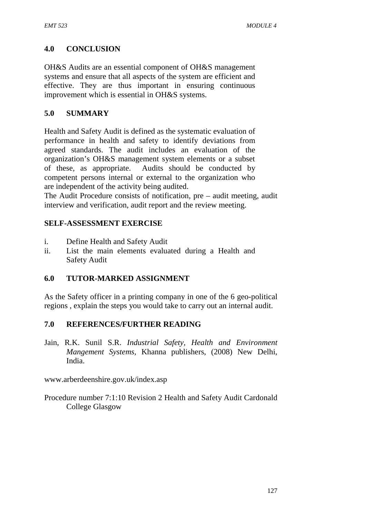## **4.0 CONCLUSION**

OH&S Audits are an essential component of OH&S management systems and ensure that all aspects of the system are efficient and effective. They are thus important in ensuring continuous improvement which is essential in OH&S systems.

### **5.0 SUMMARY**

Health and Safety Audit is defined as the systematic evaluation of performance in health and safety to identify deviations from agreed standards. The audit includes an evaluation of the organization's OH&S management system elements or a subset of these, as appropriate. Audits should be conducted by competent persons internal or external to the organization who are independent of the activity being audited.

The Audit Procedure consists of notification, pre – audit meeting, audit interview and verification, audit report and the review meeting.

## **SELF-ASSESSMENT EXERCISE**

- i. Define Health and Safety Audit
- ii. List the main elements evaluated during a Health and Safety Audit

### **6.0 TUTOR-MARKED ASSIGNMENT**

As the Safety officer in a printing company in one of the 6 geo-political regions , explain the steps you would take to carry out an internal audit.

### **7.0 REFERENCES/FURTHER READING**

Jain, R.K. Sunil S.R. *Industrial Safety, Health and Environment Mangement Systems,* Khanna publishers, (2008) New Delhi, India.

www.arberdeenshire.gov.uk/index.asp

Procedure number 7:1:10 Revision 2 Health and Safety Audit Cardonald College Glasgow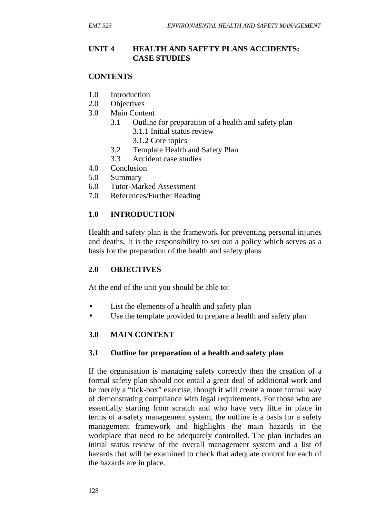## **UNIT 4 HEALTH AND SAFETY PLANS ACCIDENTS: CASE STUDIES**

### **CONTENTS**

- 1.0 Introduction
- 2.0 Objectives
- 3.0 Main Content
	- 3.1 Outline for preparation of a health and safety plan
		- 3.1.1 Initial status review
		- 3.1.2 Core topics
	- 3.2 Template Health and Safety Plan
	- 3.3 Accident case studies
- 4.0 Conclusion
- 5.0 Summary
- 6.0 Tutor-Marked Assessment
- 7.0 References/Further Reading

## **1.0 INTRODUCTION**

Health and safety plan is the framework for preventing personal injuries and deaths. It is the responsibility to set out a policy which serves as a basis for the preparation of the health and safety plans

### **2.0 OBJECTIVES**

At the end of the unit you should be able to:

- List the elements of a health and safety plan
- Use the template provided to prepare a health and safety plan

## **3.0 MAIN CONTENT**

## **3.1 Outline for preparation of a health and safety plan**

If the organisation is managing safety correctly then the creation of a formal safety plan should not entail a great deal of additional work and be merely a "tick-box" exercise, though it will create a more formal way of demonstrating compliance with legal requirements. For those who are essentially starting from scratch and who have very little in place in terms of a safety management system, the outline is a basis for a safety management framework and highlights the main hazards in the workplace that need to be adequately controlled. The plan includes an initial status review of the overall management system and a list of hazards that will be examined to check that adequate control for each of the hazards are in place.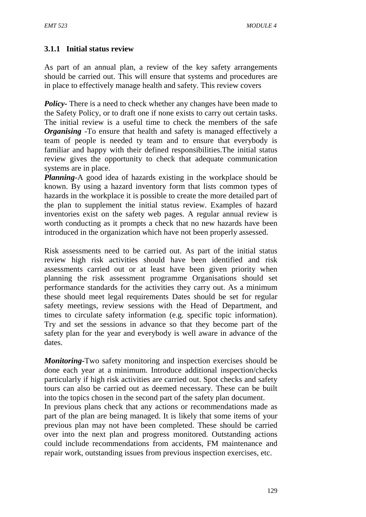## **3.1.1 Initial status review**

As part of an annual plan, a review of the key safety arrangements should be carried out. This will ensure that systems and procedures are in place to effectively manage health and safety. This review covers

*Policy*- There is a need to check whether any changes have been made to the Safety Policy, or to draft one if none exists to carry out certain tasks. The initial review is a useful time to check the members of the safe *Organising* -To ensure that health and safety is managed effectively a team of people is needed ty team and to ensure that everybody is familiar and happy with their defined responsibilities.The initial status review gives the opportunity to check that adequate communication systems are in place.

*Planning***-**A good idea of hazards existing in the workplace should be known. By using a hazard inventory form that lists common types of hazards in the workplace it is possible to create the more detailed part of the plan to supplement the initial status review. Examples of hazard inventories exist on the safety web pages. A regular annual review is worth conducting as it prompts a check that no new hazards have been introduced in the organization which have not been properly assessed.

Risk assessments need to be carried out. As part of the initial status review high risk activities should have been identified and risk assessments carried out or at least have been given priority when planning the risk assessment programme Organisations should set performance standards for the activities they carry out. As a minimum these should meet legal requirements Dates should be set for regular safety meetings, review sessions with the Head of Department, and times to circulate safety information (e.g. specific topic information). Try and set the sessions in advance so that they become part of the safety plan for the year and everybody is well aware in advance of the dates.

*Monitoring***-**Two safety monitoring and inspection exercises should be done each year at a minimum. Introduce additional inspection/checks particularly if high risk activities are carried out. Spot checks and safety tours can also be carried out as deemed necessary. These can be built into the topics chosen in the second part of the safety plan document.

In previous plans check that any actions or recommendations made as part of the plan are being managed. It is likely that some items of your previous plan may not have been completed. These should be carried over into the next plan and progress monitored. Outstanding actions could include recommendations from accidents, FM maintenance and repair work, outstanding issues from previous inspection exercises, etc.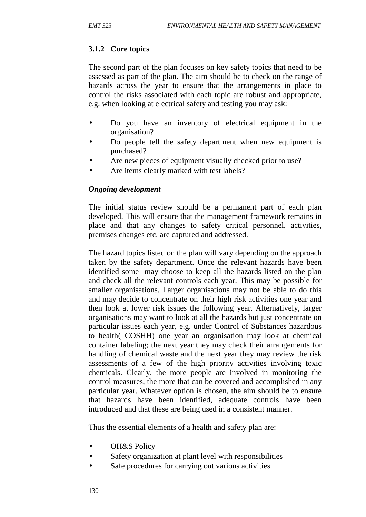## **3.1.2 Core topics**

The second part of the plan focuses on key safety topics that need to be assessed as part of the plan. The aim should be to check on the range of hazards across the year to ensure that the arrangements in place to control the risks associated with each topic are robust and appropriate, e.g. when looking at electrical safety and testing you may ask:

- Do you have an inventory of electrical equipment in the organisation?
- Do people tell the safety department when new equipment is purchased?
- Are new pieces of equipment visually checked prior to use?
- Are items clearly marked with test labels?

## *Ongoing development*

The initial status review should be a permanent part of each plan developed. This will ensure that the management framework remains in place and that any changes to safety critical personnel, activities, premises changes etc. are captured and addressed.

The hazard topics listed on the plan will vary depending on the approach taken by the safety department. Once the relevant hazards have been identified some may choose to keep all the hazards listed on the plan and check all the relevant controls each year. This may be possible for smaller organisations. Larger organisations may not be able to do this and may decide to concentrate on their high risk activities one year and then look at lower risk issues the following year. Alternatively, larger organisations may want to look at all the hazards but just concentrate on particular issues each year, e.g. under Control of Substances hazardous to health( COSHH) one year an organisation may look at chemical container labeling; the next year they may check their arrangements for handling of chemical waste and the next year they may review the risk assessments of a few of the high priority activities involving toxic chemicals. Clearly, the more people are involved in monitoring the control measures, the more that can be covered and accomplished in any particular year. Whatever option is chosen, the aim should be to ensure that hazards have been identified, adequate controls have been introduced and that these are being used in a consistent manner.

Thus the essential elements of a health and safety plan are:

- OH&S Policy
- Safety organization at plant level with responsibilities
- Safe procedures for carrying out various activities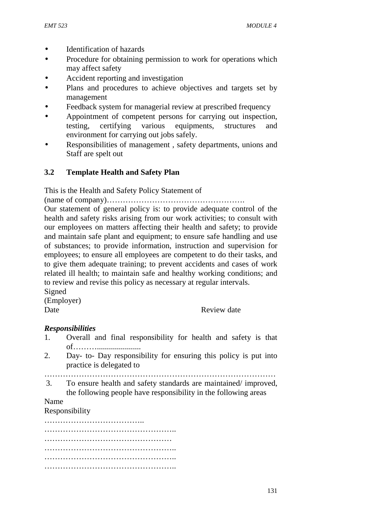- Identification of hazards
- Procedure for obtaining permission to work for operations which may affect safety
- Accident reporting and investigation
- Plans and procedures to achieve objectives and targets set by management
- Feedback system for managerial review at prescribed frequency
- Appointment of competent persons for carrying out inspection, testing, certifying various equipments, structures and environment for carrying out jobs safely.
- Responsibilities of management , safety departments, unions and Staff are spelt out

## **3.2 Template Health and Safety Plan**

This is the Health and Safety Policy Statement of

(name of company)…………………………………………….

Our statement of general policy is: to provide adequate control of the health and safety risks arising from our work activities; to consult with our employees on matters affecting their health and safety; to provide and maintain safe plant and equipment; to ensure safe handling and use of substances; to provide information, instruction and supervision for employees; to ensure all employees are competent to do their tasks, and to give them adequate training; to prevent accidents and cases of work related ill health; to maintain safe and healthy working conditions; and to review and revise this policy as necessary at regular intervals.

Signed (Employer)

Date Review date

### *Responsibilities*

- 1. Overall and final responsibility for health and safety is that of………......................
- 2. Day- to- Day responsibility for ensuring this policy is put into practice is delegated to
- ……………………………………………………………………………
- 3. To ensure health and safety standards are maintained/ improved, the following people have responsibility in the following areas

Name

Responsibility

……………………………….. ………………………………………….. ………………………………………… ………………………………………….. ………………………………………….. …………………………………………..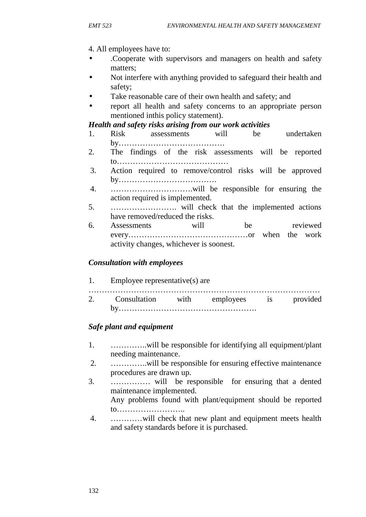#### 4. All employees have to:

- .Cooperate with supervisors and managers on health and safety matters;
- Not interfere with anything provided to safeguard their health and safety;
- Take reasonable care of their own health and safety; and
- report all health and safety concerns to an appropriate person mentioned inthis policy statement).

### *Health and safety risks arising from our work activities*

- 1. Risk assessments will be undertaken by………………………………….
- 2. The findings of the risk assessments will be reported to……………………………………
- 3. Action required to remove/control risks will be approved by……………………………….
- 4. ………………………….will be responsible for ensuring the action required is implemented.
- 5. ……………………. will check that the implemented actions have removed/reduced the risks.
- 6. Assessments will be reviewed every………………………………………or when the work activity changes, whichever is soonest.

### *Consultation with employees*

1. Employee representative(s) are …………………………………………………………………………… 2. Consultation with employees is provided by…………………………………………….

## *Safe plant and equipment*

- 1. …………..will be responsible for identifying all equipment/plant needing maintenance.
- 2. …………..will be responsible for ensuring effective maintenance procedures are drawn up.
- 3. …………… will be responsible for ensuring that a dented maintenance implemented. Any problems found with plant/equipment should be reported to……………………..
- 4. …………will check that new plant and equipment meets health and safety standards before it is purchased.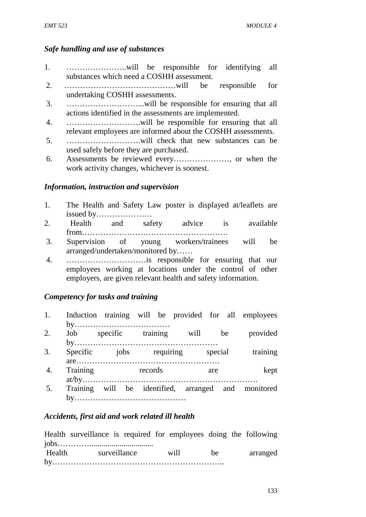#### *Safe handling and use of substances*

- 1. …………………..will be responsible for identifying all substances which need a COSHH assessment.
- 2. ……………………………………will be responsible for undertaking COSHH assessments.
- 3. ………………………...will be responsible for ensuring that all actions identified in the assessments are implemented.
- 4. ……………………….will be responsible for ensuring that all relevant employees are informed about the COSHH assessments.
- 5. ……………………….will check that new substances can be used safely before they are purchased.
- 6. Assessments be reviewed every…………………, or when the work activity changes, whichever is soonest.

#### *Information, instruction and supervision*

- 1. The Health and Safety Law poster is displayed at/leaflets are issued by…………………
- 2. Health and safety advice is available from……………………………………………….
- 3. Supervision of young workers/trainees will be arranged/undertaken/monitored by……
- 4. …………………………is responsible for ensuring that our employees working at locations under the control of other employers, are given relevant health and safety information.

#### *Competency for tasks and training*

- 1. Induction training will be provided for all employees by………………………………
- 2. Job specific training will be provided by………………………………………………
- 3. Specific jobs requiring special training are………………………………………………
- 4. Training records are kept at/by…………………………………………………………
- 5. Training will be identified, arranged and monitored by……………………………………

### *Accidents, first aid and work related ill health*

|        | Health surveillance is required for employees doing the following |  |      |    |          |  |
|--------|-------------------------------------------------------------------|--|------|----|----------|--|
|        |                                                                   |  |      |    |          |  |
| Health | surveillance                                                      |  | will | be | arranged |  |
|        |                                                                   |  |      |    |          |  |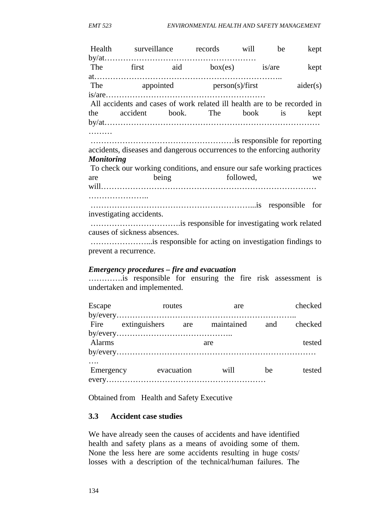|                                                                          |                                                                                                                                                                                                                                 |  | Health surveillance records will be                                      |  |  | kept     |  |
|--------------------------------------------------------------------------|---------------------------------------------------------------------------------------------------------------------------------------------------------------------------------------------------------------------------------|--|--------------------------------------------------------------------------|--|--|----------|--|
|                                                                          |                                                                                                                                                                                                                                 |  |                                                                          |  |  |          |  |
|                                                                          |                                                                                                                                                                                                                                 |  | The first aid $box(es)$ is/are                                           |  |  | kept     |  |
|                                                                          |                                                                                                                                                                                                                                 |  |                                                                          |  |  |          |  |
|                                                                          | The the state of the state of the state of the state of the state of the state of the state of the state of the state of the state of the state of the state of the state of the state of the state of the state of the state   |  | appointed person(s)/first                                                |  |  | aider(s) |  |
|                                                                          |                                                                                                                                                                                                                                 |  |                                                                          |  |  |          |  |
| All accidents and cases of work related ill health are to be recorded in |                                                                                                                                                                                                                                 |  |                                                                          |  |  |          |  |
|                                                                          |                                                                                                                                                                                                                                 |  | the accident book. The book is                                           |  |  | kept     |  |
|                                                                          |                                                                                                                                                                                                                                 |  |                                                                          |  |  |          |  |
|                                                                          |                                                                                                                                                                                                                                 |  |                                                                          |  |  |          |  |
|                                                                          |                                                                                                                                                                                                                                 |  |                                                                          |  |  |          |  |
|                                                                          |                                                                                                                                                                                                                                 |  | accidents, diseases and dangerous occurrences to the enforcing authority |  |  |          |  |
| <b>Monitoring</b>                                                        |                                                                                                                                                                                                                                 |  |                                                                          |  |  |          |  |
| To check our working conditions, and ensure our safe working practices   |                                                                                                                                                                                                                                 |  |                                                                          |  |  |          |  |
|                                                                          | are and the same state of the state of the state of the state of the state of the state of the state of the state of the state of the state of the state of the state of the state of the state of the state of the state of th |  | being followed,                                                          |  |  | we       |  |
|                                                                          |                                                                                                                                                                                                                                 |  |                                                                          |  |  |          |  |
|                                                                          |                                                                                                                                                                                                                                 |  |                                                                          |  |  |          |  |
|                                                                          |                                                                                                                                                                                                                                 |  |                                                                          |  |  |          |  |
|                                                                          | investigating accidents.                                                                                                                                                                                                        |  |                                                                          |  |  |          |  |
|                                                                          |                                                                                                                                                                                                                                 |  |                                                                          |  |  |          |  |
|                                                                          | causes of sickness absences.                                                                                                                                                                                                    |  |                                                                          |  |  |          |  |
|                                                                          |                                                                                                                                                                                                                                 |  |                                                                          |  |  |          |  |
|                                                                          | prevent a recurrence.                                                                                                                                                                                                           |  |                                                                          |  |  |          |  |

#### *Emergency procedures – fire and evacuation*

………….is responsible for ensuring the fire risk assessment is undertaken and implemented.

| Escape | routes                                        |     | are  |    | checked |
|--------|-----------------------------------------------|-----|------|----|---------|
|        |                                               |     |      |    |         |
|        | Fire extinguishers are maintained and checked |     |      |    |         |
|        |                                               |     |      |    |         |
| Alarms |                                               | are |      |    | tested  |
|        |                                               |     |      |    |         |
|        |                                               |     |      |    |         |
|        | Emergency evacuation                          |     | will | be | tested  |
|        |                                               |     |      |    |         |

Obtained from Health and Safety Executive

#### **3.3 Accident case studies**

We have already seen the causes of accidents and have identified health and safety plans as a means of avoiding some of them. None the less here are some accidents resulting in huge costs/ losses with a description of the technical/human failures. The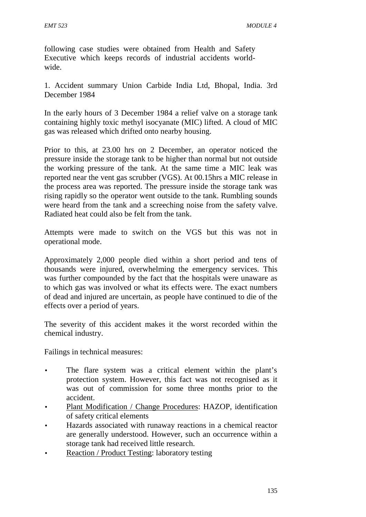following case studies were obtained from Health and Safety Executive which keeps records of industrial accidents world wide.

1. Accident summary Union Carbide India Ltd, Bhopal, India. 3rd December 1984

In the early hours of 3 December 1984 a relief valve on a storage tank containing highly toxic methyl isocyanate (MIC) lifted. A cloud of MIC gas was released which drifted onto nearby housing.

Prior to this, at 23.00 hrs on 2 December, an operator noticed the pressure inside the storage tank to be higher than normal but not outside the working pressure of the tank. At the same time a MIC leak was reported near the vent gas scrubber (VGS). At 00.15hrs a MIC release in the process area was reported. The pressure inside the storage tank was rising rapidly so the operator went outside to the tank. Rumbling sounds were heard from the tank and a screeching noise from the safety valve. Radiated heat could also be felt from the tank.

Attempts were made to switch on the VGS but this was not in operational mode.

Approximately 2,000 people died within a short period and tens of thousands were injured, overwhelming the emergency services. This was further compounded by the fact that the hospitals were unaware as to which gas was involved or what its effects were. The exact numbers of dead and injured are uncertain, as people have continued to die of the effects over a period of years.

The severity of this accident makes it the worst recorded within the chemical industry.

Failings in technical measures:

- The flare system was a critical element within the plant's protection system. However, this fact was not recognised as it was out of commission for some three months prior to the accident.
- Plant Modification / Change Procedures: HAZOP, identification of safety critical elements
- Hazards associated with runaway reactions in a chemical reactor are generally understood. However, such an occurrence within a storage tank had received little research.
- Reaction / Product Testing: laboratory testing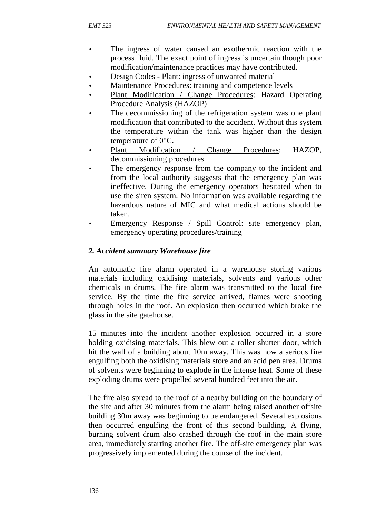- The ingress of water caused an exothermic reaction with the process fluid. The exact point of ingress is uncertain though poor modification/maintenance practices may have contributed.
- Design Codes Plant: ingress of unwanted material
- Maintenance Procedures: training and competence levels
- Plant Modification / Change Procedures: Hazard Operating Procedure Analysis (HAZOP)
- The decommissioning of the refrigeration system was one plant modification that contributed to the accident. Without this system the temperature within the tank was higher than the design temperature of 0°C.
- Plant Modification / Change Procedures: HAZOP, decommissioning procedures
- The emergency response from the company to the incident and from the local authority suggests that the emergency plan was ineffective. During the emergency operators hesitated when to use the siren system. No information was available regarding the hazardous nature of MIC and what medical actions should be taken.
- Emergency Response / Spill Control: site emergency plan, emergency operating procedures/training

### *2. Accident summary Warehouse fire*

An automatic fire alarm operated in a warehouse storing various materials including oxidising materials, solvents and various other chemicals in drums. The fire alarm was transmitted to the local fire service. By the time the fire service arrived, flames were shooting through holes in the roof. An explosion then occurred which broke the glass in the site gatehouse.

15 minutes into the incident another explosion occurred in a store holding oxidising materials. This blew out a roller shutter door, which hit the wall of a building about 10m away. This was now a serious fire engulfing both the oxidising materials store and an acid pen area. Drums of solvents were beginning to explode in the intense heat. Some of these exploding drums were propelled several hundred feet into the air.

The fire also spread to the roof of a nearby building on the boundary of the site and after 30 minutes from the alarm being raised another offsite building 30m away was beginning to be endangered. Several explosions then occurred engulfing the front of this second building. A flying, burning solvent drum also crashed through the roof in the main store area, immediately starting another fire. The off-site emergency plan was progressively implemented during the course of the incident.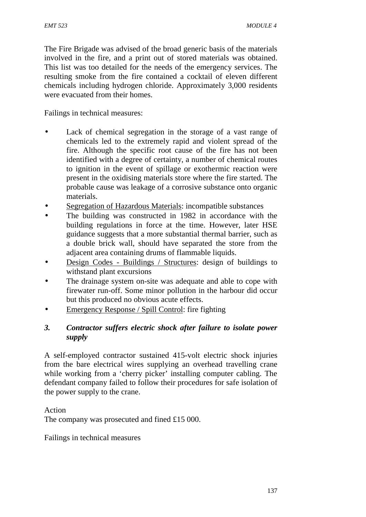The Fire Brigade was advised of the broad generic basis of the materials involved in the fire, and a print out of stored materials was obtained. This list was too detailed for the needs of the emergency services. The resulting smoke from the fire contained a cocktail of eleven different chemicals including hydrogen chloride. Approximately 3,000 residents were evacuated from their homes.

Failings in technical measures:

- Lack of chemical segregation in the storage of a vast range of chemicals led to the extremely rapid and violent spread of the fire. Although the specific root cause of the fire has not been identified with a degree of certainty, a number of chemical routes to ignition in the event of spillage or exothermic reaction were present in the oxidising materials store where the fire started. The probable cause was leakage of a corrosive substance onto organic materials.
- Segregation of Hazardous Materials: incompatible substances
- The building was constructed in 1982 in accordance with the building regulations in force at the time. However, later HSE guidance suggests that a more substantial thermal barrier, such as a double brick wall, should have separated the store from the adjacent area containing drums of flammable liquids.
- Design Codes Buildings / Structures: design of buildings to withstand plant excursions
- The drainage system on-site was adequate and able to cope with firewater run-off. Some minor pollution in the harbour did occur but this produced no obvious acute effects.
- Emergency Response / Spill Control: fire fighting

## *3. Contractor suffers electric shock after failure to isolate power supply*

A self-employed contractor sustained 415-volt electric shock injuries from the bare electrical wires supplying an overhead travelling crane while working from a 'cherry picker' installing computer cabling. The defendant company failed to follow their procedures for safe isolation of the power supply to the crane.

Action The company was prosecuted and fined £15 000.

Failings in technical measures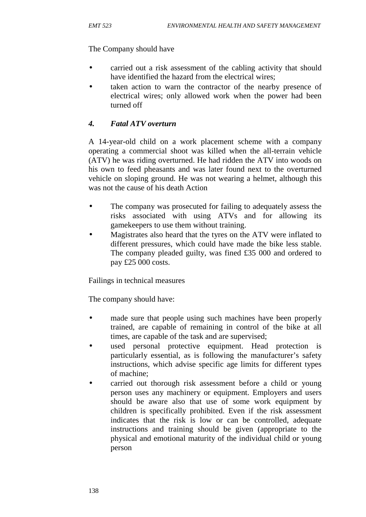### The Company should have

- carried out a risk assessment of the cabling activity that should have identified the hazard from the electrical wires;
- taken action to warn the contractor of the nearby presence of electrical wires; only allowed work when the power had been turned off

# *4. Fatal ATV overturn*

A 14-year-old child on a work placement scheme with a company operating a commercial shoot was killed when the all-terrain vehicle (ATV) he was riding overturned. He had ridden the ATV into woods on his own to feed pheasants and was later found next to the overturned vehicle on sloping ground. He was not wearing a helmet, although this was not the cause of his death Action

- The company was prosecuted for failing to adequately assess the risks associated with using ATVs and for allowing its gamekeepers to use them without training.
- Magistrates also heard that the tyres on the ATV were inflated to different pressures, which could have made the bike less stable. The company pleaded guilty, was fined £35 000 and ordered to pay £25 000 costs.

Failings in technical measures

The company should have:

- made sure that people using such machines have been properly trained, are capable of remaining in control of the bike at all times, are capable of the task and are supervised;
- used personal protective equipment. Head protection is particularly essential, as is following the manufacturer's safety instructions, which advise specific age limits for different types of machine;
- carried out thorough risk assessment before a child or young person uses any machinery or equipment. Employers and users should be aware also that use of some work equipment by children is specifically prohibited. Even if the risk assessment indicates that the risk is low or can be controlled, adequate instructions and training should be given (appropriate to the physical and emotional maturity of the individual child or young person